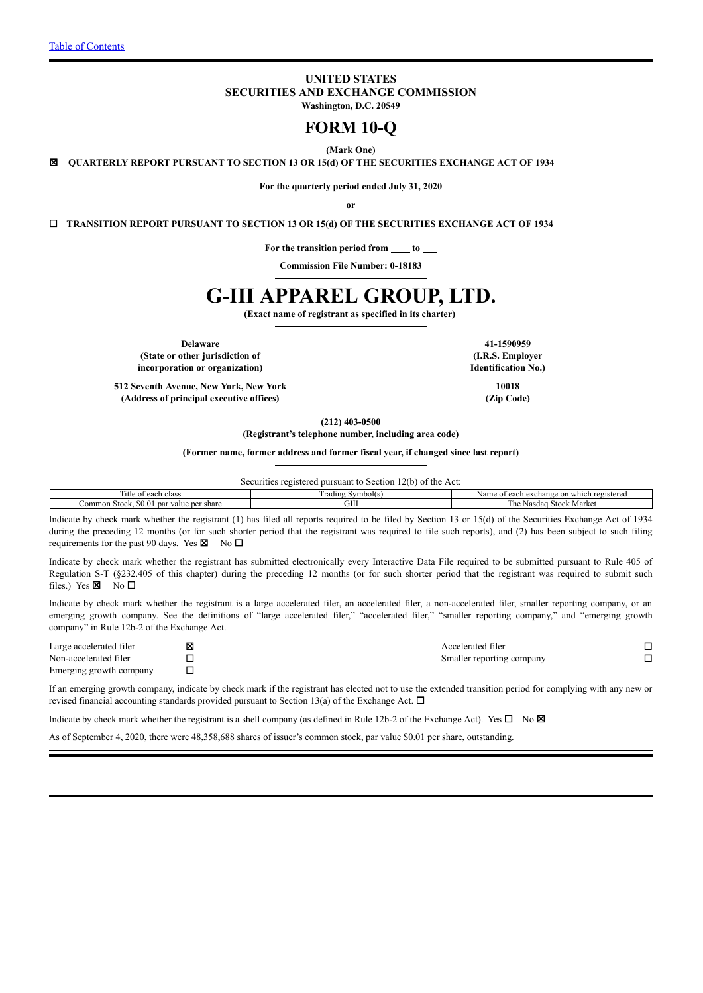# **UNITED STATES SECURITIES AND EXCHANGE COMMISSION Washington, D.C. 20549**

# **FORM 10-Q**

**(Mark One)**

☒ **QUARTERLY REPORT PURSUANT TO SECTION 13 OR 15(d) OF THE SECURITIES EXCHANGE ACT OF 1934**

**For the quarterly period ended July 31, 2020**

**or**

☐ **TRANSITION REPORT PURSUANT TO SECTION 13 OR 15(d) OF THE SECURITIES EXCHANGE ACT OF 1934**

For the transition period from <u>to</u>

**Commission File Number: 0-18183**

# **G-III APPAREL GROUP, LTD.**

**(Exact name of registrant as specified in its charter)** 

**Delaware 41-1590959 (State or other jurisdiction of (I.R.S. Employer incorporation or organization) Identification No.)**

**512 Seventh Avenue, New York, New York 10018 (Address of principal executive offices) (Zip Code)**

### **(212) 403-0500**

**(Registrant's telephone number, including area code)**

**(Former name, former address and former fiscal year, if changed since last report)**

| 20h<br>Act:<br>s registered pursuant to S<br>Section<br>the<br>Securities<br>- OT                                          |  |  |  |  |  |  |  |  |  |
|----------------------------------------------------------------------------------------------------------------------------|--|--|--|--|--|--|--|--|--|
| Title of each class<br>–<br>Symbol(s)<br>. radıng '<br>f each exchange on which registered<br>Name<br>ΩŤ                   |  |  |  |  |  |  |  |  |  |
| $\cap$ TT<br>\$0.01<br><b>Stock Market</b><br>$\sim$<br>∵ommon Stock.<br>l he<br>. par value<br>per share<br>Nasdag<br>UH. |  |  |  |  |  |  |  |  |  |

Indicate by check mark whether the registrant (1) has filed all reports required to be filed by Section 13 or 15(d) of the Securities Exchange Act of 1934 during the preceding 12 months (or for such shorter period that the registrant was required to file such reports), and (2) has been subject to such filing requirements for the past 90 days. Yes  $\boxtimes$  No  $\Box$ 

Indicate by check mark whether the registrant has submitted electronically every Interactive Data File required to be submitted pursuant to Rule 405 of Regulation S-T (§232.405 of this chapter) during the preceding 12 months (or for such shorter period that the registrant was required to submit such files.) Yes  $\boxtimes$  No  $\square$ 

Indicate by check mark whether the registrant is a large accelerated filer, an accelerated filer, a non-accelerated filer, smaller reporting company, or an emerging growth company. See the definitions of "large accelerated filer," "accelerated filer," "smaller reporting company," and "emerging growth company" in Rule 12b-2 of the Exchange Act.

| Large accelerated filer | Accelerated filer         |  |
|-------------------------|---------------------------|--|
| Non-accelerated filer   | Smaller reporting company |  |
| Emerging growth company |                           |  |

If an emerging growth company, indicate by check mark if the registrant has elected not to use the extended transition period for complying with any new or revised financial accounting standards provided pursuant to Section 13(a) of the Exchange Act.  $\Box$ 

Indicate by check mark whether the registrant is a shell company (as defined in Rule 12b-2 of the Exchange Act). Yes  $\Box$  No  $\boxtimes$ 

As of September 4, 2020, there were 48,358,688 shares of issuer's common stock, par value \$0.01 per share, outstanding.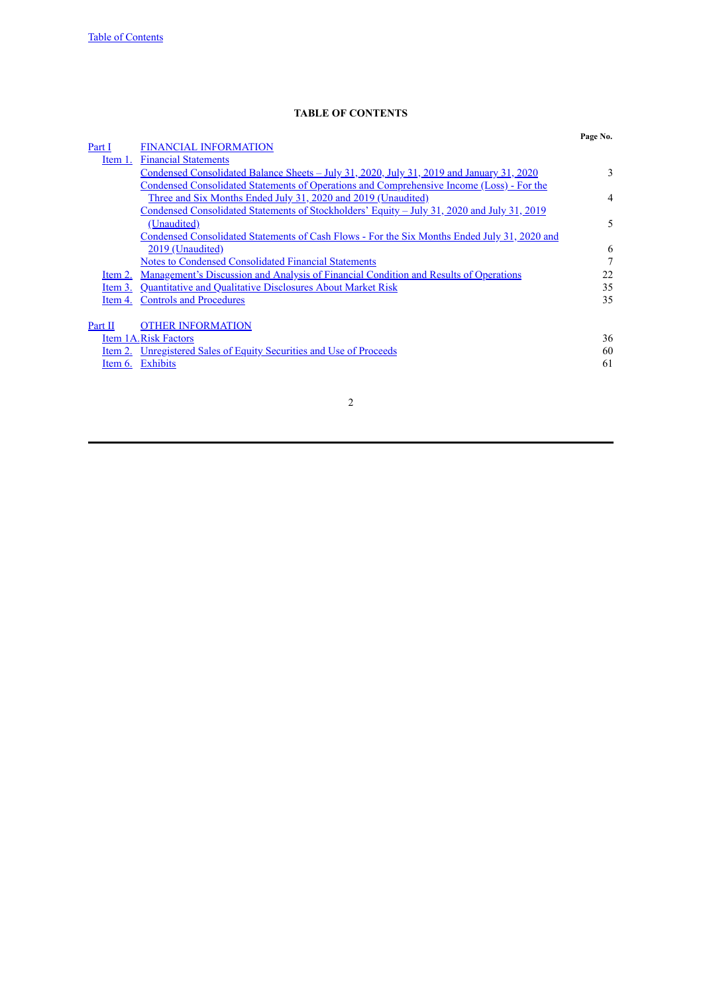# **TABLE OF CONTENTS**

<span id="page-1-0"></span>

|           |                                                                                                  | Page No. |
|-----------|--------------------------------------------------------------------------------------------------|----------|
| Part I    | <b>FINANCIAL INFORMATION</b>                                                                     |          |
| Item 1.   | <b>Financial Statements</b>                                                                      |          |
|           | <u>Condensed Consolidated Balance Sheets - July 31, 2020, July 31, 2019 and January 31, 2020</u> | 3        |
|           | <u>Condensed Consolidated Statements of Operations and Comprehensive Income (Loss) - For the</u> |          |
|           | Three and Six Months Ended July 31, 2020 and 2019 (Unaudited)                                    | 4        |
|           | Condensed Consolidated Statements of Stockholders' Equity - July 31, 2020 and July 31, 2019      |          |
|           | (Unaudited)                                                                                      | 5        |
|           | Condensed Consolidated Statements of Cash Flows - For the Six Months Ended July 31, 2020 and     |          |
|           | 2019 (Unaudited)                                                                                 | 6        |
|           | Notes to Condensed Consolidated Financial Statements                                             | $\tau$   |
| Item 2.   | Management's Discussion and Analysis of Financial Condition and Results of Operations            | 22       |
| Item $3.$ | Quantitative and Qualitative Disclosures About Market Risk                                       | 35       |
| Item 4.   | <b>Controls and Procedures</b>                                                                   | 35       |
|           |                                                                                                  |          |
| Part II   | <b>OTHER INFORMATION</b>                                                                         |          |
|           | <b>Item 1A.Risk Factors</b>                                                                      | 36       |
|           | <u>Item 2. Unregistered Sales of Equity Securities and Use of Proceeds</u>                       | 60       |
|           | Item 6. Exhibits                                                                                 | 61       |
|           |                                                                                                  |          |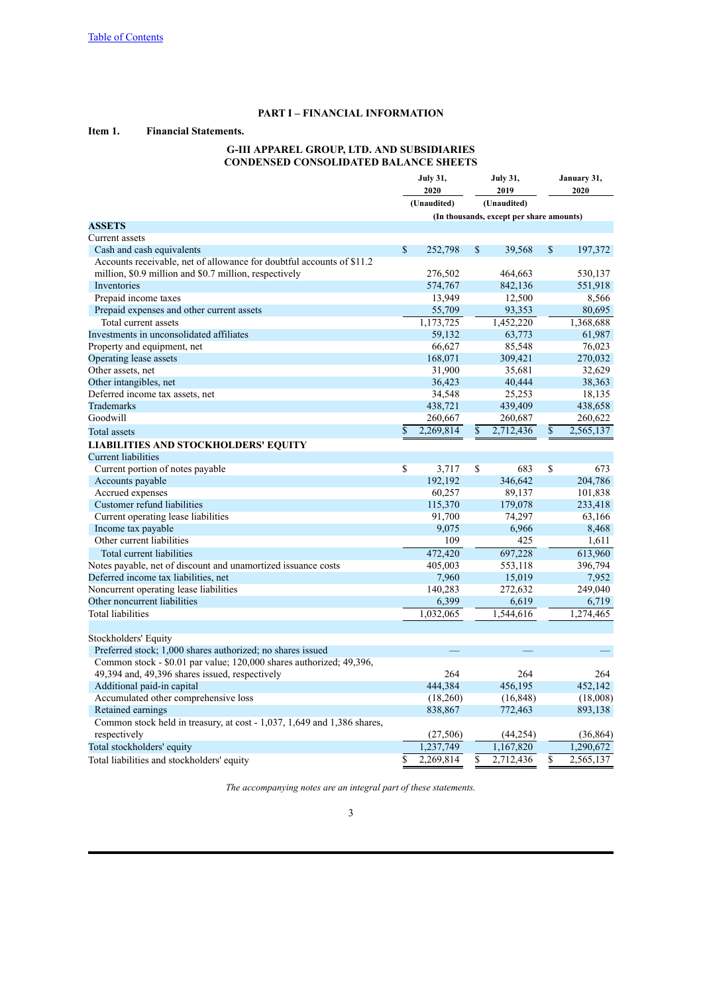# **PART I – FINANCIAL INFORMATION**

# <span id="page-2-1"></span><span id="page-2-0"></span>**Item 1. Financial Statements.**

# **G-III APPAREL GROUP, LTD. AND SUBSIDIARIES CONDENSED CONSOLIDATED BALANCE SHEETS**

<span id="page-2-2"></span>

|                                                                         | <b>July 31,</b><br>2020 |             | <b>July 31,</b><br>2019                  | January 31,<br>2020 |           |
|-------------------------------------------------------------------------|-------------------------|-------------|------------------------------------------|---------------------|-----------|
|                                                                         |                         | (Unaudited) | (Unaudited)                              |                     |           |
|                                                                         |                         |             | (In thousands, except per share amounts) |                     |           |
| <b>ASSETS</b>                                                           |                         |             |                                          |                     |           |
| Current assets                                                          |                         |             |                                          |                     |           |
| Cash and cash equivalents                                               | \$                      | 252,798     | \$<br>39,568                             | \$                  | 197,372   |
| Accounts receivable, net of allowance for doubtful accounts of \$11.2   |                         |             |                                          |                     |           |
| million, \$0.9 million and \$0.7 million, respectively                  |                         | 276,502     | 464,663                                  |                     | 530,137   |
| <b>Inventories</b>                                                      |                         | 574,767     | 842,136                                  |                     | 551,918   |
| Prepaid income taxes                                                    |                         | 13,949      | 12,500                                   |                     | 8,566     |
| Prepaid expenses and other current assets                               |                         | 55,709      | 93,353                                   |                     | 80,695    |
| Total current assets                                                    |                         | 1,173,725   | 1,452,220                                |                     | 1,368,688 |
| Investments in unconsolidated affiliates                                |                         | 59,132      | 63,773                                   |                     | 61,987    |
| Property and equipment, net                                             |                         | 66,627      | 85,548                                   |                     | 76,023    |
| Operating lease assets                                                  |                         | 168,071     | 309,421                                  |                     | 270,032   |
| Other assets, net                                                       |                         | 31,900      | 35,681                                   |                     | 32,629    |
| Other intangibles, net                                                  |                         | 36,423      | 40,444                                   |                     | 38,363    |
| Deferred income tax assets, net                                         |                         | 34,548      | 25,253                                   |                     | 18,135    |
| Trademarks                                                              |                         | 438,721     | 439,409                                  |                     | 438,658   |
| Goodwill                                                                |                         | 260,667     | 260,687                                  |                     | 260,622   |
| Total assets                                                            | \$                      | 2.269.814   | \$<br>2,712,436                          | $\mathbf S$         | 2,565,137 |
| <b>LIABILITIES AND STOCKHOLDERS' EQUITY</b>                             |                         |             |                                          |                     |           |
| Current liabilities                                                     |                         |             |                                          |                     |           |
| Current portion of notes payable                                        | \$                      | 3,717       | \$<br>683                                | \$                  | 673       |
| Accounts payable                                                        |                         | 192,192     | 346,642                                  |                     | 204,786   |
| Accrued expenses                                                        |                         | 60,257      | 89,137                                   |                     | 101,838   |
| Customer refund liabilities                                             |                         | 115,370     | 179,078                                  |                     | 233,418   |
| Current operating lease liabilities                                     |                         | 91,700      | 74,297                                   |                     | 63,166    |
| Income tax payable                                                      |                         | 9,075       | 6,966                                    |                     | 8,468     |
| Other current liabilities                                               |                         | 109         | 425                                      |                     | 1,611     |
| Total current liabilities                                               |                         | 472,420     | 697,228                                  |                     | 613,960   |
| Notes payable, net of discount and unamortized issuance costs           |                         | 405,003     | 553,118                                  |                     | 396,794   |
| Deferred income tax liabilities, net                                    |                         | 7,960       | 15,019                                   |                     | 7,952     |
| Noncurrent operating lease liabilities                                  |                         | 140,283     | 272,632                                  |                     | 249,040   |
| Other noncurrent liabilities                                            |                         | 6,399       | 6,619                                    |                     | 6,719     |
| Total liabilities                                                       |                         | 1,032,065   | 1,544,616                                |                     | 1,274,465 |
|                                                                         |                         |             |                                          |                     |           |
| Stockholders' Equity                                                    |                         |             |                                          |                     |           |
| Preferred stock; 1,000 shares authorized; no shares issued              |                         |             |                                          |                     |           |
| Common stock - \$0.01 par value; 120,000 shares authorized; 49,396,     |                         |             |                                          |                     |           |
| 49,394 and, 49,396 shares issued, respectively                          |                         | 264         | 264                                      |                     | 264       |
| Additional paid-in capital                                              |                         | 444,384     | 456,195                                  |                     | 452,142   |
| Accumulated other comprehensive loss                                    |                         | (18,260)    | (16, 848)                                |                     | (18,008)  |
| Retained earnings                                                       |                         | 838,867     | 772,463                                  |                     | 893,138   |
| Common stock held in treasury, at cost - 1,037, 1,649 and 1,386 shares, |                         |             |                                          |                     |           |
| respectively                                                            |                         | (27,506)    | (44, 254)                                |                     | (36, 864) |
| Total stockholders' equity                                              |                         | 1,237,749   | 1,167,820                                |                     | 1,290,672 |
| Total liabilities and stockholders' equity                              | \$                      | 2,269,814   | \$<br>2,712,436                          | \$                  | 2,565,137 |

*The accompanying notes are an integral part of these statements.*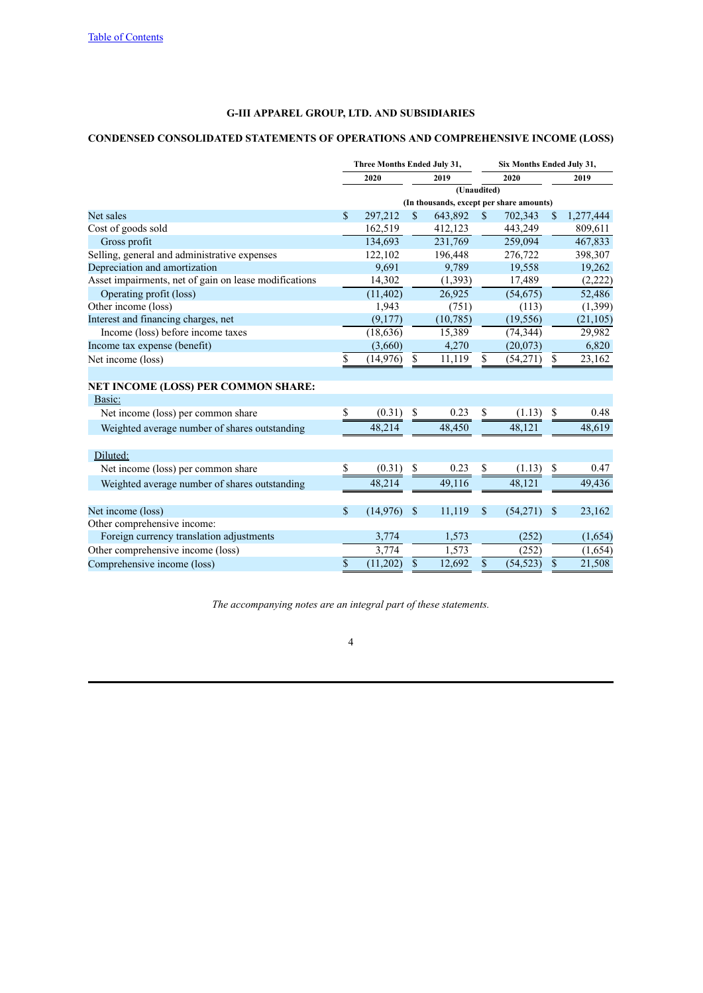# **CONDENSED CONSOLIDATED STATEMENTS OF OPERATIONS AND COMPREHENSIVE INCOME (LOSS)**

|              | Three Months Ended July 31, |                                                  |           |                                       |           | Six Months Ended July 31,          |                                          |  |
|--------------|-----------------------------|--------------------------------------------------|-----------|---------------------------------------|-----------|------------------------------------|------------------------------------------|--|
|              | 2020                        |                                                  | 2019      | 2020                                  |           |                                    | 2019                                     |  |
|              |                             |                                                  |           |                                       |           |                                    |                                          |  |
|              |                             |                                                  |           |                                       |           |                                    |                                          |  |
| $\mathbb{S}$ | 297.212                     | $\mathbf S$                                      | 643,892   | $\mathbf S$                           | 702.343   | \$                                 | 1,277,444                                |  |
|              | 162,519                     |                                                  | 412,123   |                                       | 443,249   |                                    | 809,611                                  |  |
|              |                             |                                                  |           |                                       |           |                                    | 467,833                                  |  |
|              | 122,102                     |                                                  | 196,448   |                                       | 276,722   |                                    | 398,307                                  |  |
|              | 9,691                       |                                                  | 9,789     |                                       | 19,558    |                                    | 19,262                                   |  |
|              | 14,302                      |                                                  | (1,393)   |                                       | 17,489    |                                    | (2,222)                                  |  |
|              | (11, 402)                   |                                                  | 26,925    |                                       | (54, 675) |                                    | 52,486                                   |  |
|              |                             |                                                  | (751)     |                                       | (113)     |                                    | (1, 399)                                 |  |
|              | (9,177)                     |                                                  | (10, 785) |                                       | (19, 556) |                                    | (21, 105)                                |  |
|              | (18, 636)                   |                                                  | 15,389    |                                       | (74, 344) |                                    | 29,982                                   |  |
|              | (3,660)                     |                                                  | 4,270     |                                       | (20,073)  |                                    | 6,820                                    |  |
| \$           | (14, 976)                   | \$                                               | 11,119    | \$                                    | (54,271)  | \$                                 | 23,162                                   |  |
|              |                             |                                                  |           |                                       |           |                                    |                                          |  |
|              |                             |                                                  |           |                                       |           |                                    |                                          |  |
|              |                             |                                                  |           |                                       |           |                                    |                                          |  |
| \$           | (0.31)                      | \$                                               | 0.23      | \$                                    | (1.13)    | \$                                 | 0.48                                     |  |
|              |                             |                                                  |           |                                       | 48,121    |                                    | 48,619                                   |  |
|              |                             |                                                  |           |                                       |           |                                    |                                          |  |
|              |                             |                                                  |           |                                       |           |                                    |                                          |  |
| \$           | (0.31)                      | S                                                | 0.23      | \$                                    | (1.13)    | \$                                 | 0.47                                     |  |
|              |                             |                                                  |           |                                       | 48,121    |                                    | 49,436                                   |  |
|              |                             |                                                  |           |                                       |           |                                    |                                          |  |
| $\mathbb{S}$ |                             | $\mathcal{S}$                                    |           | $\mathcal{S}$                         |           | $\mathcal{S}$                      | 23,162                                   |  |
|              |                             |                                                  |           |                                       |           |                                    |                                          |  |
|              | 3,774                       |                                                  | 1,573     |                                       | (252)     |                                    | (1,654)                                  |  |
|              | 3,774                       |                                                  | 1,573     |                                       | (252)     |                                    | (1,654)                                  |  |
| \$           | (11,202)                    | \$                                               | 12,692    | \$                                    | (54, 523) | \$                                 | 21,508                                   |  |
|              |                             | 134,693<br>1,943<br>48,214<br>48,214<br>(14,976) |           | 231,769<br>48,450<br>49,116<br>11,119 |           | (Unaudited)<br>259,094<br>(54,271) | (In thousands, except per share amounts) |  |

*The accompanying notes are an integral part of these statements.*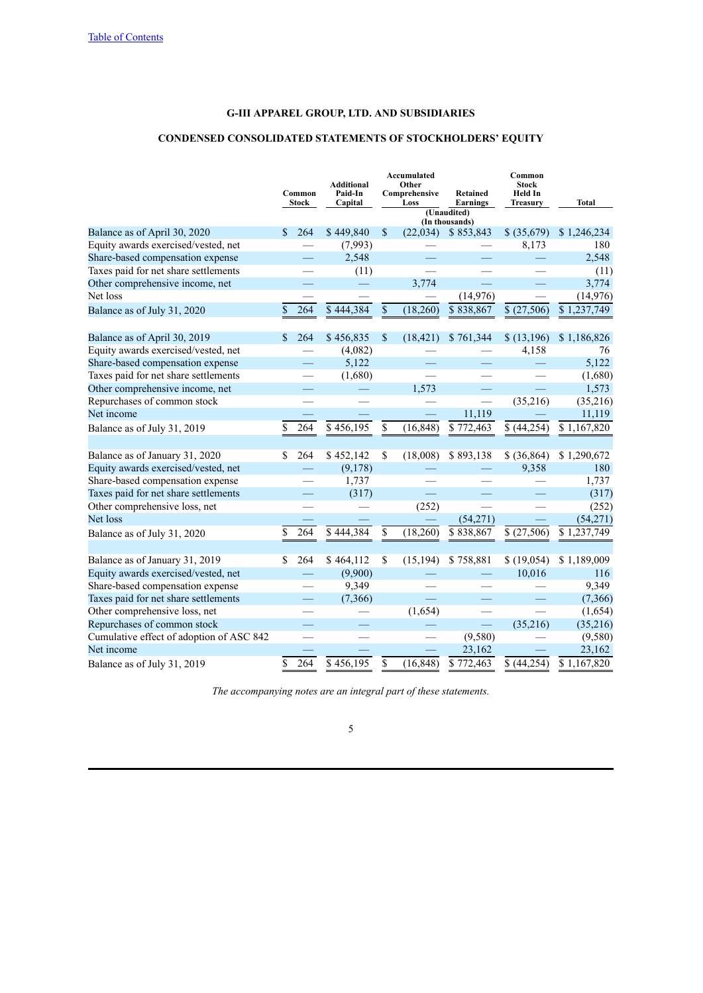# **CONDENSED CONSOLIDATED STATEMENTS OF STOCKHOLDERS' EQUITY**

<span id="page-4-0"></span>

|                                          |              | Common<br>Stock          | <b>Additional</b><br>Paid-In<br>Capital |                 | <b>Accumulated</b><br>Other<br>Comprehensive<br>Loss | Retained<br>Earnings          | Common<br><b>Stock</b><br>Held In<br>Treasury | Total                   |
|------------------------------------------|--------------|--------------------------|-----------------------------------------|-----------------|------------------------------------------------------|-------------------------------|-----------------------------------------------|-------------------------|
|                                          |              |                          |                                         |                 |                                                      | (Unaudited)<br>(In thousands) |                                               |                         |
| Balance as of April 30, 2020             | $\mathbb{S}$ | 264                      | \$449,840                               | \$              | (22,034)                                             | \$853,843                     | \$ (35,679)                                   | \$1,246,234             |
| Equity awards exercised/vested, net      |              |                          | (7,993)                                 |                 |                                                      |                               | 8,173                                         | 180                     |
| Share-based compensation expense         |              |                          | 2,548                                   |                 |                                                      |                               |                                               | 2,548                   |
| Taxes paid for net share settlements     |              |                          | (11)                                    |                 |                                                      |                               |                                               | (11)                    |
| Other comprehensive income, net          |              |                          |                                         |                 | 3,774                                                |                               |                                               | 3,774                   |
| Net loss                                 |              |                          |                                         |                 |                                                      | (14, 976)                     |                                               | (14, 976)               |
| Balance as of July 31, 2020              | \$           | 264                      | $\overline{$}444,384$                   | $\overline{\$}$ | (18,260)                                             | \$838,867                     | $\overline{$(27,506)}$                        | $\overline{$}1,237,749$ |
| Balance as of April 30, 2019             | \$           | 264                      | \$456,835                               | \$              | (18, 421)                                            | \$761,344                     | \$(13,196)                                    | \$1,186,826             |
| Equity awards exercised/vested, net      |              |                          | (4,082)                                 |                 |                                                      |                               | 4,158                                         | 76                      |
| Share-based compensation expense         |              |                          | 5,122                                   |                 |                                                      |                               |                                               | 5,122                   |
| Taxes paid for net share settlements     |              |                          | (1,680)                                 |                 |                                                      |                               |                                               | (1,680)                 |
| Other comprehensive income, net          |              |                          |                                         |                 | 1,573                                                |                               |                                               | 1,573                   |
| Repurchases of common stock              |              |                          |                                         |                 |                                                      | $\overline{\phantom{0}}$      | (35,216)                                      | (35,216)                |
| Net income                               |              |                          |                                         |                 |                                                      | 11,119                        |                                               | 11,119                  |
| Balance as of July 31, 2019              | \$           | 264                      | \$456,195                               | \$              | (16, 848)                                            | $\overline{\$}$ 772,463       | \$ (44,254)                                   | \$1,167,820             |
| Balance as of January 31, 2020           | \$           | 264                      | \$452,142                               | \$              | (18,008)                                             | \$893,138                     | \$ (36,864)                                   | \$1,290,672             |
| Equity awards exercised/vested, net      |              |                          | (9,178)                                 |                 |                                                      |                               | 9,358                                         | 180                     |
| Share-based compensation expense         |              |                          | 1,737                                   |                 |                                                      |                               |                                               | 1,737                   |
| Taxes paid for net share settlements     |              |                          | (317)                                   |                 |                                                      |                               |                                               | (317)                   |
| Other comprehensive loss, net            |              |                          |                                         |                 | (252)                                                |                               |                                               | (252)                   |
| Net loss                                 |              |                          |                                         |                 |                                                      | (54,271)                      |                                               | (54, 271)               |
| Balance as of July 31, 2020              | \$           | 264                      | \$444,384                               | \$              | (18,260)                                             | \$838,867                     | \$(27,506)                                    | \$1,237,749             |
| Balance as of January 31, 2019           | \$           | 264                      | \$464,112                               | \$              | (15, 194)                                            | \$758,881                     | \$(19,054)                                    | \$1,189,009             |
| Equity awards exercised/vested, net      |              | $\overline{\phantom{0}}$ | (9,900)                                 |                 |                                                      |                               | 10,016                                        | 116                     |
| Share-based compensation expense         |              |                          | 9,349                                   |                 |                                                      |                               |                                               | 9,349                   |
| Taxes paid for net share settlements     |              |                          | (7,366)                                 |                 | $\overline{\phantom{a}}$                             |                               |                                               | (7,366)                 |
| Other comprehensive loss, net            |              |                          |                                         |                 | (1,654)                                              |                               |                                               | (1,654)                 |
| Repurchases of common stock              |              |                          |                                         |                 |                                                      | <u>e i</u>                    | (35,216)                                      | (35,216)                |
| Cumulative effect of adoption of ASC 842 |              |                          |                                         |                 |                                                      | (9,580)                       |                                               | (9,580)                 |
| Net income                               |              |                          |                                         |                 |                                                      | 23,162                        |                                               | 23,162                  |
| Balance as of July 31, 2019              | \$           | 264                      | \$456,195                               | \$              | (16, 848)                                            | \$772,463                     | \$ (44,254)                                   | \$1,167,820             |

*The accompanying notes are an integral part of these statements.*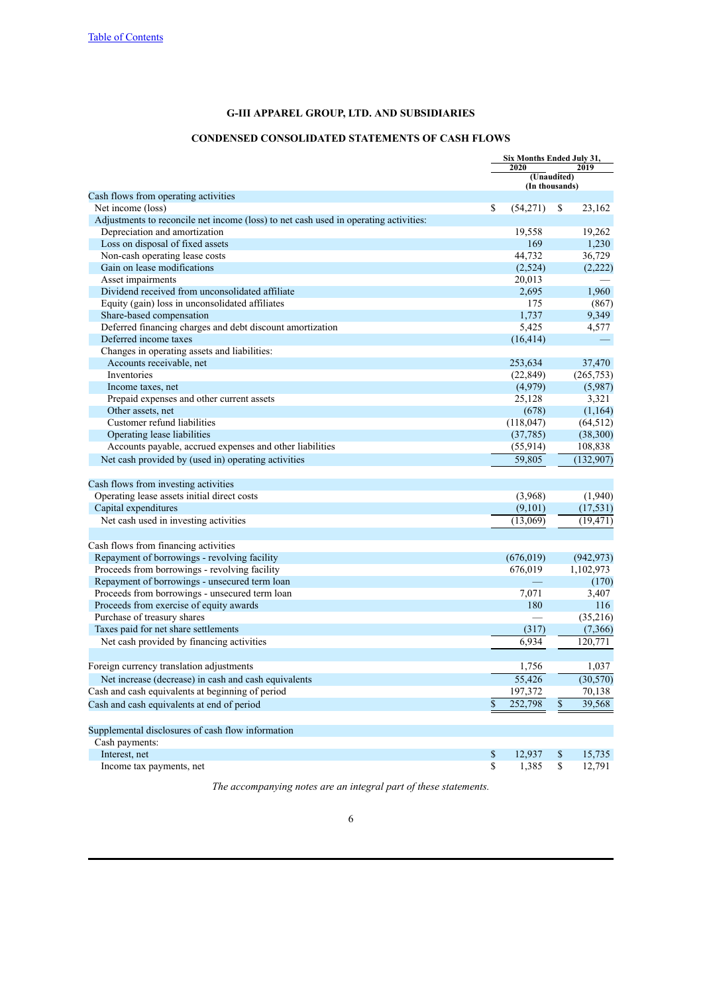# **CONDENSED CONSOLIDATED STATEMENTS OF CASH FLOWS**

<span id="page-5-0"></span>

|                                                                                      | Six Months Ended July 31, |              |            |
|--------------------------------------------------------------------------------------|---------------------------|--------------|------------|
|                                                                                      | 2020<br>(Unaudited)       |              | 2019       |
|                                                                                      | (In thousands)            |              |            |
| Cash flows from operating activities                                                 |                           |              |            |
| Net income (loss)                                                                    | \$<br>(54,271)            | \$           | 23,162     |
| Adjustments to reconcile net income (loss) to net cash used in operating activities: |                           |              |            |
| Depreciation and amortization                                                        | 19,558                    |              | 19,262     |
| Loss on disposal of fixed assets                                                     | 169                       |              | 1,230      |
| Non-cash operating lease costs                                                       | 44,732                    |              | 36,729     |
| Gain on lease modifications                                                          | (2,524)                   |              | (2,222)    |
| Asset impairments                                                                    | 20,013                    |              |            |
| Dividend received from unconsolidated affiliate                                      | 2,695                     |              | 1,960      |
| Equity (gain) loss in unconsolidated affiliates                                      | 175                       |              | (867)      |
| Share-based compensation                                                             | 1,737                     |              | 9,349      |
| Deferred financing charges and debt discount amortization                            | 5,425                     |              | 4,577      |
| Deferred income taxes                                                                | (16, 414)                 |              |            |
| Changes in operating assets and liabilities:                                         |                           |              |            |
| Accounts receivable, net                                                             | 253,634                   |              | 37,470     |
| Inventories                                                                          | (22, 849)                 |              | (265, 753) |
| Income taxes, net                                                                    | (4,979)                   |              | (5,987)    |
| Prepaid expenses and other current assets                                            | 25,128                    |              | 3,321      |
| Other assets, net                                                                    | (678)                     |              | (1,164)    |
| Customer refund liabilities                                                          | (118, 047)                |              | (64, 512)  |
| Operating lease liabilities                                                          | (37, 785)                 |              | (38, 300)  |
| Accounts payable, accrued expenses and other liabilities                             | (55, 914)                 |              | 108,838    |
| Net cash provided by (used in) operating activities                                  | 59.805                    |              | (132, 907) |
| Cash flows from investing activities                                                 |                           |              |            |
| Operating lease assets initial direct costs                                          | (3,968)                   |              | (1,940)    |
| Capital expenditures                                                                 | (9,101)                   |              | (17, 531)  |
| Net cash used in investing activities                                                | (13,069)                  |              | (19, 471)  |
|                                                                                      |                           |              |            |
| Cash flows from financing activities                                                 |                           |              |            |
| Repayment of borrowings - revolving facility                                         | (676, 019)                |              | (942, 973) |
| Proceeds from borrowings - revolving facility                                        | 676,019                   |              | 1,102,973  |
| Repayment of borrowings - unsecured term loan                                        |                           |              | (170)      |
| Proceeds from borrowings - unsecured term loan                                       | 7,071                     |              | 3,407      |
| Proceeds from exercise of equity awards                                              | 180                       |              | 116        |
| Purchase of treasury shares                                                          |                           |              | (35,216)   |
| Taxes paid for net share settlements                                                 | (317)                     |              | (7,366)    |
| Net cash provided by financing activities                                            | 6,934                     |              | 120,771    |
|                                                                                      |                           |              |            |
| Foreign currency translation adjustments                                             | 1,756                     |              | 1,037      |
| Net increase (decrease) in cash and cash equivalents                                 | 55,426                    |              | (30, 570)  |
| Cash and cash equivalents at beginning of period                                     | 197,372                   |              | 70,138     |
| Cash and cash equivalents at end of period                                           | \$<br>252,798             | $\mathbb{S}$ | 39,568     |
| Supplemental disclosures of cash flow information                                    |                           |              |            |
| Cash payments:                                                                       |                           |              |            |
| Interest, net                                                                        | \$<br>12,937              | \$           | 15,735     |
| Income tax payments, net                                                             | \$<br>1,385               | \$           | 12,791     |
|                                                                                      |                           |              |            |

*The accompanying notes are an integral part of these statements.*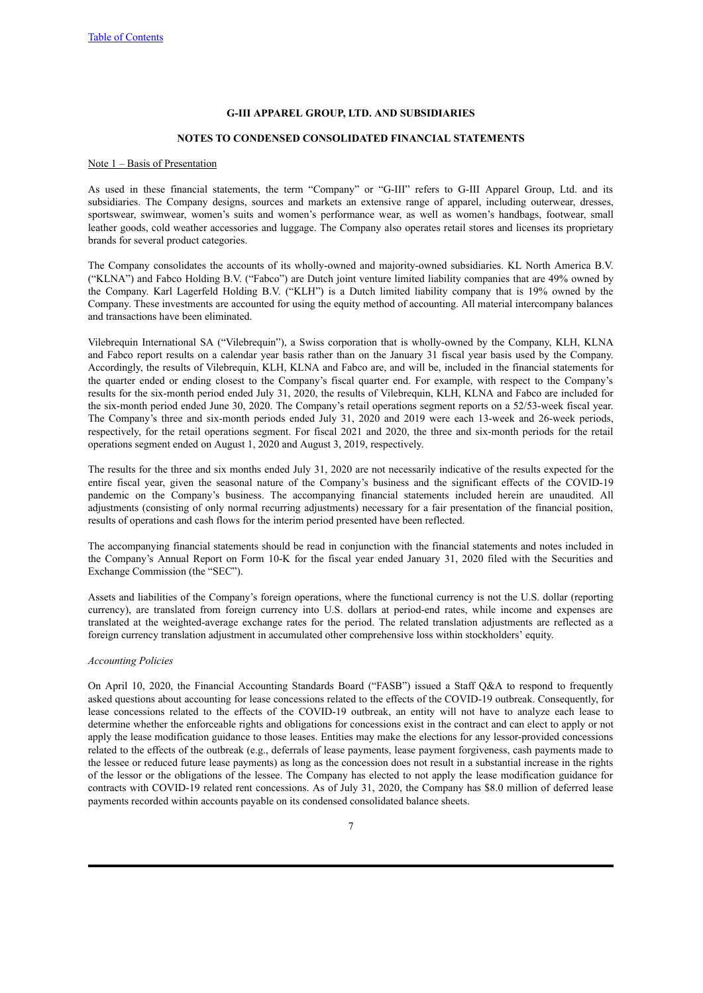## **NOTES TO CONDENSED CONSOLIDATED FINANCIAL STATEMENTS**

# <span id="page-6-0"></span>Note 1 – Basis of Presentation

As used in these financial statements, the term "Company" or "G-III" refers to G-III Apparel Group, Ltd. and its subsidiaries. The Company designs, sources and markets an extensive range of apparel, including outerwear, dresses, sportswear, swimwear, women's suits and women's performance wear, as well as women's handbags, footwear, small leather goods, cold weather accessories and luggage. The Company also operates retail stores and licenses its proprietary brands for several product categories.

The Company consolidates the accounts of its wholly-owned and majority-owned subsidiaries. KL North America B.V. ("KLNA") and Fabco Holding B.V. ("Fabco") are Dutch joint venture limited liability companies that are 49% owned by the Company. Karl Lagerfeld Holding B.V. ("KLH") is a Dutch limited liability company that is 19% owned by the Company. These investments are accounted for using the equity method of accounting. All material intercompany balances and transactions have been eliminated.

Vilebrequin International SA ("Vilebrequin"), a Swiss corporation that is wholly-owned by the Company, KLH, KLNA and Fabco report results on a calendar year basis rather than on the January 31 fiscal year basis used by the Company. Accordingly, the results of Vilebrequin, KLH, KLNA and Fabco are, and will be, included in the financial statements for the quarter ended or ending closest to the Company's fiscal quarter end. For example, with respect to the Company's results for the six-month period ended July 31, 2020, the results of Vilebrequin, KLH, KLNA and Fabco are included for the six-month period ended June 30, 2020. The Company's retail operations segment reports on a 52/53-week fiscal year. The Company's three and six-month periods ended July 31, 2020 and 2019 were each 13-week and 26-week periods, respectively, for the retail operations segment. For fiscal 2021 and 2020, the three and six-month periods for the retail operations segment ended on August 1, 2020 and August 3, 2019, respectively.

The results for the three and six months ended July 31, 2020 are not necessarily indicative of the results expected for the entire fiscal year, given the seasonal nature of the Company's business and the significant effects of the COVID-19 pandemic on the Company's business. The accompanying financial statements included herein are unaudited. All adjustments (consisting of only normal recurring adjustments) necessary for a fair presentation of the financial position, results of operations and cash flows for the interim period presented have been reflected.

The accompanying financial statements should be read in conjunction with the financial statements and notes included in the Company's Annual Report on Form 10-K for the fiscal year ended January 31, 2020 filed with the Securities and Exchange Commission (the "SEC").

Assets and liabilities of the Company's foreign operations, where the functional currency is not the U.S. dollar (reporting currency), are translated from foreign currency into U.S. dollars at period-end rates, while income and expenses are translated at the weighted-average exchange rates for the period. The related translation adjustments are reflected as a foreign currency translation adjustment in accumulated other comprehensive loss within stockholders' equity.

#### *Accounting Policies*

On April 10, 2020, the Financial Accounting Standards Board ("FASB") issued a Staff Q&A to respond to frequently asked questions about accounting for lease concessions related to the effects of the COVID-19 outbreak. Consequently, for lease concessions related to the effects of the COVID-19 outbreak, an entity will not have to analyze each lease to determine whether the enforceable rights and obligations for concessions exist in the contract and can elect to apply or not apply the lease modification guidance to those leases. Entities may make the elections for any lessor-provided concessions related to the effects of the outbreak (e.g., deferrals of lease payments, lease payment forgiveness, cash payments made to the lessee or reduced future lease payments) as long as the concession does not result in a substantial increase in the rights of the lessor or the obligations of the lessee. The Company has elected to not apply the lease modification guidance for contracts with COVID-19 related rent concessions. As of July 31, 2020, the Company has \$8.0 million of deferred lease payments recorded within accounts payable on its condensed consolidated balance sheets.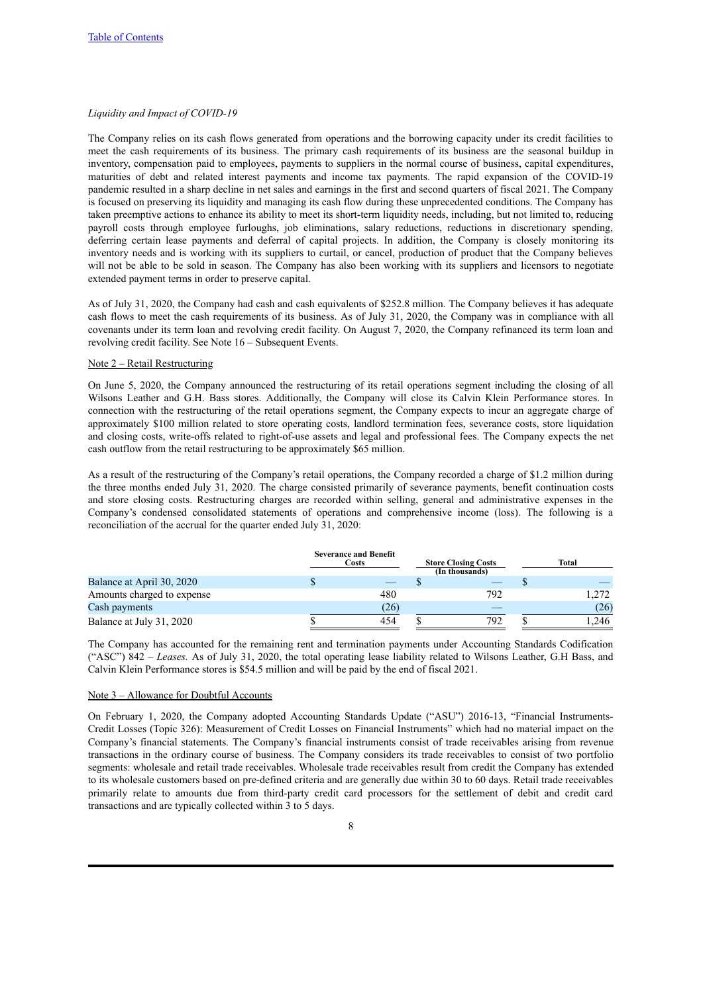# *Liquidity and Impact of COVID-19*

The Company relies on its cash flows generated from operations and the borrowing capacity under its credit facilities to meet the cash requirements of its business. The primary cash requirements of its business are the seasonal buildup in inventory, compensation paid to employees, payments to suppliers in the normal course of business, capital expenditures, maturities of debt and related interest payments and income tax payments. The rapid expansion of the COVID-19 pandemic resulted in a sharp decline in net sales and earnings in the first and second quarters of fiscal 2021. The Company is focused on preserving its liquidity and managing its cash flow during these unprecedented conditions. The Company has taken preemptive actions to enhance its ability to meet its short-term liquidity needs, including, but not limited to, reducing payroll costs through employee furloughs, job eliminations, salary reductions, reductions in discretionary spending, deferring certain lease payments and deferral of capital projects. In addition, the Company is closely monitoring its inventory needs and is working with its suppliers to curtail, or cancel, production of product that the Company believes will not be able to be sold in season. The Company has also been working with its suppliers and licensors to negotiate extended payment terms in order to preserve capital.

As of July 31, 2020, the Company had cash and cash equivalents of \$252.8 million. The Company believes it has adequate cash flows to meet the cash requirements of its business. As of July 31, 2020, the Company was in compliance with all covenants under its term loan and revolving credit facility. On August 7, 2020, the Company refinanced its term loan and revolving credit facility. See Note 16 – Subsequent Events.

#### Note 2 – Retail Restructuring

On June 5, 2020, the Company announced the restructuring of its retail operations segment including the closing of all Wilsons Leather and G.H. Bass stores. Additionally, the Company will close its Calvin Klein Performance stores. In connection with the restructuring of the retail operations segment, the Company expects to incur an aggregate charge of approximately \$100 million related to store operating costs, landlord termination fees, severance costs, store liquidation and closing costs, write-offs related to right-of-use assets and legal and professional fees. The Company expects the net cash outflow from the retail restructuring to be approximately \$65 million.

As a result of the restructuring of the Company's retail operations, the Company recorded a charge of \$1.2 million during the three months ended July 31, 2020. The charge consisted primarily of severance payments, benefit continuation costs and store closing costs. Restructuring charges are recorded within selling, general and administrative expenses in the Company's condensed consolidated statements of operations and comprehensive income (loss). The following is a reconciliation of the accrual for the quarter ended July 31, 2020:

|                            | <b>Severance and Benefit</b><br>Costs | <b>Store Closing Costs</b><br>(In thousands) | Total |       |  |
|----------------------------|---------------------------------------|----------------------------------------------|-------|-------|--|
| Balance at April 30, 2020  |                                       |                                              |       |       |  |
| Amounts charged to expense | 480                                   | 792                                          |       | 1.272 |  |
| Cash payments              | (26)                                  |                                              |       | (26)  |  |
| Balance at July 31, 2020   | 454                                   | 792                                          |       | .246  |  |

The Company has accounted for the remaining rent and termination payments under Accounting Standards Codification ("ASC") 842 – *Leases.* As of July 31, 2020, the total operating lease liability related to Wilsons Leather, G.H Bass, and Calvin Klein Performance stores is \$54.5 million and will be paid by the end of fiscal 2021.

### Note 3 – Allowance for Doubtful Accounts

On February 1, 2020, the Company adopted Accounting Standards Update ("ASU") 2016-13, "Financial Instruments-Credit Losses (Topic 326): Measurement of Credit Losses on Financial Instruments" which had no material impact on the Company's financial statements. The Company's financial instruments consist of trade receivables arising from revenue transactions in the ordinary course of business. The Company considers its trade receivables to consist of two portfolio segments: wholesale and retail trade receivables. Wholesale trade receivables result from credit the Company has extended to its wholesale customers based on pre-defined criteria and are generally due within 30 to 60 days. Retail trade receivables primarily relate to amounts due from third-party credit card processors for the settlement of debit and credit card transactions and are typically collected within 3 to 5 days.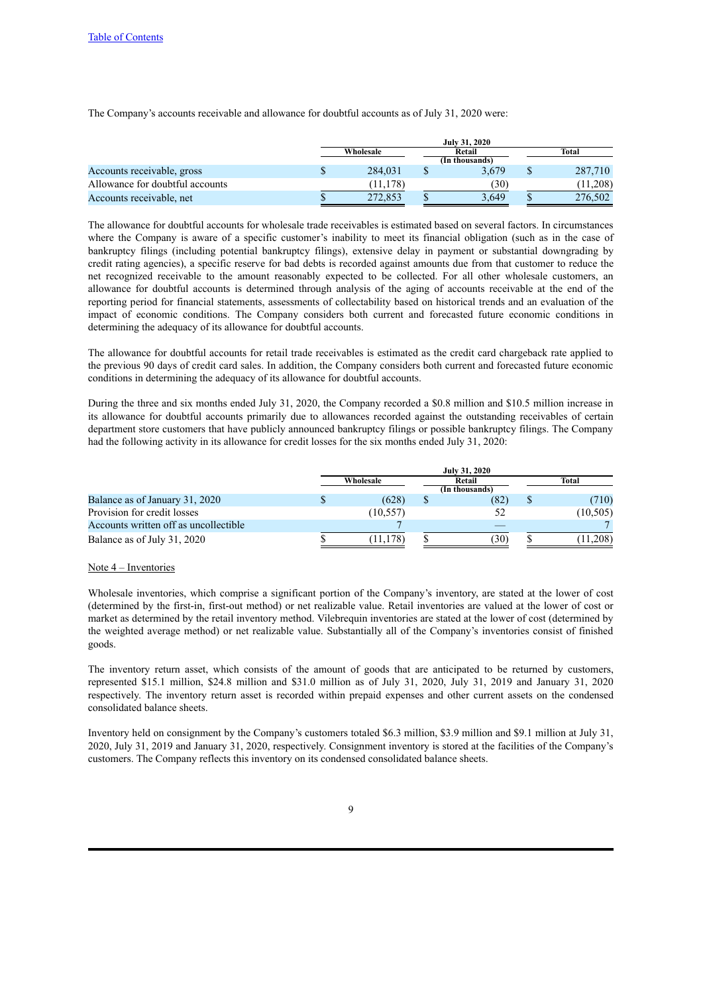The Company's accounts receivable and allowance for doubtful accounts as of July 31, 2020 were:

|                                 | July 31, 2020 |  |                |  |          |  |  |  |  |
|---------------------------------|---------------|--|----------------|--|----------|--|--|--|--|
|                                 | Wholesale     |  | Retail         |  | Total    |  |  |  |  |
|                                 |               |  | (In thousands) |  |          |  |  |  |  |
| Accounts receivable, gross      | 284,031       |  | 3.679          |  | 287.710  |  |  |  |  |
| Allowance for doubtful accounts | (11, 178)     |  | (30)           |  | (11,208) |  |  |  |  |
| Accounts receivable, net        | 272,853       |  | 3.649          |  | 276,502  |  |  |  |  |

The allowance for doubtful accounts for wholesale trade receivables is estimated based on several factors. In circumstances where the Company is aware of a specific customer's inability to meet its financial obligation (such as in the case of bankruptcy filings (including potential bankruptcy filings), extensive delay in payment or substantial downgrading by credit rating agencies), a specific reserve for bad debts is recorded against amounts due from that customer to reduce the net recognized receivable to the amount reasonably expected to be collected. For all other wholesale customers, an allowance for doubtful accounts is determined through analysis of the aging of accounts receivable at the end of the reporting period for financial statements, assessments of collectability based on historical trends and an evaluation of the impact of economic conditions. The Company considers both current and forecasted future economic conditions in determining the adequacy of its allowance for doubtful accounts.

The allowance for doubtful accounts for retail trade receivables is estimated as the credit card chargeback rate applied to the previous 90 days of credit card sales. In addition, the Company considers both current and forecasted future economic conditions in determining the adequacy of its allowance for doubtful accounts.

During the three and six months ended July 31, 2020, the Company recorded a \$0.8 million and \$10.5 million increase in its allowance for doubtful accounts primarily due to allowances recorded against the outstanding receivables of certain department store customers that have publicly announced bankruptcy filings or possible bankruptcy filings. The Company had the following activity in its allowance for credit losses for the six months ended July 31, 2020:

|                                       | July 31, 2020 |  |                |  |           |  |  |  |  |
|---------------------------------------|---------------|--|----------------|--|-----------|--|--|--|--|
|                                       | Wholesale     |  | Retail         |  | Total     |  |  |  |  |
|                                       |               |  | (In thousands) |  |           |  |  |  |  |
| Balance as of January 31, 2020        | (628)         |  | (82)           |  | (710)     |  |  |  |  |
| Provision for credit losses           | (10, 557)     |  |                |  | (10, 505) |  |  |  |  |
| Accounts written off as uncollectible |               |  |                |  |           |  |  |  |  |
| Balance as of July 31, 2020           | (11.178       |  | 30)            |  | (11,208)  |  |  |  |  |

# Note 4 – Inventories

Wholesale inventories, which comprise a significant portion of the Company's inventory, are stated at the lower of cost (determined by the first-in, first-out method) or net realizable value. Retail inventories are valued at the lower of cost or market as determined by the retail inventory method. Vilebrequin inventories are stated at the lower of cost (determined by the weighted average method) or net realizable value. Substantially all of the Company's inventories consist of finished goods.

The inventory return asset, which consists of the amount of goods that are anticipated to be returned by customers, represented \$15.1 million, \$24.8 million and \$31.0 million as of July 31, 2020, July 31, 2019 and January 31, 2020 respectively. The inventory return asset is recorded within prepaid expenses and other current assets on the condensed consolidated balance sheets.

Inventory held on consignment by the Company's customers totaled \$6.3 million, \$3.9 million and \$9.1 million at July 31, 2020, July 31, 2019 and January 31, 2020, respectively. Consignment inventory is stored at the facilities of the Company's customers. The Company reflects this inventory on its condensed consolidated balance sheets.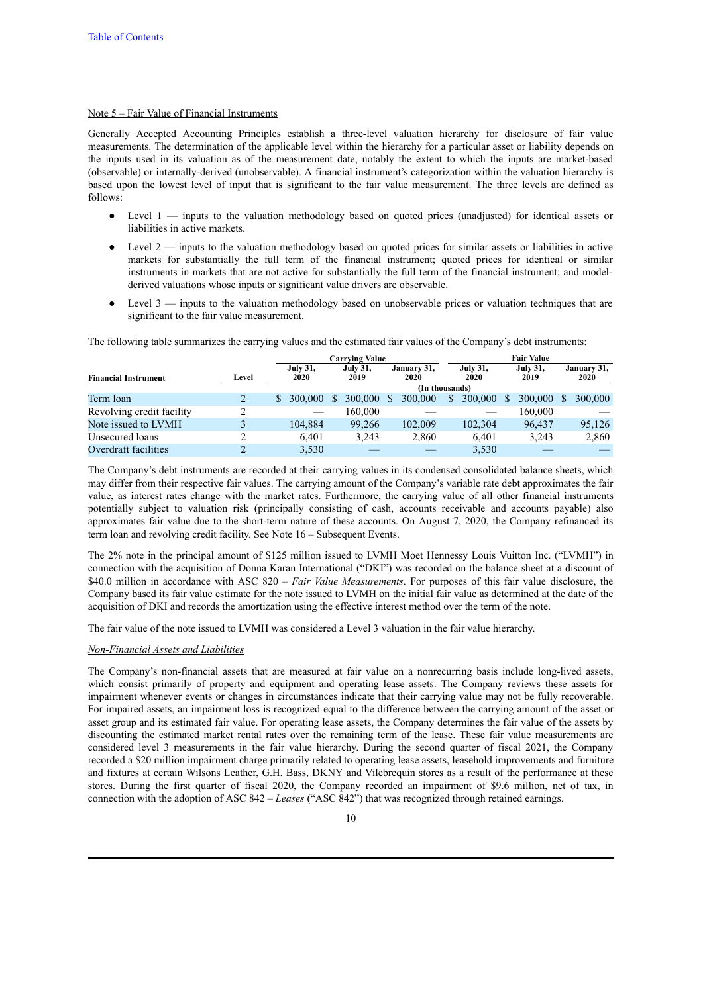# Note 5 – Fair Value of Financial Instruments

Generally Accepted Accounting Principles establish a three-level valuation hierarchy for disclosure of fair value measurements. The determination of the applicable level within the hierarchy for a particular asset or liability depends on the inputs used in its valuation as of the measurement date, notably the extent to which the inputs are market-based (observable) or internally-derived (unobservable). A financial instrument's categorization within the valuation hierarchy is based upon the lowest level of input that is significant to the fair value measurement. The three levels are defined as follows:

- Level 1 inputs to the valuation methodology based on quoted prices (unadjusted) for identical assets or liabilities in active markets.
- Level  $2$  inputs to the valuation methodology based on quoted prices for similar assets or liabilities in active markets for substantially the full term of the financial instrument; quoted prices for identical or similar instruments in markets that are not active for substantially the full term of the financial instrument; and modelderived valuations whose inputs or significant value drivers are observable.
- Level  $3$  inputs to the valuation methodology based on unobservable prices or valuation techniques that are significant to the fair value measurement.

|                             |       |                         | <b>Carrving Value</b>       |                     |                         | <b>Fair Value</b>       |                     |  |  |  |
|-----------------------------|-------|-------------------------|-----------------------------|---------------------|-------------------------|-------------------------|---------------------|--|--|--|
| <b>Financial Instrument</b> | Level | <b>July 31,</b><br>2020 | <b>July 31,</b><br>2019     | January 31,<br>2020 | <b>July 31,</b><br>2020 | <b>July 31,</b><br>2019 | January 31,<br>2020 |  |  |  |
|                             |       |                         |                             |                     | (In thousands)          |                         |                     |  |  |  |
| Term loan                   |       | 300,000                 | $300,000 \text{ }$ \$<br>S. | 300,000             | S<br>300,000            | 300,000<br>S            | 300,000             |  |  |  |
| Revolving credit facility   |       |                         | 160.000                     |                     |                         | 160,000                 |                     |  |  |  |
| Note issued to LVMH         |       | 104.884                 | 99.266                      | 102,009             | 102.304                 | 96.437                  | 95,126              |  |  |  |
| Unsecured loans             |       | 6.401                   | 3.243                       | 2,860               | 6.401                   | 3,243                   | 2,860               |  |  |  |
| Overdraft facilities        |       | 3,530                   |                             |                     | 3,530                   |                         |                     |  |  |  |

The following table summarizes the carrying values and the estimated fair values of the Company's debt instruments:

The Company's debt instruments are recorded at their carrying values in its condensed consolidated balance sheets, which may differ from their respective fair values. The carrying amount of the Company's variable rate debt approximates the fair value, as interest rates change with the market rates. Furthermore, the carrying value of all other financial instruments potentially subject to valuation risk (principally consisting of cash, accounts receivable and accounts payable) also approximates fair value due to the short-term nature of these accounts. On August 7, 2020, the Company refinanced its term loan and revolving credit facility. See Note 16 – Subsequent Events.

The 2% note in the principal amount of \$125 million issued to LVMH Moet Hennessy Louis Vuitton Inc. ("LVMH") in connection with the acquisition of Donna Karan International ("DKI") was recorded on the balance sheet at a discount of \$40.0 million in accordance with ASC 820 – *Fair Value Measurements*. For purposes of this fair value disclosure, the Company based its fair value estimate for the note issued to LVMH on the initial fair value as determined at the date of the acquisition of DKI and records the amortization using the effective interest method over the term of the note.

The fair value of the note issued to LVMH was considered a Level 3 valuation in the fair value hierarchy.

# *Non-Financial Assets and Liabilities*

The Company's non-financial assets that are measured at fair value on a nonrecurring basis include long-lived assets, which consist primarily of property and equipment and operating lease assets. The Company reviews these assets for impairment whenever events or changes in circumstances indicate that their carrying value may not be fully recoverable. For impaired assets, an impairment loss is recognized equal to the difference between the carrying amount of the asset or asset group and its estimated fair value. For operating lease assets, the Company determines the fair value of the assets by discounting the estimated market rental rates over the remaining term of the lease. These fair value measurements are considered level 3 measurements in the fair value hierarchy. During the second quarter of fiscal 2021, the Company recorded a \$20 million impairment charge primarily related to operating lease assets, leasehold improvements and furniture and fixtures at certain Wilsons Leather, G.H. Bass, DKNY and Vilebrequin stores as a result of the performance at these stores. During the first quarter of fiscal 2020, the Company recorded an impairment of \$9.6 million, net of tax, in connection with the adoption of ASC 842 – *Leases* ("ASC 842") that was recognized through retained earnings.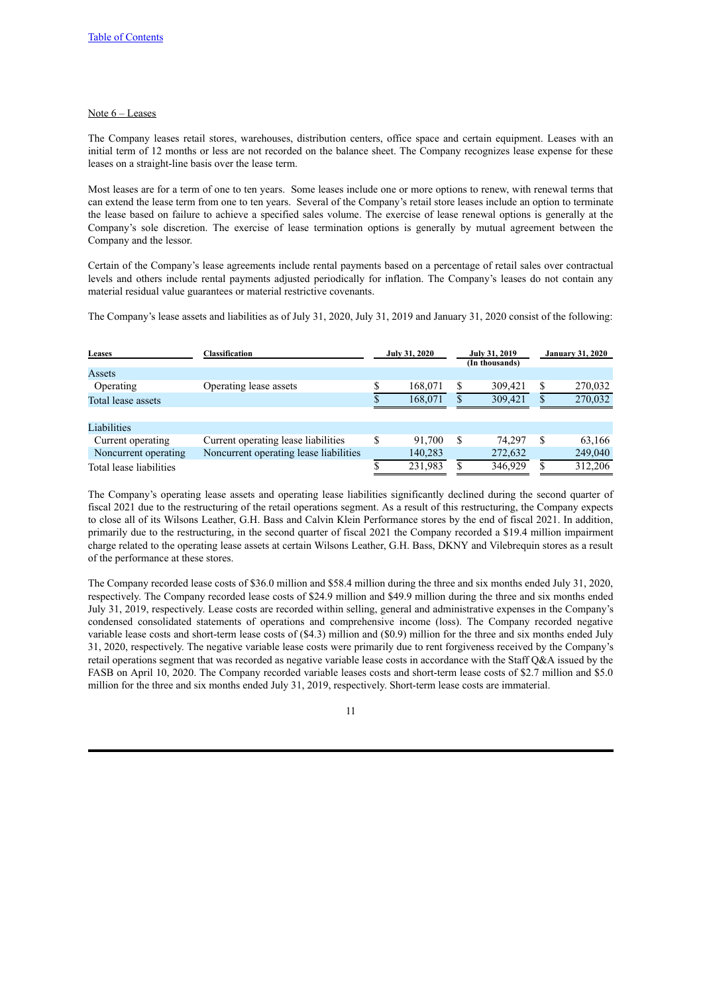### Note 6 – Leases

The Company leases retail stores, warehouses, distribution centers, office space and certain equipment. Leases with an initial term of 12 months or less are not recorded on the balance sheet. The Company recognizes lease expense for these leases on a straight-line basis over the lease term.

Most leases are for a term of one to ten years. Some leases include one or more options to renew, with renewal terms that can extend the lease term from one to ten years. Several of the Company's retail store leases include an option to terminate the lease based on failure to achieve a specified sales volume. The exercise of lease renewal options is generally at the Company's sole discretion. The exercise of lease termination options is generally by mutual agreement between the Company and the lessor.

Certain of the Company's lease agreements include rental payments based on a percentage of retail sales over contractual levels and others include rental payments adjusted periodically for inflation. The Company's leases do not contain any material residual value guarantees or material restrictive covenants.

The Company's lease assets and liabilities as of July 31, 2020, July 31, 2019 and January 31, 2020 consist of the following:

| Leases                  | Classification                         |  | July 31, 2020 |    | July 31, 2019  | <b>January 31, 2020</b> |         |  |
|-------------------------|----------------------------------------|--|---------------|----|----------------|-------------------------|---------|--|
|                         |                                        |  |               |    | (In thousands) |                         |         |  |
| Assets                  |                                        |  |               |    |                |                         |         |  |
| Operating               | Operating lease assets                 |  | 168.071       |    | 309.421        | S                       | 270,032 |  |
| Total lease assets      |                                        |  | 168,071       |    | 309.421        | S                       | 270,032 |  |
|                         |                                        |  |               |    |                |                         |         |  |
| Liabilities             |                                        |  |               |    |                |                         |         |  |
| Current operating       | Current operating lease liabilities    |  | 91.700        | -S | 74.297         | S                       | 63.166  |  |
| Noncurrent operating    | Noncurrent operating lease liabilities |  | 140,283       |    | 272,632        |                         | 249,040 |  |
| Total lease liabilities |                                        |  | 231.983       |    | 346.929        |                         | 312.206 |  |

The Company's operating lease assets and operating lease liabilities significantly declined during the second quarter of fiscal 2021 due to the restructuring of the retail operations segment. As a result of this restructuring, the Company expects to close all of its Wilsons Leather, G.H. Bass and Calvin Klein Performance stores by the end of fiscal 2021. In addition, primarily due to the restructuring, in the second quarter of fiscal 2021 the Company recorded a \$19.4 million impairment charge related to the operating lease assets at certain Wilsons Leather, G.H. Bass, DKNY and Vilebrequin stores as a result of the performance at these stores.

The Company recorded lease costs of \$36.0 million and \$58.4 million during the three and six months ended July 31, 2020, respectively. The Company recorded lease costs of \$24.9 million and \$49.9 million during the three and six months ended July 31, 2019, respectively. Lease costs are recorded within selling, general and administrative expenses in the Company's condensed consolidated statements of operations and comprehensive income (loss). The Company recorded negative variable lease costs and short-term lease costs of (\$4.3) million and (\$0.9) million for the three and six months ended July 31, 2020, respectively. The negative variable lease costs were primarily due to rent forgiveness received by the Company's retail operations segment that was recorded as negative variable lease costs in accordance with the Staff Q&A issued by the FASB on April 10, 2020. The Company recorded variable leases costs and short-term lease costs of \$2.7 million and \$5.0 million for the three and six months ended July 31, 2019, respectively. Short-term lease costs are immaterial.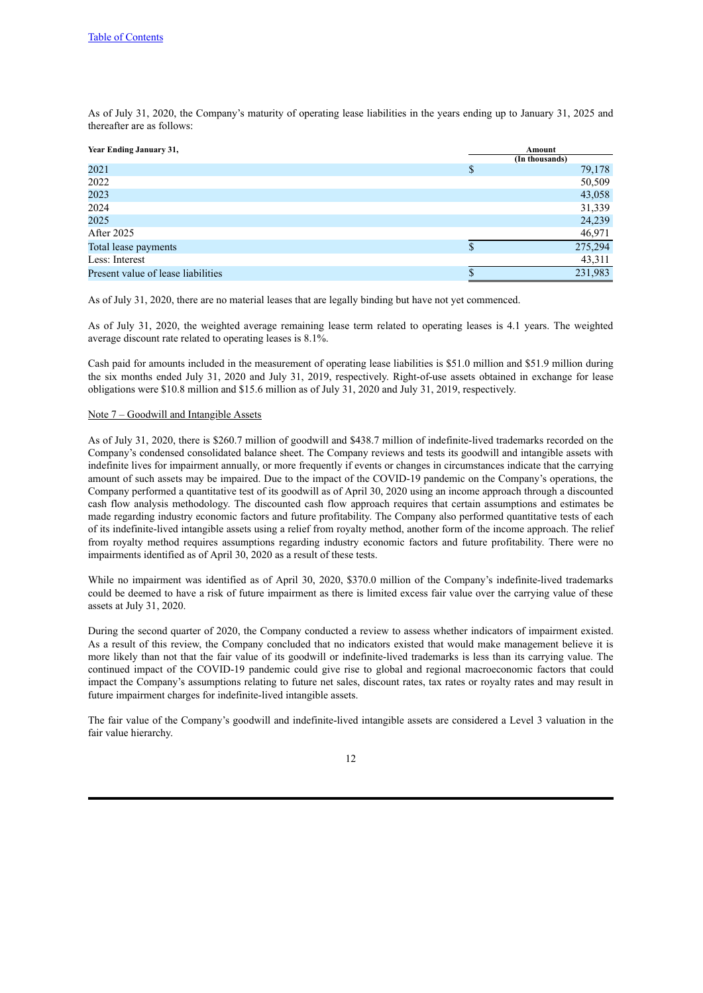As of July 31, 2020, the Company's maturity of operating lease liabilities in the years ending up to January 31, 2025 and thereafter are as follows:

| Year Ending January 31,            | Amount |                |  |  |  |
|------------------------------------|--------|----------------|--|--|--|
|                                    |        | (In thousands) |  |  |  |
| 2021                               | \$     | 79,178         |  |  |  |
| 2022                               |        | 50,509         |  |  |  |
| 2023                               |        | 43,058         |  |  |  |
| 2024                               |        | 31,339         |  |  |  |
| 2025                               |        | 24,239         |  |  |  |
| After 2025                         |        | 46,971         |  |  |  |
| Total lease payments               |        | 275,294        |  |  |  |
| Less: Interest                     |        | 43,311         |  |  |  |
| Present value of lease liabilities |        | 231,983        |  |  |  |

As of July 31, 2020, there are no material leases that are legally binding but have not yet commenced.

As of July 31, 2020, the weighted average remaining lease term related to operating leases is 4.1 years. The weighted average discount rate related to operating leases is 8.1%.

Cash paid for amounts included in the measurement of operating lease liabilities is \$51.0 million and \$51.9 million during the six months ended July 31, 2020 and July 31, 2019, respectively. Right-of-use assets obtained in exchange for lease obligations were \$10.8 million and \$15.6 million as of July 31, 2020 and July 31, 2019, respectively.

# Note 7 – Goodwill and Intangible Assets

As of July 31, 2020, there is \$260.7 million of goodwill and \$438.7 million of indefinite-lived trademarks recorded on the Company's condensed consolidated balance sheet. The Company reviews and tests its goodwill and intangible assets with indefinite lives for impairment annually, or more frequently if events or changes in circumstances indicate that the carrying amount of such assets may be impaired. Due to the impact of the COVID-19 pandemic on the Company's operations, the Company performed a quantitative test of its goodwill as of April 30, 2020 using an income approach through a discounted cash flow analysis methodology. The discounted cash flow approach requires that certain assumptions and estimates be made regarding industry economic factors and future profitability. The Company also performed quantitative tests of each of its indefinite-lived intangible assets using a relief from royalty method, another form of the income approach. The relief from royalty method requires assumptions regarding industry economic factors and future profitability. There were no impairments identified as of April 30, 2020 as a result of these tests.

While no impairment was identified as of April 30, 2020, \$370.0 million of the Company's indefinite-lived trademarks could be deemed to have a risk of future impairment as there is limited excess fair value over the carrying value of these assets at July 31, 2020.

During the second quarter of 2020, the Company conducted a review to assess whether indicators of impairment existed. As a result of this review, the Company concluded that no indicators existed that would make management believe it is more likely than not that the fair value of its goodwill or indefinite-lived trademarks is less than its carrying value. The continued impact of the COVID-19 pandemic could give rise to global and regional macroeconomic factors that could impact the Company's assumptions relating to future net sales, discount rates, tax rates or royalty rates and may result in future impairment charges for indefinite-lived intangible assets.

The fair value of the Company's goodwill and indefinite-lived intangible assets are considered a Level 3 valuation in the fair value hierarchy.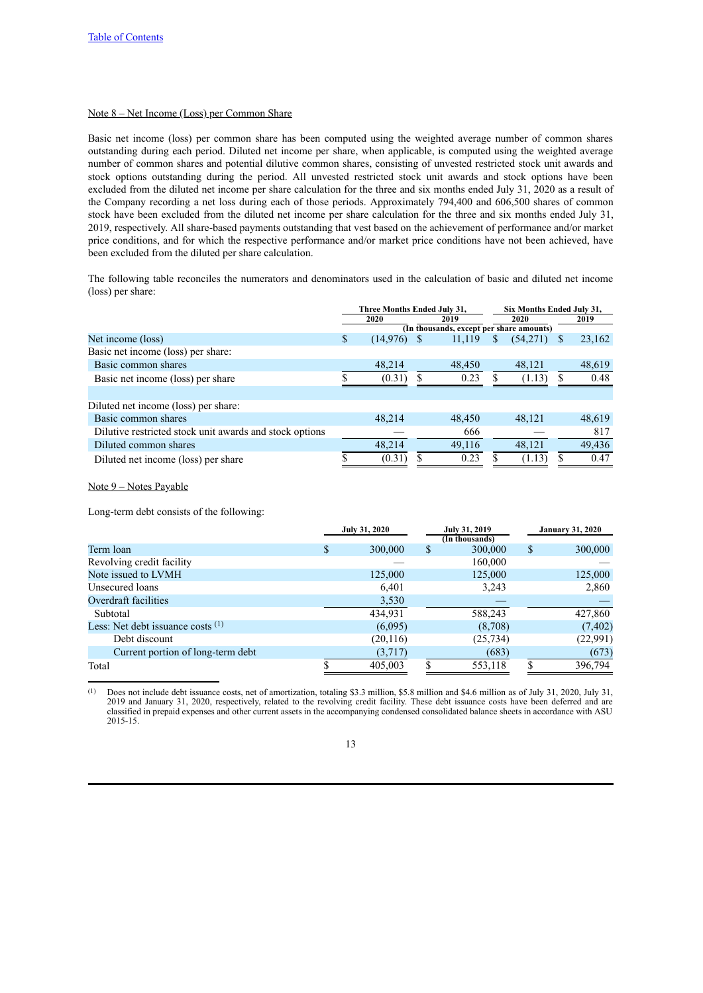# Note 8 – Net Income (Loss) per Common Share

Basic net income (loss) per common share has been computed using the weighted average number of common shares outstanding during each period. Diluted net income per share, when applicable, is computed using the weighted average number of common shares and potential dilutive common shares, consisting of unvested restricted stock unit awards and stock options outstanding during the period. All unvested restricted stock unit awards and stock options have been excluded from the diluted net income per share calculation for the three and six months ended July 31, 2020 as a result of the Company recording a net loss during each of those periods. Approximately 794,400 and 606,500 shares of common stock have been excluded from the diluted net income per share calculation for the three and six months ended July 31, 2019, respectively. All share-based payments outstanding that vest based on the achievement of performance and/or market price conditions, and for which the respective performance and/or market price conditions have not been achieved, have been excluded from the diluted per share calculation.

The following table reconciles the numerators and denominators used in the calculation of basic and diluted net income (loss) per share:

|                                                         |   | <b>Three Months Ended July 31.</b> |  |                                          | Six Months Ended July 31, |          |  |        |  |
|---------------------------------------------------------|---|------------------------------------|--|------------------------------------------|---------------------------|----------|--|--------|--|
|                                                         |   | 2020                               |  | 2019                                     | 2020                      |          |  | 2019   |  |
|                                                         |   |                                    |  | (In thousands, except per share amounts) |                           |          |  |        |  |
| Net income (loss)                                       | S | (14,976)                           |  | 11,119                                   | S                         | (54,271) |  | 23,162 |  |
| Basic net income (loss) per share:                      |   |                                    |  |                                          |                           |          |  |        |  |
| Basic common shares                                     |   | 48,214                             |  | 48,450                                   |                           | 48,121   |  | 48,619 |  |
| Basic net income (loss) per share                       |   | (0.31)                             |  | 0.23                                     | S                         | (1.13)   |  | 0.48   |  |
|                                                         |   |                                    |  |                                          |                           |          |  |        |  |
| Diluted net income (loss) per share:                    |   |                                    |  |                                          |                           |          |  |        |  |
| Basic common shares                                     |   | 48.214                             |  | 48,450                                   |                           | 48,121   |  | 48,619 |  |
| Dilutive restricted stock unit awards and stock options |   |                                    |  | 666                                      |                           |          |  | 817    |  |
| Diluted common shares                                   |   | 48.214                             |  | 49,116                                   |                           | 48,121   |  | 49,436 |  |
| Diluted net income (loss) per share                     |   | (0.31)                             |  | 0.23                                     |                           | (1.13)   |  | 0.47   |  |
|                                                         |   |                                    |  |                                          |                           |          |  |        |  |

# Note 9 – Notes Payable

Long-term debt consists of the following:

|                                     | July 31, 2020 | July 31, 2019 |                              |    | <b>January 31, 2020</b> |
|-------------------------------------|---------------|---------------|------------------------------|----|-------------------------|
|                                     |               |               | $(\overline{\ln}$ thousands) |    |                         |
| Term loan                           | \$<br>300,000 | \$            | 300,000                      | \$ | 300,000                 |
| Revolving credit facility           |               |               | 160.000                      |    |                         |
| Note issued to LVMH                 | 125,000       |               | 125,000                      |    | 125,000                 |
| Unsecured loans                     | 6,401         |               | 3,243                        |    | 2,860                   |
| Overdraft facilities                | 3,530         |               |                              |    |                         |
| Subtotal                            | 434,931       |               | 588,243                      |    | 427,860                 |
| Less: Net debt issuance costs $(1)$ | (6,095)       |               | (8,708)                      |    | (7, 402)                |
| Debt discount                       | (20, 116)     |               | (25, 734)                    |    | (22,991)                |
| Current portion of long-term debt   | (3,717)       |               | (683)                        |    | (673)                   |
| Total                               | 405,003       | S             | 553,118                      | e  | 396,794                 |

(1) Does not include debt issuance costs, net of amortization, totaling \$3.3 million, \$5.8 million and \$4.6 million as of July 31, 2020, July 31, 2019 and January 31, 2020, respectively, related to the revolving credit facility. These debt issuance costs have been deferred and are classified in prepaid expenses and other current assets in the accompanying condensed consolidated balance sheets in accordance with ASU 2015-15.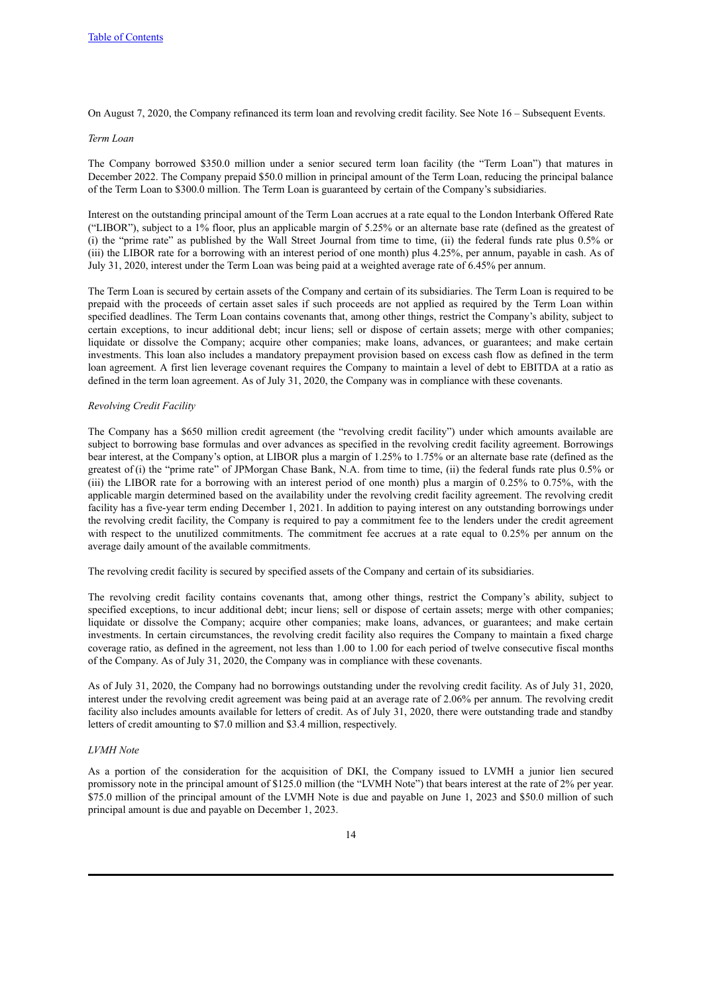On August 7, 2020, the Company refinanced its term loan and revolving credit facility. See Note 16 – Subsequent Events.

#### *Term Loan*

The Company borrowed \$350.0 million under a senior secured term loan facility (the "Term Loan") that matures in December 2022. The Company prepaid \$50.0 million in principal amount of the Term Loan, reducing the principal balance of the Term Loan to \$300.0 million. The Term Loan is guaranteed by certain of the Company's subsidiaries.

Interest on the outstanding principal amount of the Term Loan accrues at a rate equal to the London Interbank Offered Rate ("LIBOR"), subject to a 1% floor, plus an applicable margin of 5.25% or an alternate base rate (defined as the greatest of (i) the "prime rate" as published by the Wall Street Journal from time to time, (ii) the federal funds rate plus 0.5% or (iii) the LIBOR rate for a borrowing with an interest period of one month) plus 4.25%, per annum, payable in cash. As of July 31, 2020, interest under the Term Loan was being paid at a weighted average rate of 6.45% per annum.

The Term Loan is secured by certain assets of the Company and certain of its subsidiaries. The Term Loan is required to be prepaid with the proceeds of certain asset sales if such proceeds are not applied as required by the Term Loan within specified deadlines. The Term Loan contains covenants that, among other things, restrict the Company's ability, subject to certain exceptions, to incur additional debt; incur liens; sell or dispose of certain assets; merge with other companies; liquidate or dissolve the Company; acquire other companies; make loans, advances, or guarantees; and make certain investments. This loan also includes a mandatory prepayment provision based on excess cash flow as defined in the term loan agreement. A first lien leverage covenant requires the Company to maintain a level of debt to EBITDA at a ratio as defined in the term loan agreement. As of July 31, 2020, the Company was in compliance with these covenants.

### *Revolving Credit Facility*

The Company has a \$650 million credit agreement (the "revolving credit facility") under which amounts available are subject to borrowing base formulas and over advances as specified in the revolving credit facility agreement. Borrowings bear interest, at the Company's option, at LIBOR plus a margin of 1.25% to 1.75% or an alternate base rate (defined as the greatest of (i) the "prime rate" of JPMorgan Chase Bank, N.A. from time to time, (ii) the federal funds rate plus 0.5% or (iii) the LIBOR rate for a borrowing with an interest period of one month) plus a margin of 0.25% to 0.75%, with the applicable margin determined based on the availability under the revolving credit facility agreement. The revolving credit facility has a five-year term ending December 1, 2021. In addition to paying interest on any outstanding borrowings under the revolving credit facility, the Company is required to pay a commitment fee to the lenders under the credit agreement with respect to the unutilized commitments. The commitment fee accrues at a rate equal to 0.25% per annum on the average daily amount of the available commitments.

The revolving credit facility is secured by specified assets of the Company and certain of its subsidiaries.

The revolving credit facility contains covenants that, among other things, restrict the Company's ability, subject to specified exceptions, to incur additional debt; incur liens; sell or dispose of certain assets; merge with other companies; liquidate or dissolve the Company; acquire other companies; make loans, advances, or guarantees; and make certain investments. In certain circumstances, the revolving credit facility also requires the Company to maintain a fixed charge coverage ratio, as defined in the agreement, not less than 1.00 to 1.00 for each period of twelve consecutive fiscal months of the Company. As of July 31, 2020, the Company was in compliance with these covenants.

As of July 31, 2020, the Company had no borrowings outstanding under the revolving credit facility. As of July 31, 2020, interest under the revolving credit agreement was being paid at an average rate of 2.06% per annum. The revolving credit facility also includes amounts available for letters of credit. As of July 31, 2020, there were outstanding trade and standby letters of credit amounting to \$7.0 million and \$3.4 million, respectively.

# *LVMH Note*

As a portion of the consideration for the acquisition of DKI, the Company issued to LVMH a junior lien secured promissory note in the principal amount of \$125.0 million (the "LVMH Note") that bears interest at the rate of 2% per year. \$75.0 million of the principal amount of the LVMH Note is due and payable on June 1, 2023 and \$50.0 million of such principal amount is due and payable on December 1, 2023.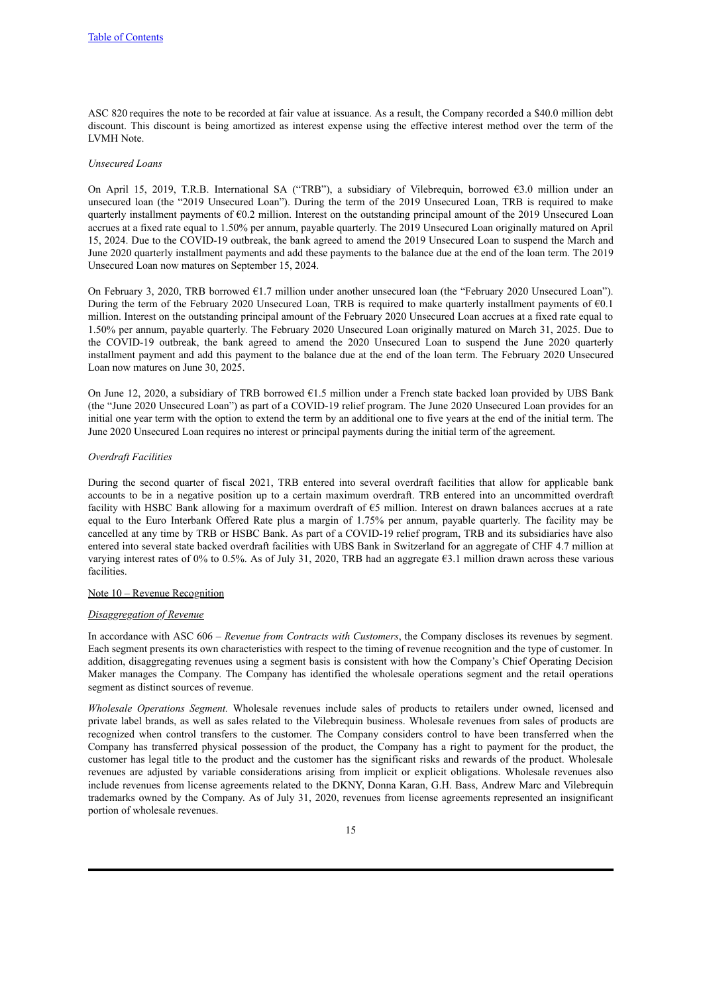ASC 820 requires the note to be recorded at fair value at issuance. As a result, the Company recorded a \$40.0 million debt discount. This discount is being amortized as interest expense using the effective interest method over the term of the LVMH Note.

### *Unsecured Loans*

On April 15, 2019, T.R.B. International SA ("TRB"), a subsidiary of Vilebrequin, borrowed €3.0 million under an unsecured loan (the "2019 Unsecured Loan"). During the term of the 2019 Unsecured Loan, TRB is required to make quarterly installment payments of  $\epsilon 0.2$  million. Interest on the outstanding principal amount of the 2019 Unsecured Loan accrues at a fixed rate equal to 1.50% per annum, payable quarterly. The 2019 Unsecured Loan originally matured on April 15, 2024. Due to the COVID-19 outbreak, the bank agreed to amend the 2019 Unsecured Loan to suspend the March and June 2020 quarterly installment payments and add these payments to the balance due at the end of the loan term. The 2019 Unsecured Loan now matures on September 15, 2024.

On February 3, 2020, TRB borrowed €1.7 million under another unsecured loan (the "February 2020 Unsecured Loan"). During the term of the February 2020 Unsecured Loan, TRB is required to make quarterly installment payments of  $\epsilon 0.1$ million. Interest on the outstanding principal amount of the February 2020 Unsecured Loan accrues at a fixed rate equal to 1.50% per annum, payable quarterly. The February 2020 Unsecured Loan originally matured on March 31, 2025. Due to the COVID-19 outbreak, the bank agreed to amend the 2020 Unsecured Loan to suspend the June 2020 quarterly installment payment and add this payment to the balance due at the end of the loan term. The February 2020 Unsecured Loan now matures on June 30, 2025.

On June 12, 2020, a subsidiary of TRB borrowed €1.5 million under a French state backed loan provided by UBS Bank (the "June 2020 Unsecured Loan") as part of a COVID-19 relief program. The June 2020 Unsecured Loan provides for an initial one year term with the option to extend the term by an additional one to five years at the end of the initial term. The June 2020 Unsecured Loan requires no interest or principal payments during the initial term of the agreement.

### *Overdraft Facilities*

During the second quarter of fiscal 2021, TRB entered into several overdraft facilities that allow for applicable bank accounts to be in a negative position up to a certain maximum overdraft. TRB entered into an uncommitted overdraft facility with HSBC Bank allowing for a maximum overdraft of €5 million. Interest on drawn balances accrues at a rate equal to the Euro Interbank Offered Rate plus a margin of 1.75% per annum, payable quarterly. The facility may be cancelled at any time by TRB or HSBC Bank. As part of a COVID-19 relief program, TRB and its subsidiaries have also entered into several state backed overdraft facilities with UBS Bank in Switzerland for an aggregate of CHF 4.7 million at varying interest rates of 0% to 0.5%. As of July 31, 2020, TRB had an aggregate  $\epsilon$ 3.1 million drawn across these various facilities.

#### Note 10 – Revenue Recognition

#### *Disaggregation of Revenue*

In accordance with ASC 606 – *Revenue from Contracts with Customers*, the Company discloses its revenues by segment. Each segment presents its own characteristics with respect to the timing of revenue recognition and the type of customer. In addition, disaggregating revenues using a segment basis is consistent with how the Company's Chief Operating Decision Maker manages the Company. The Company has identified the wholesale operations segment and the retail operations segment as distinct sources of revenue.

*Wholesale Operations Segment.* Wholesale revenues include sales of products to retailers under owned, licensed and private label brands, as well as sales related to the Vilebrequin business. Wholesale revenues from sales of products are recognized when control transfers to the customer. The Company considers control to have been transferred when the Company has transferred physical possession of the product, the Company has a right to payment for the product, the customer has legal title to the product and the customer has the significant risks and rewards of the product. Wholesale revenues are adjusted by variable considerations arising from implicit or explicit obligations. Wholesale revenues also include revenues from license agreements related to the DKNY, Donna Karan, G.H. Bass, Andrew Marc and Vilebrequin trademarks owned by the Company. As of July 31, 2020, revenues from license agreements represented an insignificant portion of wholesale revenues.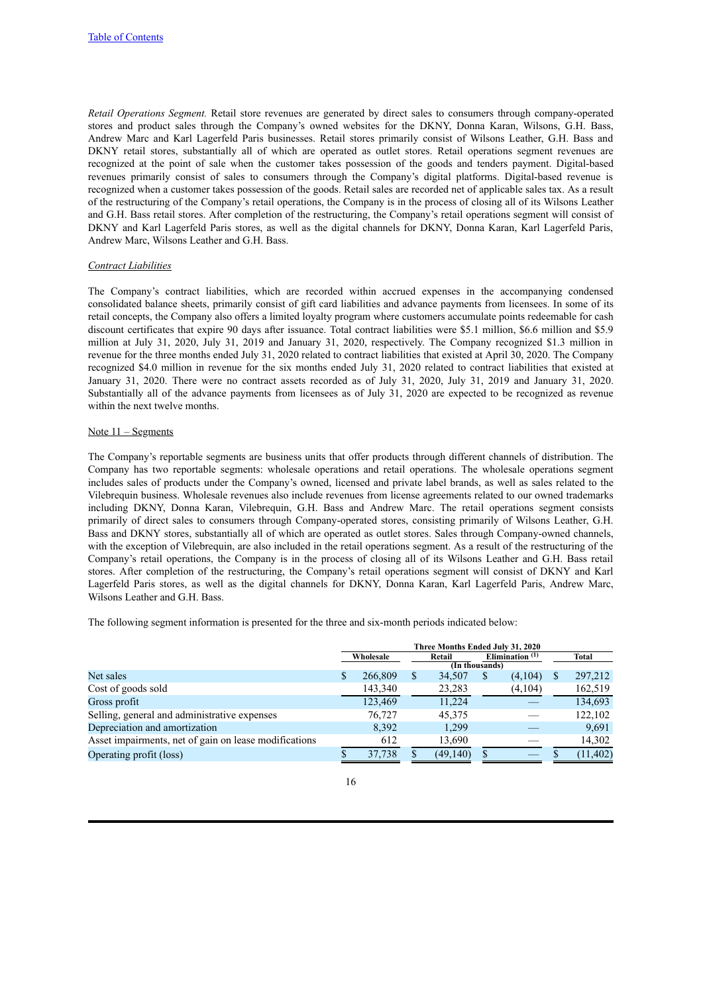*Retail Operations Segment.* Retail store revenues are generated by direct sales to consumers through company-operated stores and product sales through the Company's owned websites for the DKNY, Donna Karan, Wilsons, G.H. Bass, Andrew Marc and Karl Lagerfeld Paris businesses. Retail stores primarily consist of Wilsons Leather, G.H. Bass and DKNY retail stores, substantially all of which are operated as outlet stores. Retail operations segment revenues are recognized at the point of sale when the customer takes possession of the goods and tenders payment. Digital-based revenues primarily consist of sales to consumers through the Company's digital platforms. Digital-based revenue is recognized when a customer takes possession of the goods. Retail sales are recorded net of applicable sales tax. As a result of the restructuring of the Company's retail operations, the Company is in the process of closing all of its Wilsons Leather and G.H. Bass retail stores. After completion of the restructuring, the Company's retail operations segment will consist of DKNY and Karl Lagerfeld Paris stores, as well as the digital channels for DKNY, Donna Karan, Karl Lagerfeld Paris, Andrew Marc, Wilsons Leather and G.H. Bass.

#### *Contract Liabilities*

The Company's contract liabilities, which are recorded within accrued expenses in the accompanying condensed consolidated balance sheets, primarily consist of gift card liabilities and advance payments from licensees. In some of its retail concepts, the Company also offers a limited loyalty program where customers accumulate points redeemable for cash discount certificates that expire 90 days after issuance. Total contract liabilities were \$5.1 million, \$6.6 million and \$5.9 million at July 31, 2020, July 31, 2019 and January 31, 2020, respectively. The Company recognized \$1.3 million in revenue for the three months ended July 31, 2020 related to contract liabilities that existed at April 30, 2020. The Company recognized \$4.0 million in revenue for the six months ended July 31, 2020 related to contract liabilities that existed at January 31, 2020. There were no contract assets recorded as of July 31, 2020, July 31, 2019 and January 31, 2020. Substantially all of the advance payments from licensees as of July 31, 2020 are expected to be recognized as revenue within the next twelve months.

#### Note 11 – Segments

The Company's reportable segments are business units that offer products through different channels of distribution. The Company has two reportable segments: wholesale operations and retail operations. The wholesale operations segment includes sales of products under the Company's owned, licensed and private label brands, as well as sales related to the Vilebrequin business. Wholesale revenues also include revenues from license agreements related to our owned trademarks including DKNY, Donna Karan, Vilebrequin, G.H. Bass and Andrew Marc. The retail operations segment consists primarily of direct sales to consumers through Company-operated stores, consisting primarily of Wilsons Leather, G.H. Bass and DKNY stores, substantially all of which are operated as outlet stores. Sales through Company-owned channels, with the exception of Vilebrequin, are also included in the retail operations segment. As a result of the restructuring of the Company's retail operations, the Company is in the process of closing all of its Wilsons Leather and G.H. Bass retail stores. After completion of the restructuring, the Company's retail operations segment will consist of DKNY and Karl Lagerfeld Paris stores, as well as the digital channels for DKNY, Donna Karan, Karl Lagerfeld Paris, Andrew Marc, Wilsons Leather and G.H. Bass.

The following segment information is presented for the three and six-month periods indicated below:

|                                                       |   |           |   | Three Months Ended July 31, 2020 |                   |           |
|-------------------------------------------------------|---|-----------|---|----------------------------------|-------------------|-----------|
|                                                       |   | Wholesale |   | Retail                           | Elimination $(1)$ | Total     |
|                                                       |   |           |   | (In thousands)                   |                   |           |
| Net sales                                             | S | 266,809   | S | 34,507                           | (4,104)           | 297,212   |
| Cost of goods sold                                    |   | 143,340   |   | 23,283                           | (4,104)           | 162,519   |
| Gross profit                                          |   | 123.469   |   | 11.224                           |                   | 134,693   |
| Selling, general and administrative expenses          |   | 76.727    |   | 45,375                           |                   | 122,102   |
| Depreciation and amortization                         |   | 8,392     |   | 1.299                            |                   | 9,691     |
| Asset impairments, net of gain on lease modifications |   | 612       |   | 13,690                           |                   | 14,302    |
| Operating profit (loss)                               |   | 37,738    |   | (49, 140)                        |                   | (11, 402) |

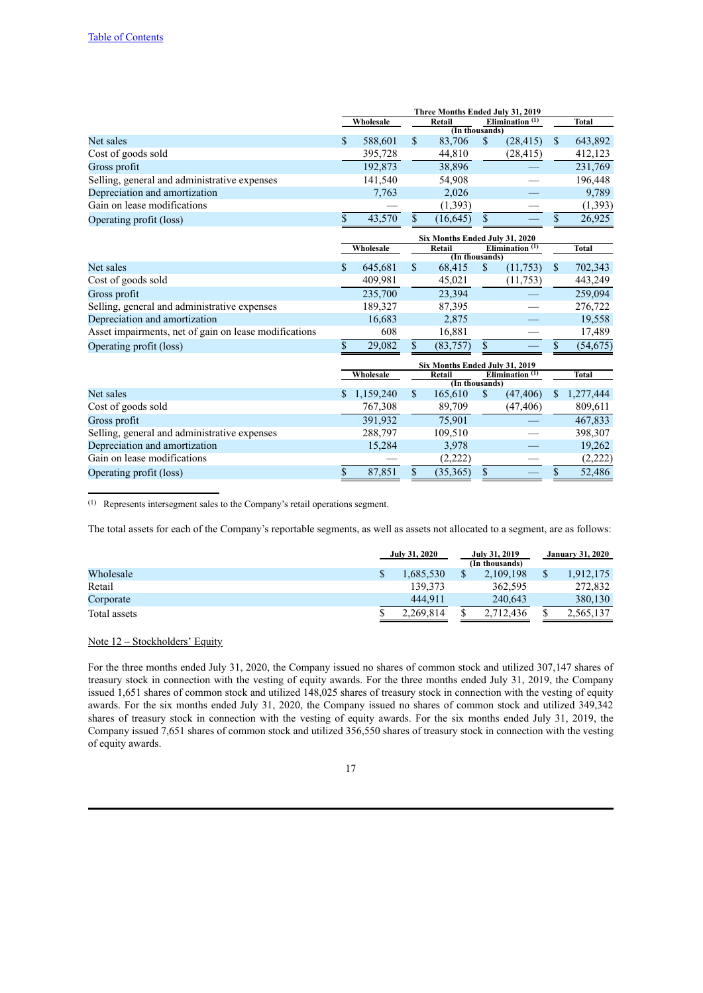|                                                       | Three Months Ended July 31, 2019 |           |                                               |                                |               |                   |               |              |
|-------------------------------------------------------|----------------------------------|-----------|-----------------------------------------------|--------------------------------|---------------|-------------------|---------------|--------------|
|                                                       |                                  | Wholesale | Elimination $(1)$<br>Retail<br>(In thousands) |                                | <b>Total</b>  |                   |               |              |
| Net sales                                             | \$                               | 588,601   | <sup>\$</sup>                                 | 83,706                         | $\mathbf S$   | (28, 415)         | <sup>\$</sup> | 643,892      |
| Cost of goods sold                                    |                                  | 395,728   |                                               | 44,810                         |               | (28, 415)         |               | 412,123      |
| Gross profit                                          |                                  | 192,873   |                                               | 38,896                         |               |                   |               | 231,769      |
| Selling, general and administrative expenses          |                                  | 141,540   |                                               | 54,908                         |               |                   |               | 196,448      |
| Depreciation and amortization                         |                                  | 7,763     |                                               | 2,026                          |               |                   |               | 9,789        |
| Gain on lease modifications                           |                                  |           |                                               | (1, 393)                       |               |                   |               | (1, 393)     |
| Operating profit (loss)                               | \$                               | 43,570    | \$                                            | (16, 645)                      | \$            |                   | \$            | 26,925       |
|                                                       |                                  |           |                                               | Six Months Ended July 31, 2020 |               |                   |               |              |
|                                                       |                                  | Wholesale |                                               | Retail                         |               | Elimination $(1)$ |               | <b>Total</b> |
| Net sales                                             | S                                | 645,681   | <sup>S</sup>                                  | (In thousands)<br>68,415       | S.            | (11,753)          | <sup>\$</sup> | 702,343      |
| Cost of goods sold                                    |                                  | 409,981   |                                               | 45,021                         |               | (11, 753)         |               | 443,249      |
| Gross profit                                          |                                  | 235,700   |                                               | 23,394                         |               |                   |               | 259,094      |
| Selling, general and administrative expenses          |                                  | 189,327   |                                               | 87,395                         |               |                   |               | 276,722      |
| Depreciation and amortization                         |                                  | 16,683    |                                               | 2,875                          |               |                   |               | 19,558       |
| Asset impairments, net of gain on lease modifications |                                  | 608       |                                               | 16,881                         |               |                   |               | 17,489       |
| Operating profit (loss)                               | \$                               | 29,082    | \$                                            | (83,757)                       | \$            |                   | \$            | (54, 675)    |
|                                                       |                                  |           |                                               | Six Months Ended July 31, 2019 |               |                   |               |              |
|                                                       |                                  | Wholesale |                                               | Retail                         |               | Elimination $(1)$ |               | <b>Total</b> |
| Net sales                                             | S.                               | 1,159,240 | $\mathcal{S}$                                 | (In thousands)<br>165,610      | $\mathbf{\$}$ | (47, 406)         | \$            | 1,277,444    |
| Cost of goods sold                                    |                                  | 767,308   |                                               | 89,709                         |               | (47, 406)         |               | 809,611      |
| Gross profit                                          |                                  | 391,932   |                                               | 75,901                         |               |                   |               | 467,833      |
| Selling, general and administrative expenses          |                                  | 288,797   |                                               | 109,510                        |               |                   |               | 398,307      |
| Depreciation and amortization                         |                                  | 15,284    |                                               | 3,978                          |               |                   |               | 19,262       |
| Gain on lease modifications                           |                                  |           |                                               | (2,222)                        |               |                   |               | (2,222)      |
| Operating profit (loss)                               | \$                               | 87,851    | \$                                            | (35,365)                       | \$            |                   | \$            | 52,486       |

(1) Represents intersegment sales to the Company's retail operations segment.

The total assets for each of the Company's reportable segments, as well as assets not allocated to a segment, are as follows:

|              | July 31, 2020 |           | July 31, 2019 |                | <b>January 31, 2020</b> |
|--------------|---------------|-----------|---------------|----------------|-------------------------|
|              |               |           |               | (In thousands) |                         |
| Wholesale    |               | 1.685.530 |               | 2,109,198      | 1,912,175               |
| Retail       |               | 139,373   |               | 362,595        | 272,832                 |
| Corporate    |               | 444.911   |               | 240.643        | 380,130                 |
| Total assets |               | 2.269.814 |               | 2,712,436      | 2,565,137               |

# Note 12 – Stockholders' Equity

For the three months ended July 31, 2020, the Company issued no shares of common stock and utilized 307,147 shares of treasury stock in connection with the vesting of equity awards. For the three months ended July 31, 2019, the Company issued 1,651 shares of common stock and utilized 148,025 shares of treasury stock in connection with the vesting of equity awards. For the six months ended July 31, 2020, the Company issued no shares of common stock and utilized 349,342 shares of treasury stock in connection with the vesting of equity awards. For the six months ended July 31, 2019, the Company issued 7,651 shares of common stock and utilized 356,550 shares of treasury stock in connection with the vesting of equity awards.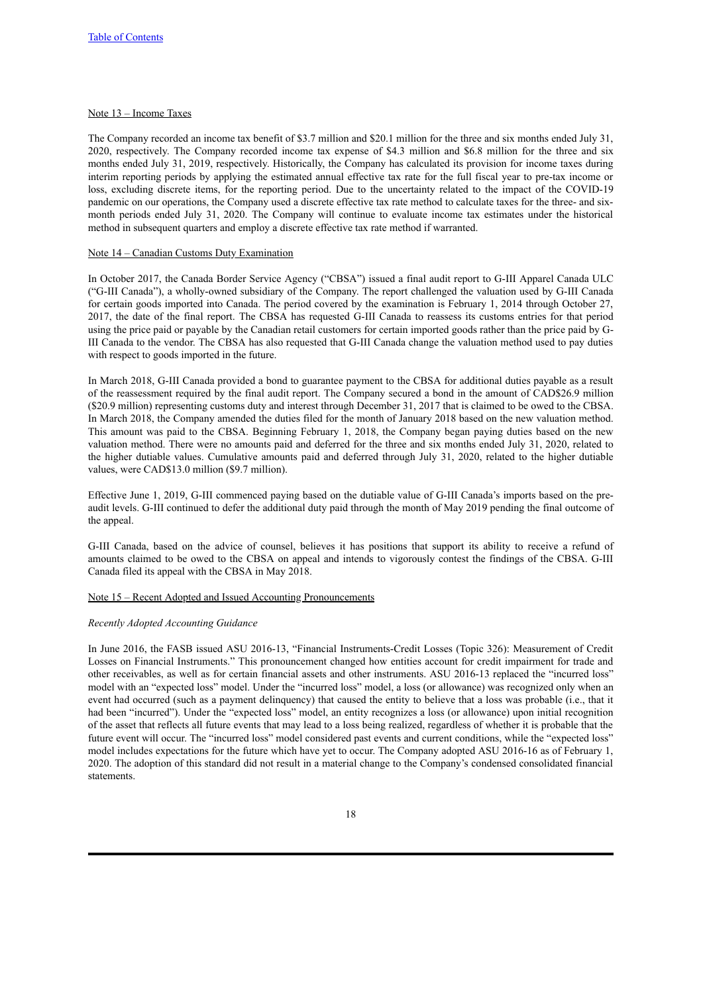# Note 13 – Income Taxes

The Company recorded an income tax benefit of \$3.7 million and \$20.1 million for the three and six months ended July 31, 2020, respectively. The Company recorded income tax expense of \$4.3 million and \$6.8 million for the three and six months ended July 31, 2019, respectively. Historically, the Company has calculated its provision for income taxes during interim reporting periods by applying the estimated annual effective tax rate for the full fiscal year to pre-tax income or loss, excluding discrete items, for the reporting period. Due to the uncertainty related to the impact of the COVID-19 pandemic on our operations, the Company used a discrete effective tax rate method to calculate taxes for the three- and sixmonth periods ended July 31, 2020. The Company will continue to evaluate income tax estimates under the historical method in subsequent quarters and employ a discrete effective tax rate method if warranted.

#### Note 14 – Canadian Customs Duty Examination

In October 2017, the Canada Border Service Agency ("CBSA") issued a final audit report to G-III Apparel Canada ULC ("G-III Canada"), a wholly-owned subsidiary of the Company. The report challenged the valuation used by G-III Canada for certain goods imported into Canada. The period covered by the examination is February 1, 2014 through October 27, 2017, the date of the final report. The CBSA has requested G-III Canada to reassess its customs entries for that period using the price paid or payable by the Canadian retail customers for certain imported goods rather than the price paid by G-III Canada to the vendor. The CBSA has also requested that G-III Canada change the valuation method used to pay duties with respect to goods imported in the future.

In March 2018, G-III Canada provided a bond to guarantee payment to the CBSA for additional duties payable as a result of the reassessment required by the final audit report. The Company secured a bond in the amount of CAD\$26.9 million (\$20.9 million) representing customs duty and interest through December 31, 2017 that is claimed to be owed to the CBSA. In March 2018, the Company amended the duties filed for the month of January 2018 based on the new valuation method. This amount was paid to the CBSA. Beginning February 1, 2018, the Company began paying duties based on the new valuation method. There were no amounts paid and deferred for the three and six months ended July 31, 2020, related to the higher dutiable values. Cumulative amounts paid and deferred through July 31, 2020, related to the higher dutiable values, were CAD\$13.0 million (\$9.7 million).

Effective June 1, 2019, G-III commenced paying based on the dutiable value of G-III Canada's imports based on the preaudit levels. G-III continued to defer the additional duty paid through the month of May 2019 pending the final outcome of the appeal.

G-III Canada, based on the advice of counsel, believes it has positions that support its ability to receive a refund of amounts claimed to be owed to the CBSA on appeal and intends to vigorously contest the findings of the CBSA. G-III Canada filed its appeal with the CBSA in May 2018.

# Note 15 – Recent Adopted and Issued Accounting Pronouncements

#### *Recently Adopted Accounting Guidance*

In June 2016, the FASB issued ASU 2016-13, "Financial Instruments-Credit Losses (Topic 326): Measurement of Credit Losses on Financial Instruments." This pronouncement changed how entities account for credit impairment for trade and other receivables, as well as for certain financial assets and other instruments. ASU 2016-13 replaced the "incurred loss" model with an "expected loss" model. Under the "incurred loss" model, a loss (or allowance) was recognized only when an event had occurred (such as a payment delinquency) that caused the entity to believe that a loss was probable (i.e., that it had been "incurred"). Under the "expected loss" model, an entity recognizes a loss (or allowance) upon initial recognition of the asset that reflects all future events that may lead to a loss being realized, regardless of whether it is probable that the future event will occur. The "incurred loss" model considered past events and current conditions, while the "expected loss" model includes expectations for the future which have yet to occur. The Company adopted ASU 2016-16 as of February 1, 2020. The adoption of this standard did not result in a material change to the Company's condensed consolidated financial statements.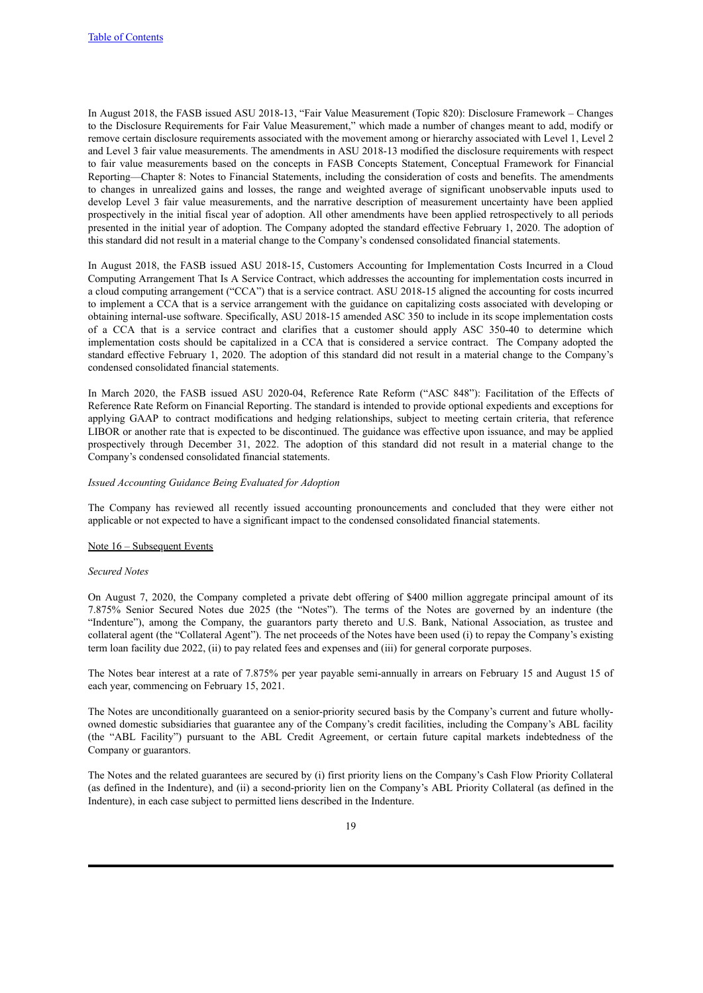In August 2018, the FASB issued ASU 2018-13, "Fair Value Measurement (Topic 820): Disclosure Framework – Changes to the Disclosure Requirements for Fair Value Measurement," which made a number of changes meant to add, modify or remove certain disclosure requirements associated with the movement among or hierarchy associated with Level 1, Level 2 and Level 3 fair value measurements. The amendments in ASU 2018-13 modified the disclosure requirements with respect to fair value measurements based on the concepts in FASB Concepts Statement, Conceptual Framework for Financial Reporting—Chapter 8: Notes to Financial Statements, including the consideration of costs and benefits. The amendments to changes in unrealized gains and losses, the range and weighted average of significant unobservable inputs used to develop Level 3 fair value measurements, and the narrative description of measurement uncertainty have been applied prospectively in the initial fiscal year of adoption. All other amendments have been applied retrospectively to all periods presented in the initial year of adoption. The Company adopted the standard effective February 1, 2020. The adoption of this standard did not result in a material change to the Company's condensed consolidated financial statements.

In August 2018, the FASB issued ASU 2018-15, Customers Accounting for Implementation Costs Incurred in a Cloud Computing Arrangement That Is A Service Contract, which addresses the accounting for implementation costs incurred in a cloud computing arrangement ("CCA") that is a service contract. ASU 2018-15 aligned the accounting for costs incurred to implement a CCA that is a service arrangement with the guidance on capitalizing costs associated with developing or obtaining internal-use software. Specifically, ASU 2018-15 amended ASC 350 to include in its scope implementation costs of a CCA that is a service contract and clarifies that a customer should apply ASC 350-40 to determine which implementation costs should be capitalized in a CCA that is considered a service contract. The Company adopted the standard effective February 1, 2020. The adoption of this standard did not result in a material change to the Company's condensed consolidated financial statements.

In March 2020, the FASB issued ASU 2020-04, Reference Rate Reform ("ASC 848"): Facilitation of the Effects of Reference Rate Reform on Financial Reporting. The standard is intended to provide optional expedients and exceptions for applying GAAP to contract modifications and hedging relationships, subject to meeting certain criteria, that reference LIBOR or another rate that is expected to be discontinued. The guidance was effective upon issuance, and may be applied prospectively through December 31, 2022. The adoption of this standard did not result in a material change to the Company's condensed consolidated financial statements.

### *Issued Accounting Guidance Being Evaluated for Adoption*

The Company has reviewed all recently issued accounting pronouncements and concluded that they were either not applicable or not expected to have a significant impact to the condensed consolidated financial statements.

#### Note 16 – Subsequent Events

#### *Secured Notes*

On August 7, 2020, the Company completed a private debt offering of \$400 million aggregate principal amount of its 7.875% Senior Secured Notes due 2025 (the "Notes"). The terms of the Notes are governed by an indenture (the "Indenture"), among the Company, the guarantors party thereto and U.S. Bank, National Association, as trustee and collateral agent (the "Collateral Agent"). The net proceeds of the Notes have been used (i) to repay the Company's existing term loan facility due 2022, (ii) to pay related fees and expenses and (iii) for general corporate purposes.

The Notes bear interest at a rate of 7.875% per year payable semi-annually in arrears on February 15 and August 15 of each year, commencing on February 15, 2021.

The Notes are unconditionally guaranteed on a senior-priority secured basis by the Company's current and future whollyowned domestic subsidiaries that guarantee any of the Company's credit facilities, including the Company's ABL facility (the "ABL Facility") pursuant to the ABL Credit Agreement, or certain future capital markets indebtedness of the Company or guarantors.

The Notes and the related guarantees are secured by (i) first priority liens on the Company's Cash Flow Priority Collateral (as defined in the Indenture), and (ii) a second-priority lien on the Company's ABL Priority Collateral (as defined in the Indenture), in each case subject to permitted liens described in the Indenture.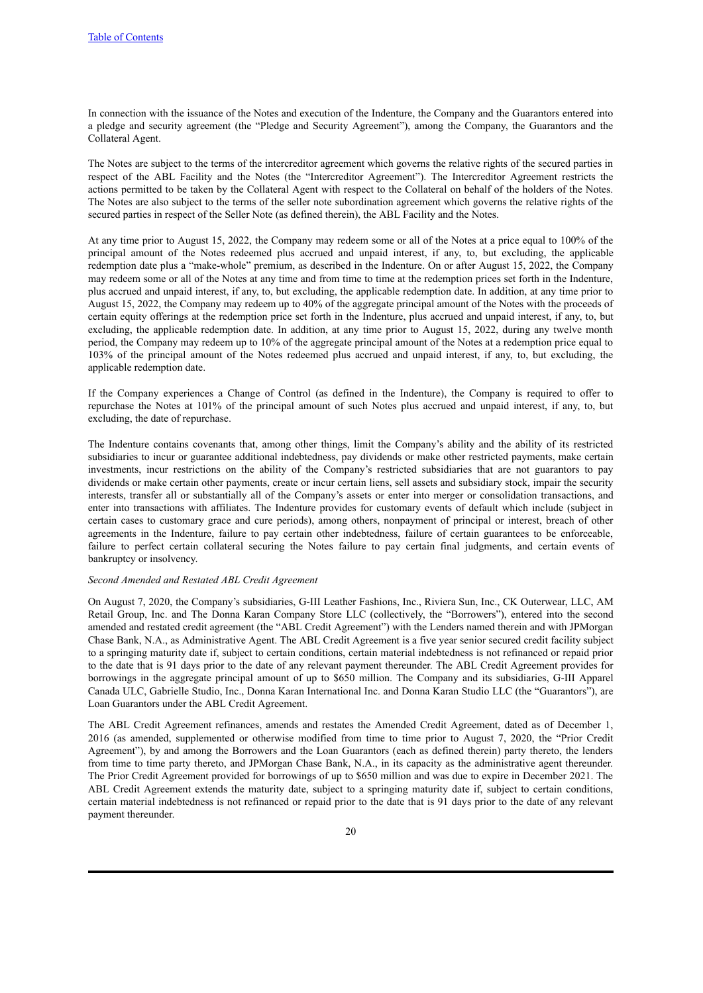In connection with the issuance of the Notes and execution of the Indenture, the Company and the Guarantors entered into a pledge and security agreement (the "Pledge and Security Agreement"), among the Company, the Guarantors and the Collateral Agent.

The Notes are subject to the terms of the intercreditor agreement which governs the relative rights of the secured parties in respect of the ABL Facility and the Notes (the "Intercreditor Agreement"). The Intercreditor Agreement restricts the actions permitted to be taken by the Collateral Agent with respect to the Collateral on behalf of the holders of the Notes. The Notes are also subject to the terms of the seller note subordination agreement which governs the relative rights of the secured parties in respect of the Seller Note (as defined therein), the ABL Facility and the Notes.

At any time prior to August 15, 2022, the Company may redeem some or all of the Notes at a price equal to 100% of the principal amount of the Notes redeemed plus accrued and unpaid interest, if any, to, but excluding, the applicable redemption date plus a "make-whole" premium, as described in the Indenture. On or after August 15, 2022, the Company may redeem some or all of the Notes at any time and from time to time at the redemption prices set forth in the Indenture, plus accrued and unpaid interest, if any, to, but excluding, the applicable redemption date. In addition, at any time prior to August 15, 2022, the Company may redeem up to 40% of the aggregate principal amount of the Notes with the proceeds of certain equity offerings at the redemption price set forth in the Indenture, plus accrued and unpaid interest, if any, to, but excluding, the applicable redemption date. In addition, at any time prior to August 15, 2022, during any twelve month period, the Company may redeem up to 10% of the aggregate principal amount of the Notes at a redemption price equal to 103% of the principal amount of the Notes redeemed plus accrued and unpaid interest, if any, to, but excluding, the applicable redemption date.

If the Company experiences a Change of Control (as defined in the Indenture), the Company is required to offer to repurchase the Notes at 101% of the principal amount of such Notes plus accrued and unpaid interest, if any, to, but excluding, the date of repurchase.

The Indenture contains covenants that, among other things, limit the Company's ability and the ability of its restricted subsidiaries to incur or guarantee additional indebtedness, pay dividends or make other restricted payments, make certain investments, incur restrictions on the ability of the Company's restricted subsidiaries that are not guarantors to pay dividends or make certain other payments, create or incur certain liens, sell assets and subsidiary stock, impair the security interests, transfer all or substantially all of the Company's assets or enter into merger or consolidation transactions, and enter into transactions with affiliates. The Indenture provides for customary events of default which include (subject in certain cases to customary grace and cure periods), among others, nonpayment of principal or interest, breach of other agreements in the Indenture, failure to pay certain other indebtedness, failure of certain guarantees to be enforceable, failure to perfect certain collateral securing the Notes failure to pay certain final judgments, and certain events of bankruptcy or insolvency.

# *Second Amended and Restated ABL Credit Agreement*

On August 7, 2020, the Company's subsidiaries, G-III Leather Fashions, Inc., Riviera Sun, Inc., CK Outerwear, LLC, AM Retail Group, Inc. and The Donna Karan Company Store LLC (collectively, the "Borrowers"), entered into the second amended and restated credit agreement (the "ABL Credit Agreement") with the Lenders named therein and with JPMorgan Chase Bank, N.A., as Administrative Agent. The ABL Credit Agreement is a five year senior secured credit facility subject to a springing maturity date if, subject to certain conditions, certain material indebtedness is not refinanced or repaid prior to the date that is 91 days prior to the date of any relevant payment thereunder. The ABL Credit Agreement provides for borrowings in the aggregate principal amount of up to \$650 million. The Company and its subsidiaries, G-III Apparel Canada ULC, Gabrielle Studio, Inc., Donna Karan International Inc. and Donna Karan Studio LLC (the "Guarantors"), are Loan Guarantors under the ABL Credit Agreement.

The ABL Credit Agreement refinances, amends and restates the Amended Credit Agreement, dated as of December 1, 2016 (as amended, supplemented or otherwise modified from time to time prior to August 7, 2020, the "Prior Credit Agreement"), by and among the Borrowers and the Loan Guarantors (each as defined therein) party thereto, the lenders from time to time party thereto, and JPMorgan Chase Bank, N.A., in its capacity as the administrative agent thereunder. The Prior Credit Agreement provided for borrowings of up to \$650 million and was due to expire in December 2021. The ABL Credit Agreement extends the maturity date, subject to a springing maturity date if, subject to certain conditions, certain material indebtedness is not refinanced or repaid prior to the date that is 91 days prior to the date of any relevant payment thereunder.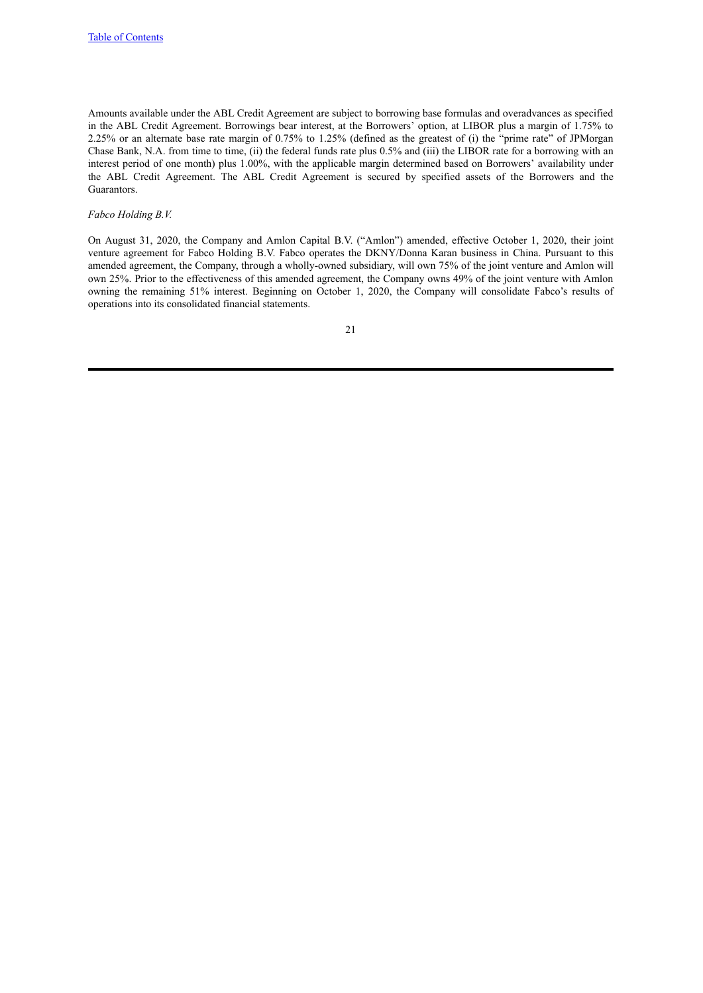Amounts available under the ABL Credit Agreement are subject to borrowing base formulas and overadvances as specified in the ABL Credit Agreement. Borrowings bear interest, at the Borrowers' option, at LIBOR plus a margin of 1.75% to 2.25% or an alternate base rate margin of 0.75% to 1.25% (defined as the greatest of (i) the "prime rate" of JPMorgan Chase Bank, N.A. from time to time, (ii) the federal funds rate plus 0.5% and (iii) the LIBOR rate for a borrowing with an interest period of one month) plus 1.00%, with the applicable margin determined based on Borrowers' availability under the ABL Credit Agreement. The ABL Credit Agreement is secured by specified assets of the Borrowers and the Guarantors.

# *Fabco Holding B.V.*

On August 31, 2020, the Company and Amlon Capital B.V. ("Amlon") amended, effective October 1, 2020, their joint venture agreement for Fabco Holding B.V. Fabco operates the DKNY/Donna Karan business in China. Pursuant to this amended agreement, the Company, through a wholly-owned subsidiary, will own 75% of the joint venture and Amlon will own 25%. Prior to the effectiveness of this amended agreement, the Company owns 49% of the joint venture with Amlon owning the remaining 51% interest. Beginning on October 1, 2020, the Company will consolidate Fabco's results of operations into its consolidated financial statements.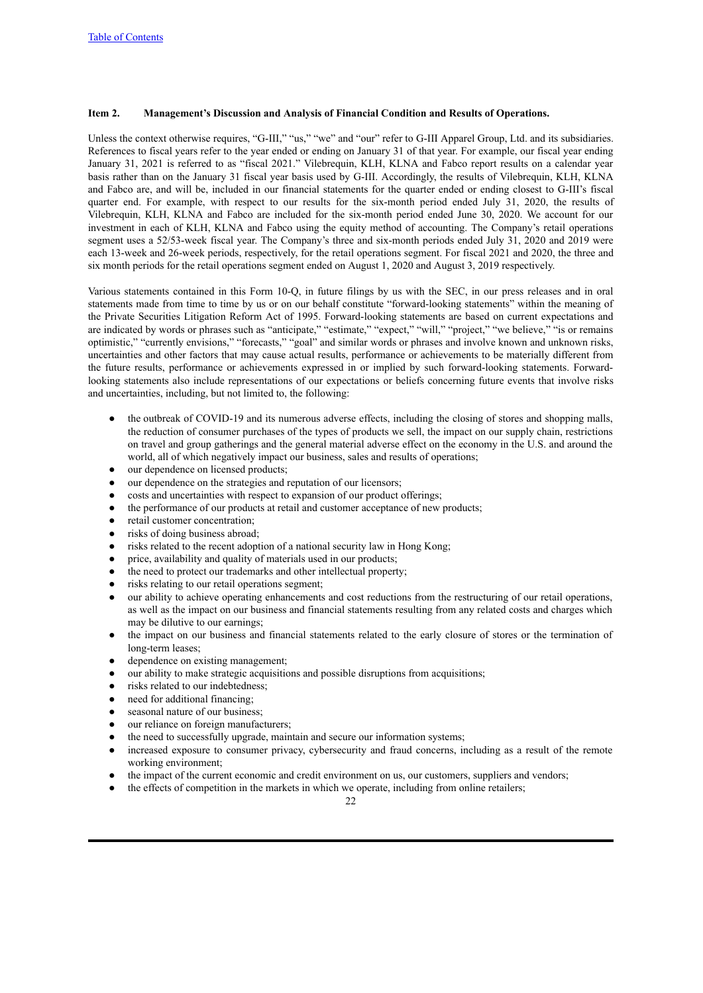# <span id="page-21-0"></span>**Item 2. Management's Discussion and Analysis of Financial Condition and Results of Operations.**

Unless the context otherwise requires, "G-III," "us," "we" and "our" refer to G-III Apparel Group, Ltd. and its subsidiaries. References to fiscal years refer to the year ended or ending on January 31 of that year. For example, our fiscal year ending January 31, 2021 is referred to as "fiscal 2021." Vilebrequin, KLH, KLNA and Fabco report results on a calendar year basis rather than on the January 31 fiscal year basis used by G-III. Accordingly, the results of Vilebrequin, KLH, KLNA and Fabco are, and will be, included in our financial statements for the quarter ended or ending closest to G-III's fiscal quarter end. For example, with respect to our results for the six-month period ended July 31, 2020, the results of Vilebrequin, KLH, KLNA and Fabco are included for the six-month period ended June 30, 2020. We account for our investment in each of KLH, KLNA and Fabco using the equity method of accounting. The Company's retail operations segment uses a 52/53-week fiscal year. The Company's three and six-month periods ended July 31, 2020 and 2019 were each 13-week and 26-week periods, respectively, for the retail operations segment. For fiscal 2021 and 2020, the three and six month periods for the retail operations segment ended on August 1, 2020 and August 3, 2019 respectively.

Various statements contained in this Form 10-Q, in future filings by us with the SEC, in our press releases and in oral statements made from time to time by us or on our behalf constitute "forward-looking statements" within the meaning of the Private Securities Litigation Reform Act of 1995. Forward-looking statements are based on current expectations and are indicated by words or phrases such as "anticipate," "estimate," "expect," "will," "project," "we believe," "is or remains optimistic," "currently envisions," "forecasts," "goal" and similar words or phrases and involve known and unknown risks, uncertainties and other factors that may cause actual results, performance or achievements to be materially different from the future results, performance or achievements expressed in or implied by such forward-looking statements. Forwardlooking statements also include representations of our expectations or beliefs concerning future events that involve risks and uncertainties, including, but not limited to, the following:

- the outbreak of COVID-19 and its numerous adverse effects, including the closing of stores and shopping malls, the reduction of consumer purchases of the types of products we sell, the impact on our supply chain, restrictions on travel and group gatherings and the general material adverse effect on the economy in the U.S. and around the world, all of which negatively impact our business, sales and results of operations;
- our dependence on licensed products;
- our dependence on the strategies and reputation of our licensors;
- costs and uncertainties with respect to expansion of our product offerings;
- the performance of our products at retail and customer acceptance of new products;
- retail customer concentration;
- risks of doing business abroad;
- risks related to the recent adoption of a national security law in Hong Kong;
- price, availability and quality of materials used in our products;
- the need to protect our trademarks and other intellectual property;
- risks relating to our retail operations segment;
- our ability to achieve operating enhancements and cost reductions from the restructuring of our retail operations, as well as the impact on our business and financial statements resulting from any related costs and charges which may be dilutive to our earnings;
- the impact on our business and financial statements related to the early closure of stores or the termination of long-term leases;
- dependence on existing management;
- our ability to make strategic acquisitions and possible disruptions from acquisitions;
- risks related to our indebtedness;
- need for additional financing:
- seasonal nature of our business;
- our reliance on foreign manufacturers;
- the need to successfully upgrade, maintain and secure our information systems;
- increased exposure to consumer privacy, cybersecurity and fraud concerns, including as a result of the remote working environment;
- the impact of the current economic and credit environment on us, our customers, suppliers and vendors;
- the effects of competition in the markets in which we operate, including from online retailers;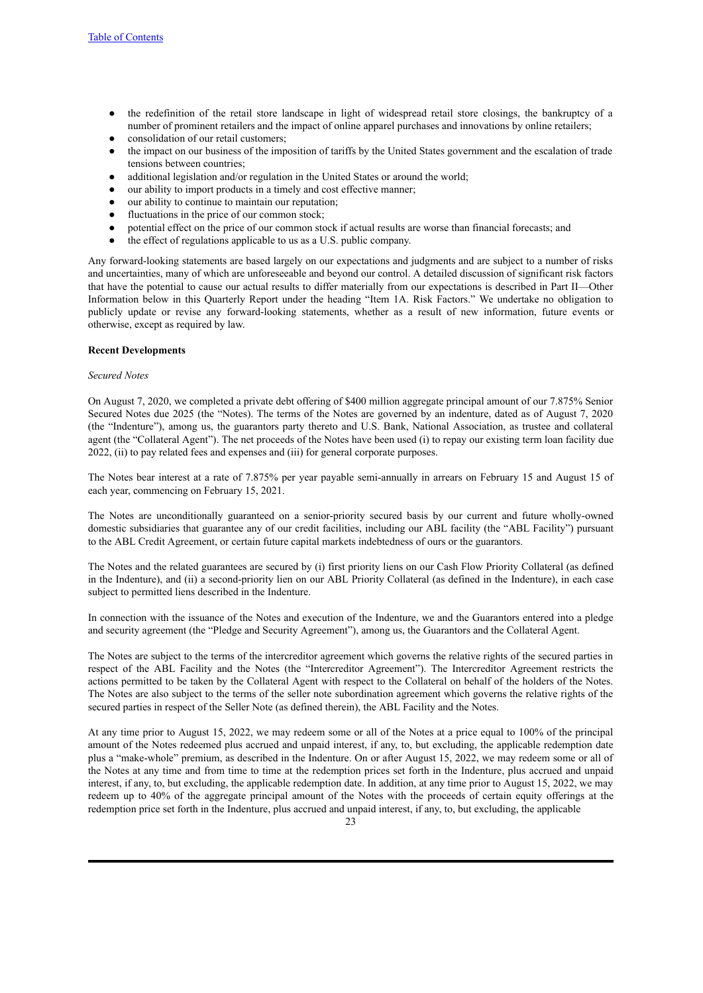- the redefinition of the retail store landscape in light of widespread retail store closings, the bankruptcy of a number of prominent retailers and the impact of online apparel purchases and innovations by online retailers;
- consolidation of our retail customers;
- the impact on our business of the imposition of tariffs by the United States government and the escalation of trade tensions between countries;
- additional legislation and/or regulation in the United States or around the world;
- our ability to import products in a timely and cost effective manner;
- our ability to continue to maintain our reputation:
- fluctuations in the price of our common stock;
- potential effect on the price of our common stock if actual results are worse than financial forecasts; and
- the effect of regulations applicable to us as a U.S. public company.

Any forward-looking statements are based largely on our expectations and judgments and are subject to a number of risks and uncertainties, many of which are unforeseeable and beyond our control. A detailed discussion of significant risk factors that have the potential to cause our actual results to differ materially from our expectations is described in Part II—Other Information below in this Quarterly Report under the heading "Item 1A. Risk Factors." We undertake no obligation to publicly update or revise any forward-looking statements, whether as a result of new information, future events or otherwise, except as required by law.

#### **Recent Developments**

#### *Secured Notes*

On August 7, 2020, we completed a private debt offering of \$400 million aggregate principal amount of our 7.875% Senior Secured Notes due 2025 (the "Notes). The terms of the Notes are governed by an indenture, dated as of August 7, 2020 (the "Indenture"), among us, the guarantors party thereto and U.S. Bank, National Association, as trustee and collateral agent (the "Collateral Agent"). The net proceeds of the Notes have been used (i) to repay our existing term loan facility due 2022, (ii) to pay related fees and expenses and (iii) for general corporate purposes.

The Notes bear interest at a rate of 7.875% per year payable semi-annually in arrears on February 15 and August 15 of each year, commencing on February 15, 2021.

The Notes are unconditionally guaranteed on a senior-priority secured basis by our current and future wholly-owned domestic subsidiaries that guarantee any of our credit facilities, including our ABL facility (the "ABL Facility") pursuant to the ABL Credit Agreement, or certain future capital markets indebtedness of ours or the guarantors.

The Notes and the related guarantees are secured by (i) first priority liens on our Cash Flow Priority Collateral (as defined in the Indenture), and (ii) a second-priority lien on our ABL Priority Collateral (as defined in the Indenture), in each case subject to permitted liens described in the Indenture.

In connection with the issuance of the Notes and execution of the Indenture, we and the Guarantors entered into a pledge and security agreement (the "Pledge and Security Agreement"), among us, the Guarantors and the Collateral Agent.

The Notes are subject to the terms of the intercreditor agreement which governs the relative rights of the secured parties in respect of the ABL Facility and the Notes (the "Intercreditor Agreement"). The Intercreditor Agreement restricts the actions permitted to be taken by the Collateral Agent with respect to the Collateral on behalf of the holders of the Notes. The Notes are also subject to the terms of the seller note subordination agreement which governs the relative rights of the secured parties in respect of the Seller Note (as defined therein), the ABL Facility and the Notes.

At any time prior to August 15, 2022, we may redeem some or all of the Notes at a price equal to 100% of the principal amount of the Notes redeemed plus accrued and unpaid interest, if any, to, but excluding, the applicable redemption date plus a "make-whole" premium, as described in the Indenture. On or after August 15, 2022, we may redeem some or all of the Notes at any time and from time to time at the redemption prices set forth in the Indenture, plus accrued and unpaid interest, if any, to, but excluding, the applicable redemption date. In addition, at any time prior to August 15, 2022, we may redeem up to 40% of the aggregate principal amount of the Notes with the proceeds of certain equity offerings at the redemption price set forth in the Indenture, plus accrued and unpaid interest, if any, to, but excluding, the applicable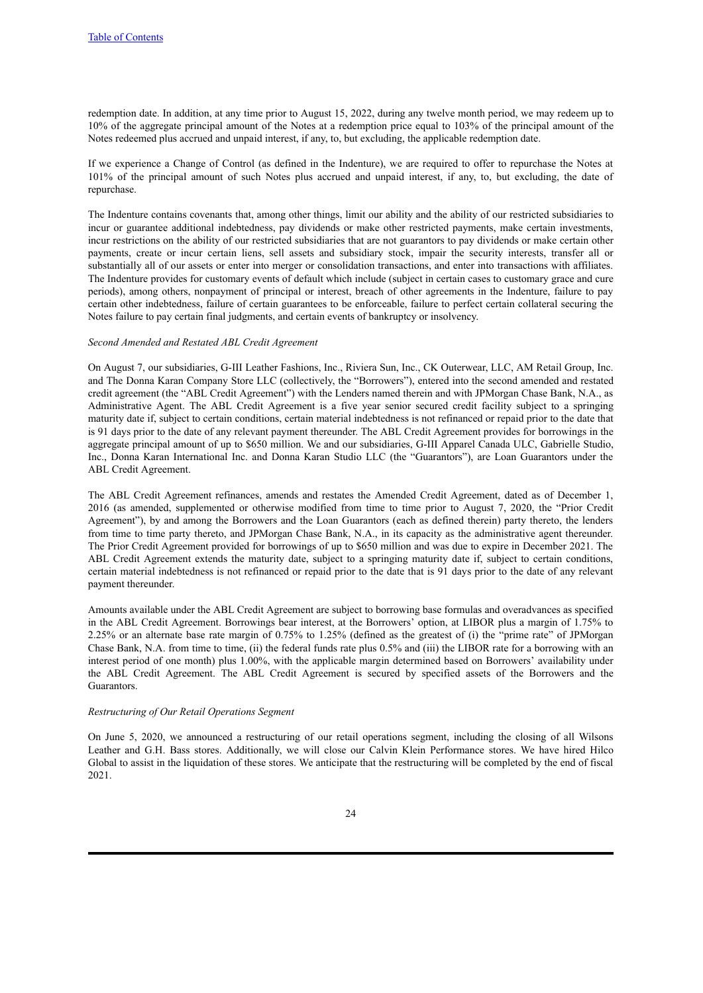redemption date. In addition, at any time prior to August 15, 2022, during any twelve month period, we may redeem up to 10% of the aggregate principal amount of the Notes at a redemption price equal to 103% of the principal amount of the Notes redeemed plus accrued and unpaid interest, if any, to, but excluding, the applicable redemption date.

If we experience a Change of Control (as defined in the Indenture), we are required to offer to repurchase the Notes at 101% of the principal amount of such Notes plus accrued and unpaid interest, if any, to, but excluding, the date of repurchase.

The Indenture contains covenants that, among other things, limit our ability and the ability of our restricted subsidiaries to incur or guarantee additional indebtedness, pay dividends or make other restricted payments, make certain investments, incur restrictions on the ability of our restricted subsidiaries that are not guarantors to pay dividends or make certain other payments, create or incur certain liens, sell assets and subsidiary stock, impair the security interests, transfer all or substantially all of our assets or enter into merger or consolidation transactions, and enter into transactions with affiliates. The Indenture provides for customary events of default which include (subject in certain cases to customary grace and cure periods), among others, nonpayment of principal or interest, breach of other agreements in the Indenture, failure to pay certain other indebtedness, failure of certain guarantees to be enforceable, failure to perfect certain collateral securing the Notes failure to pay certain final judgments, and certain events of bankruptcy or insolvency.

# *Second Amended and Restated ABL Credit Agreement*

On August 7, our subsidiaries, G-III Leather Fashions, Inc., Riviera Sun, Inc., CK Outerwear, LLC, AM Retail Group, Inc. and The Donna Karan Company Store LLC (collectively, the "Borrowers"), entered into the second amended and restated credit agreement (the "ABL Credit Agreement") with the Lenders named therein and with JPMorgan Chase Bank, N.A., as Administrative Agent. The ABL Credit Agreement is a five year senior secured credit facility subject to a springing maturity date if, subject to certain conditions, certain material indebtedness is not refinanced or repaid prior to the date that is 91 days prior to the date of any relevant payment thereunder. The ABL Credit Agreement provides for borrowings in the aggregate principal amount of up to \$650 million. We and our subsidiaries, G-III Apparel Canada ULC, Gabrielle Studio, Inc., Donna Karan International Inc. and Donna Karan Studio LLC (the "Guarantors"), are Loan Guarantors under the ABL Credit Agreement.

The ABL Credit Agreement refinances, amends and restates the Amended Credit Agreement, dated as of December 1, 2016 (as amended, supplemented or otherwise modified from time to time prior to August 7, 2020, the "Prior Credit Agreement"), by and among the Borrowers and the Loan Guarantors (each as defined therein) party thereto, the lenders from time to time party thereto, and JPMorgan Chase Bank, N.A., in its capacity as the administrative agent thereunder. The Prior Credit Agreement provided for borrowings of up to \$650 million and was due to expire in December 2021. The ABL Credit Agreement extends the maturity date, subject to a springing maturity date if, subject to certain conditions, certain material indebtedness is not refinanced or repaid prior to the date that is 91 days prior to the date of any relevant payment thereunder.

Amounts available under the ABL Credit Agreement are subject to borrowing base formulas and overadvances as specified in the ABL Credit Agreement. Borrowings bear interest, at the Borrowers' option, at LIBOR plus a margin of 1.75% to 2.25% or an alternate base rate margin of 0.75% to 1.25% (defined as the greatest of (i) the "prime rate" of JPMorgan Chase Bank, N.A. from time to time, (ii) the federal funds rate plus 0.5% and (iii) the LIBOR rate for a borrowing with an interest period of one month) plus 1.00%, with the applicable margin determined based on Borrowers' availability under the ABL Credit Agreement. The ABL Credit Agreement is secured by specified assets of the Borrowers and the Guarantors.

#### *Restructuring of Our Retail Operations Segment*

On June 5, 2020, we announced a restructuring of our retail operations segment, including the closing of all Wilsons Leather and G.H. Bass stores. Additionally, we will close our Calvin Klein Performance stores. We have hired Hilco Global to assist in the liquidation of these stores. We anticipate that the restructuring will be completed by the end of fiscal 2021.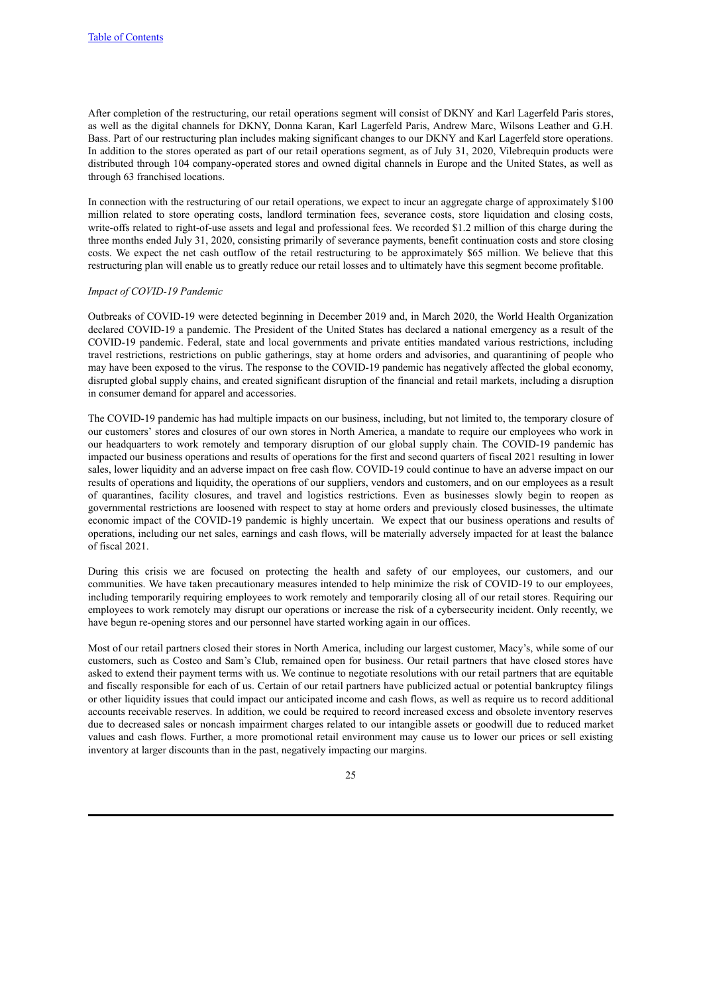After completion of the restructuring, our retail operations segment will consist of DKNY and Karl Lagerfeld Paris stores, as well as the digital channels for DKNY, Donna Karan, Karl Lagerfeld Paris, Andrew Marc, Wilsons Leather and G.H. Bass. Part of our restructuring plan includes making significant changes to our DKNY and Karl Lagerfeld store operations. In addition to the stores operated as part of our retail operations segment, as of July 31, 2020, Vilebrequin products were distributed through 104 company-operated stores and owned digital channels in Europe and the United States, as well as through 63 franchised locations.

In connection with the restructuring of our retail operations, we expect to incur an aggregate charge of approximately \$100 million related to store operating costs, landlord termination fees, severance costs, store liquidation and closing costs, write-offs related to right-of-use assets and legal and professional fees. We recorded \$1.2 million of this charge during the three months ended July 31, 2020, consisting primarily of severance payments, benefit continuation costs and store closing costs. We expect the net cash outflow of the retail restructuring to be approximately \$65 million. We believe that this restructuring plan will enable us to greatly reduce our retail losses and to ultimately have this segment become profitable.

# *Impact of COVID-19 Pandemic*

Outbreaks of COVID-19 were detected beginning in December 2019 and, in March 2020, the World Health Organization declared COVID-19 a pandemic. The President of the United States has declared a national emergency as a result of the COVID-19 pandemic. Federal, state and local governments and private entities mandated various restrictions, including travel restrictions, restrictions on public gatherings, stay at home orders and advisories, and quarantining of people who may have been exposed to the virus. The response to the COVID-19 pandemic has negatively affected the global economy, disrupted global supply chains, and created significant disruption of the financial and retail markets, including a disruption in consumer demand for apparel and accessories.

The COVID-19 pandemic has had multiple impacts on our business, including, but not limited to, the temporary closure of our customers' stores and closures of our own stores in North America, a mandate to require our employees who work in our headquarters to work remotely and temporary disruption of our global supply chain. The COVID-19 pandemic has impacted our business operations and results of operations for the first and second quarters of fiscal 2021 resulting in lower sales, lower liquidity and an adverse impact on free cash flow. COVID-19 could continue to have an adverse impact on our results of operations and liquidity, the operations of our suppliers, vendors and customers, and on our employees as a result of quarantines, facility closures, and travel and logistics restrictions. Even as businesses slowly begin to reopen as governmental restrictions are loosened with respect to stay at home orders and previously closed businesses, the ultimate economic impact of the COVID-19 pandemic is highly uncertain. We expect that our business operations and results of operations, including our net sales, earnings and cash flows, will be materially adversely impacted for at least the balance of fiscal 2021.

During this crisis we are focused on protecting the health and safety of our employees, our customers, and our communities. We have taken precautionary measures intended to help minimize the risk of COVID-19 to our employees, including temporarily requiring employees to work remotely and temporarily closing all of our retail stores. Requiring our employees to work remotely may disrupt our operations or increase the risk of a cybersecurity incident. Only recently, we have begun re-opening stores and our personnel have started working again in our offices.

Most of our retail partners closed their stores in North America, including our largest customer, Macy's, while some of our customers, such as Costco and Sam's Club, remained open for business. Our retail partners that have closed stores have asked to extend their payment terms with us. We continue to negotiate resolutions with our retail partners that are equitable and fiscally responsible for each of us. Certain of our retail partners have publicized actual or potential bankruptcy filings or other liquidity issues that could impact our anticipated income and cash flows, as well as require us to record additional accounts receivable reserves. In addition, we could be required to record increased excess and obsolete inventory reserves due to decreased sales or noncash impairment charges related to our intangible assets or goodwill due to reduced market values and cash flows. Further, a more promotional retail environment may cause us to lower our prices or sell existing inventory at larger discounts than in the past, negatively impacting our margins.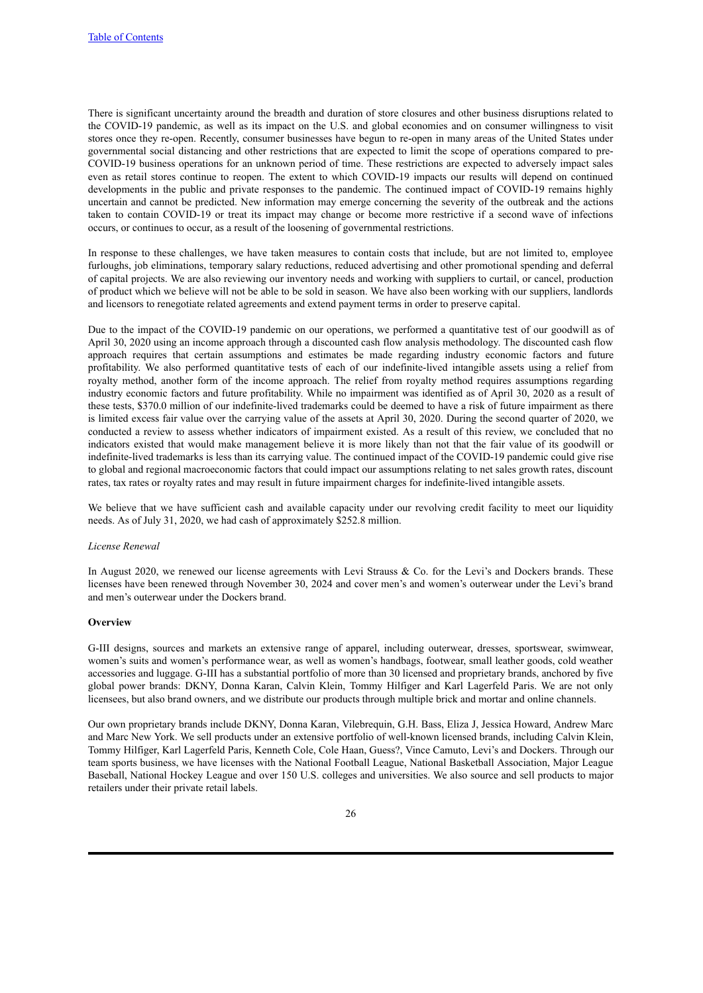There is significant uncertainty around the breadth and duration of store closures and other business disruptions related to the COVID-19 pandemic, as well as its impact on the U.S. and global economies and on consumer willingness to visit stores once they re-open. Recently, consumer businesses have begun to re-open in many areas of the United States under governmental social distancing and other restrictions that are expected to limit the scope of operations compared to pre-COVID-19 business operations for an unknown period of time. These restrictions are expected to adversely impact sales even as retail stores continue to reopen. The extent to which COVID-19 impacts our results will depend on continued developments in the public and private responses to the pandemic. The continued impact of COVID-19 remains highly uncertain and cannot be predicted. New information may emerge concerning the severity of the outbreak and the actions taken to contain COVID-19 or treat its impact may change or become more restrictive if a second wave of infections occurs, or continues to occur, as a result of the loosening of governmental restrictions.

In response to these challenges, we have taken measures to contain costs that include, but are not limited to, employee furloughs, job eliminations, temporary salary reductions, reduced advertising and other promotional spending and deferral of capital projects. We are also reviewing our inventory needs and working with suppliers to curtail, or cancel, production of product which we believe will not be able to be sold in season. We have also been working with our suppliers, landlords and licensors to renegotiate related agreements and extend payment terms in order to preserve capital.

Due to the impact of the COVID-19 pandemic on our operations, we performed a quantitative test of our goodwill as of April 30, 2020 using an income approach through a discounted cash flow analysis methodology. The discounted cash flow approach requires that certain assumptions and estimates be made regarding industry economic factors and future profitability. We also performed quantitative tests of each of our indefinite-lived intangible assets using a relief from royalty method, another form of the income approach. The relief from royalty method requires assumptions regarding industry economic factors and future profitability. While no impairment was identified as of April 30, 2020 as a result of these tests, \$370.0 million of our indefinite-lived trademarks could be deemed to have a risk of future impairment as there is limited excess fair value over the carrying value of the assets at April 30, 2020. During the second quarter of 2020, we conducted a review to assess whether indicators of impairment existed. As a result of this review, we concluded that no indicators existed that would make management believe it is more likely than not that the fair value of its goodwill or indefinite-lived trademarks is less than its carrying value. The continued impact of the COVID-19 pandemic could give rise to global and regional macroeconomic factors that could impact our assumptions relating to net sales growth rates, discount rates, tax rates or royalty rates and may result in future impairment charges for indefinite-lived intangible assets.

We believe that we have sufficient cash and available capacity under our revolving credit facility to meet our liquidity needs. As of July 31, 2020, we had cash of approximately \$252.8 million.

# *License Renewal*

In August 2020, we renewed our license agreements with Levi Strauss & Co. for the Levi's and Dockers brands. These licenses have been renewed through November 30, 2024 and cover men's and women's outerwear under the Levi's brand and men's outerwear under the Dockers brand.

#### **Overview**

G-III designs, sources and markets an extensive range of apparel, including outerwear, dresses, sportswear, swimwear, women's suits and women's performance wear, as well as women's handbags, footwear, small leather goods, cold weather accessories and luggage. G-III has a substantial portfolio of more than 30 licensed and proprietary brands, anchored by five global power brands: DKNY, Donna Karan, Calvin Klein, Tommy Hilfiger and Karl Lagerfeld Paris. We are not only licensees, but also brand owners, and we distribute our products through multiple brick and mortar and online channels.

Our own proprietary brands include DKNY, Donna Karan, Vilebrequin, G.H. Bass, Eliza J, Jessica Howard, Andrew Marc and Marc New York. We sell products under an extensive portfolio of well-known licensed brands, including Calvin Klein, Tommy Hilfiger, Karl Lagerfeld Paris, Kenneth Cole, Cole Haan, Guess?, Vince Camuto, Levi's and Dockers. Through our team sports business, we have licenses with the National Football League, National Basketball Association, Major League Baseball, National Hockey League and over 150 U.S. colleges and universities. We also source and sell products to major retailers under their private retail labels.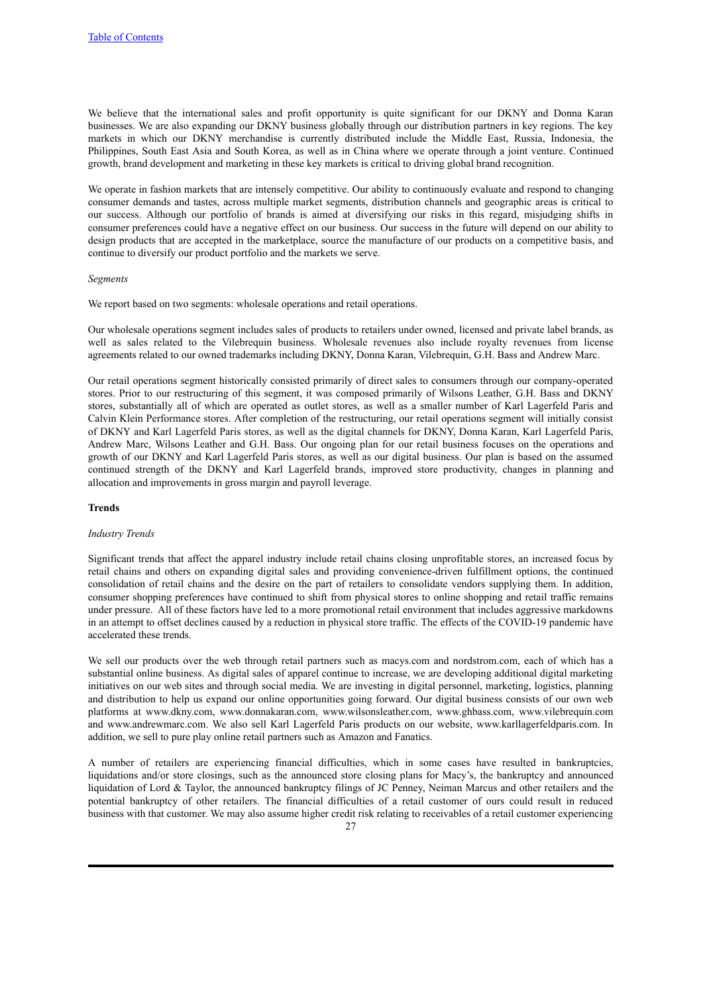We believe that the international sales and profit opportunity is quite significant for our DKNY and Donna Karan businesses. We are also expanding our DKNY business globally through our distribution partners in key regions. The key markets in which our DKNY merchandise is currently distributed include the Middle East, Russia, Indonesia, the Philippines, South East Asia and South Korea, as well as in China where we operate through a joint venture. Continued growth, brand development and marketing in these key markets is critical to driving global brand recognition.

We operate in fashion markets that are intensely competitive. Our ability to continuously evaluate and respond to changing consumer demands and tastes, across multiple market segments, distribution channels and geographic areas is critical to our success. Although our portfolio of brands is aimed at diversifying our risks in this regard, misjudging shifts in consumer preferences could have a negative effect on our business. Our success in the future will depend on our ability to design products that are accepted in the marketplace, source the manufacture of our products on a competitive basis, and continue to diversify our product portfolio and the markets we serve.

# *Segments*

We report based on two segments: wholesale operations and retail operations.

Our wholesale operations segment includes sales of products to retailers under owned, licensed and private label brands, as well as sales related to the Vilebrequin business. Wholesale revenues also include royalty revenues from license agreements related to our owned trademarks including DKNY, Donna Karan, Vilebrequin, G.H. Bass and Andrew Marc.

Our retail operations segment historically consisted primarily of direct sales to consumers through our company-operated stores. Prior to our restructuring of this segment, it was composed primarily of Wilsons Leather, G.H. Bass and DKNY stores, substantially all of which are operated as outlet stores, as well as a smaller number of Karl Lagerfeld Paris and Calvin Klein Performance stores. After completion of the restructuring, our retail operations segment will initially consist of DKNY and Karl Lagerfeld Paris stores, as well as the digital channels for DKNY, Donna Karan, Karl Lagerfeld Paris, Andrew Marc, Wilsons Leather and G.H. Bass. Our ongoing plan for our retail business focuses on the operations and growth of our DKNY and Karl Lagerfeld Paris stores, as well as our digital business. Our plan is based on the assumed continued strength of the DKNY and Karl Lagerfeld brands, improved store productivity, changes in planning and allocation and improvements in gross margin and payroll leverage.

# **Trends**

#### *Industry Trends*

Significant trends that affect the apparel industry include retail chains closing unprofitable stores, an increased focus by retail chains and others on expanding digital sales and providing convenience-driven fulfillment options, the continued consolidation of retail chains and the desire on the part of retailers to consolidate vendors supplying them. In addition, consumer shopping preferences have continued to shift from physical stores to online shopping and retail traffic remains under pressure. All of these factors have led to a more promotional retail environment that includes aggressive markdowns in an attempt to offset declines caused by a reduction in physical store traffic. The effects of the COVID-19 pandemic have accelerated these trends.

We sell our products over the web through retail partners such as macys.com and nordstrom.com, each of which has a substantial online business. As digital sales of apparel continue to increase, we are developing additional digital marketing initiatives on our web sites and through social media. We are investing in digital personnel, marketing, logistics, planning and distribution to help us expand our online opportunities going forward. Our digital business consists of our own web platforms at www.dkny.com, www.donnakaran.com, www.wilsonsleather.com, www.ghbass.com, www.vilebrequin.com and www.andrewmarc.com. We also sell Karl Lagerfeld Paris products on our website, www.karllagerfeldparis.com. In addition, we sell to pure play online retail partners such as Amazon and Fanatics.

A number of retailers are experiencing financial difficulties, which in some cases have resulted in bankruptcies, liquidations and/or store closings, such as the announced store closing plans for Macy's, the bankruptcy and announced liquidation of Lord & Taylor, the announced bankruptcy filings of JC Penney, Neiman Marcus and other retailers and the potential bankruptcy of other retailers. The financial difficulties of a retail customer of ours could result in reduced business with that customer. We may also assume higher credit risk relating to receivables of a retail customer experiencing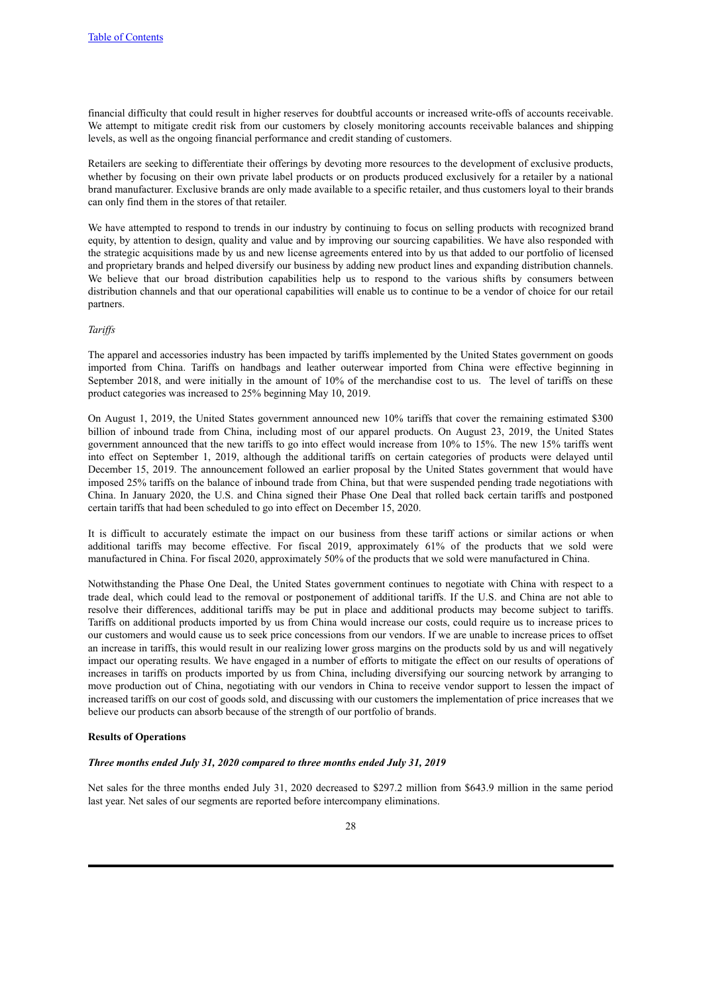financial difficulty that could result in higher reserves for doubtful accounts or increased write-offs of accounts receivable. We attempt to mitigate credit risk from our customers by closely monitoring accounts receivable balances and shipping levels, as well as the ongoing financial performance and credit standing of customers.

Retailers are seeking to differentiate their offerings by devoting more resources to the development of exclusive products, whether by focusing on their own private label products or on products produced exclusively for a retailer by a national brand manufacturer. Exclusive brands are only made available to a specific retailer, and thus customers loyal to their brands can only find them in the stores of that retailer.

We have attempted to respond to trends in our industry by continuing to focus on selling products with recognized brand equity, by attention to design, quality and value and by improving our sourcing capabilities. We have also responded with the strategic acquisitions made by us and new license agreements entered into by us that added to our portfolio of licensed and proprietary brands and helped diversify our business by adding new product lines and expanding distribution channels. We believe that our broad distribution capabilities help us to respond to the various shifts by consumers between distribution channels and that our operational capabilities will enable us to continue to be a vendor of choice for our retail partners.

# *Tarif s*

The apparel and accessories industry has been impacted by tariffs implemented by the United States government on goods imported from China. Tariffs on handbags and leather outerwear imported from China were effective beginning in September 2018, and were initially in the amount of 10% of the merchandise cost to us. The level of tariffs on these product categories was increased to 25% beginning May 10, 2019.

On August 1, 2019, the United States government announced new 10% tariffs that cover the remaining estimated \$300 billion of inbound trade from China, including most of our apparel products. On August 23, 2019, the United States government announced that the new tariffs to go into effect would increase from 10% to 15%. The new 15% tariffs went into effect on September 1, 2019, although the additional tariffs on certain categories of products were delayed until December 15, 2019. The announcement followed an earlier proposal by the United States government that would have imposed 25% tariffs on the balance of inbound trade from China, but that were suspended pending trade negotiations with China. In January 2020, the U.S. and China signed their Phase One Deal that rolled back certain tariffs and postponed certain tariffs that had been scheduled to go into effect on December 15, 2020.

It is difficult to accurately estimate the impact on our business from these tariff actions or similar actions or when additional tariffs may become effective. For fiscal 2019, approximately 61% of the products that we sold were manufactured in China. For fiscal 2020, approximately 50% of the products that we sold were manufactured in China.

Notwithstanding the Phase One Deal, the United States government continues to negotiate with China with respect to a trade deal, which could lead to the removal or postponement of additional tariffs. If the U.S. and China are not able to resolve their differences, additional tariffs may be put in place and additional products may become subject to tariffs. Tariffs on additional products imported by us from China would increase our costs, could require us to increase prices to our customers and would cause us to seek price concessions from our vendors. If we are unable to increase prices to offset an increase in tariffs, this would result in our realizing lower gross margins on the products sold by us and will negatively impact our operating results. We have engaged in a number of efforts to mitigate the effect on our results of operations of increases in tariffs on products imported by us from China, including diversifying our sourcing network by arranging to move production out of China, negotiating with our vendors in China to receive vendor support to lessen the impact of increased tariffs on our cost of goods sold, and discussing with our customers the implementation of price increases that we believe our products can absorb because of the strength of our portfolio of brands.

#### **Results of Operations**

#### *Three months ended July 31, 2020 compared to three months ended July 31, 2019*

Net sales for the three months ended July 31, 2020 decreased to \$297.2 million from \$643.9 million in the same period last year. Net sales of our segments are reported before intercompany eliminations.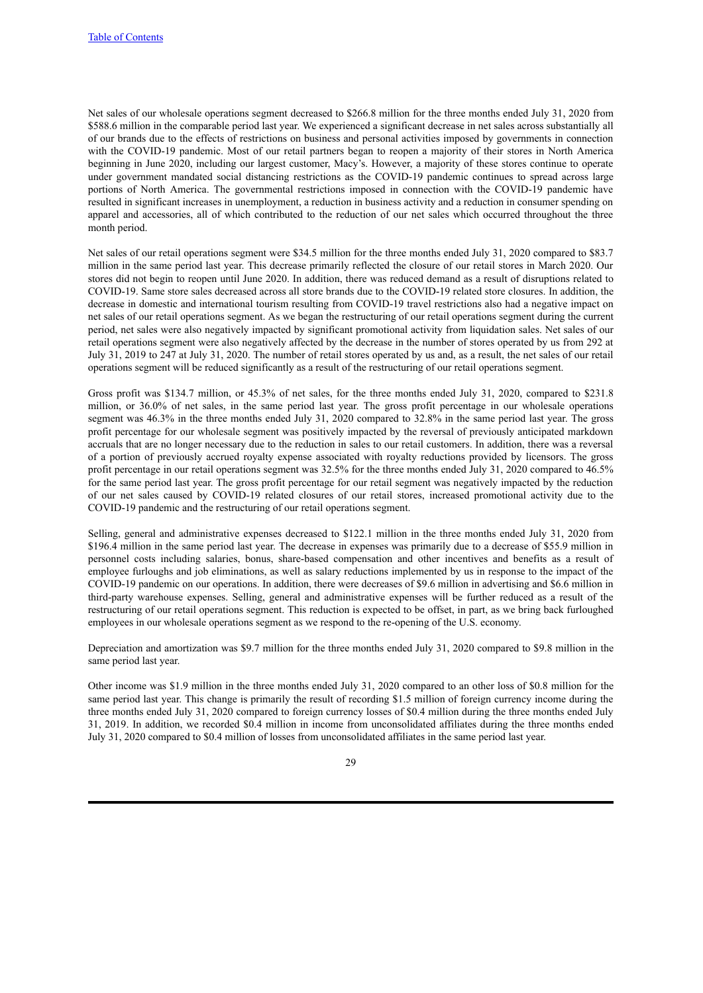Net sales of our wholesale operations segment decreased to \$266.8 million for the three months ended July 31, 2020 from \$588.6 million in the comparable period last year. We experienced a significant decrease in net sales across substantially all of our brands due to the effects of restrictions on business and personal activities imposed by governments in connection with the COVID-19 pandemic. Most of our retail partners began to reopen a majority of their stores in North America beginning in June 2020, including our largest customer, Macy's. However, a majority of these stores continue to operate under government mandated social distancing restrictions as the COVID-19 pandemic continues to spread across large portions of North America. The governmental restrictions imposed in connection with the COVID-19 pandemic have resulted in significant increases in unemployment, a reduction in business activity and a reduction in consumer spending on apparel and accessories, all of which contributed to the reduction of our net sales which occurred throughout the three month period.

Net sales of our retail operations segment were \$34.5 million for the three months ended July 31, 2020 compared to \$83.7 million in the same period last year. This decrease primarily reflected the closure of our retail stores in March 2020. Our stores did not begin to reopen until June 2020. In addition, there was reduced demand as a result of disruptions related to COVID-19. Same store sales decreased across all store brands due to the COVID-19 related store closures. In addition, the decrease in domestic and international tourism resulting from COVID-19 travel restrictions also had a negative impact on net sales of our retail operations segment. As we began the restructuring of our retail operations segment during the current period, net sales were also negatively impacted by significant promotional activity from liquidation sales. Net sales of our retail operations segment were also negatively affected by the decrease in the number of stores operated by us from 292 at July 31, 2019 to 247 at July 31, 2020. The number of retail stores operated by us and, as a result, the net sales of our retail operations segment will be reduced significantly as a result of the restructuring of our retail operations segment.

Gross profit was \$134.7 million, or 45.3% of net sales, for the three months ended July 31, 2020, compared to \$231.8 million, or 36.0% of net sales, in the same period last year. The gross profit percentage in our wholesale operations segment was 46.3% in the three months ended July 31, 2020 compared to 32.8% in the same period last year. The gross profit percentage for our wholesale segment was positively impacted by the reversal of previously anticipated markdown accruals that are no longer necessary due to the reduction in sales to our retail customers. In addition, there was a reversal of a portion of previously accrued royalty expense associated with royalty reductions provided by licensors. The gross profit percentage in our retail operations segment was 32.5% for the three months ended July 31, 2020 compared to 46.5% for the same period last year. The gross profit percentage for our retail segment was negatively impacted by the reduction of our net sales caused by COVID-19 related closures of our retail stores, increased promotional activity due to the COVID-19 pandemic and the restructuring of our retail operations segment.

Selling, general and administrative expenses decreased to \$122.1 million in the three months ended July 31, 2020 from \$196.4 million in the same period last year. The decrease in expenses was primarily due to a decrease of \$55.9 million in personnel costs including salaries, bonus, share-based compensation and other incentives and benefits as a result of employee furloughs and job eliminations, as well as salary reductions implemented by us in response to the impact of the COVID-19 pandemic on our operations. In addition, there were decreases of \$9.6 million in advertising and \$6.6 million in third-party warehouse expenses. Selling, general and administrative expenses will be further reduced as a result of the restructuring of our retail operations segment. This reduction is expected to be offset, in part, as we bring back furloughed employees in our wholesale operations segment as we respond to the re-opening of the U.S. economy.

Depreciation and amortization was \$9.7 million for the three months ended July 31, 2020 compared to \$9.8 million in the same period last year.

Other income was \$1.9 million in the three months ended July 31, 2020 compared to an other loss of \$0.8 million for the same period last year. This change is primarily the result of recording \$1.5 million of foreign currency income during the three months ended July 31, 2020 compared to foreign currency losses of \$0.4 million during the three months ended July 31, 2019. In addition, we recorded \$0.4 million in income from unconsolidated affiliates during the three months ended July 31, 2020 compared to \$0.4 million of losses from unconsolidated affiliates in the same period last year.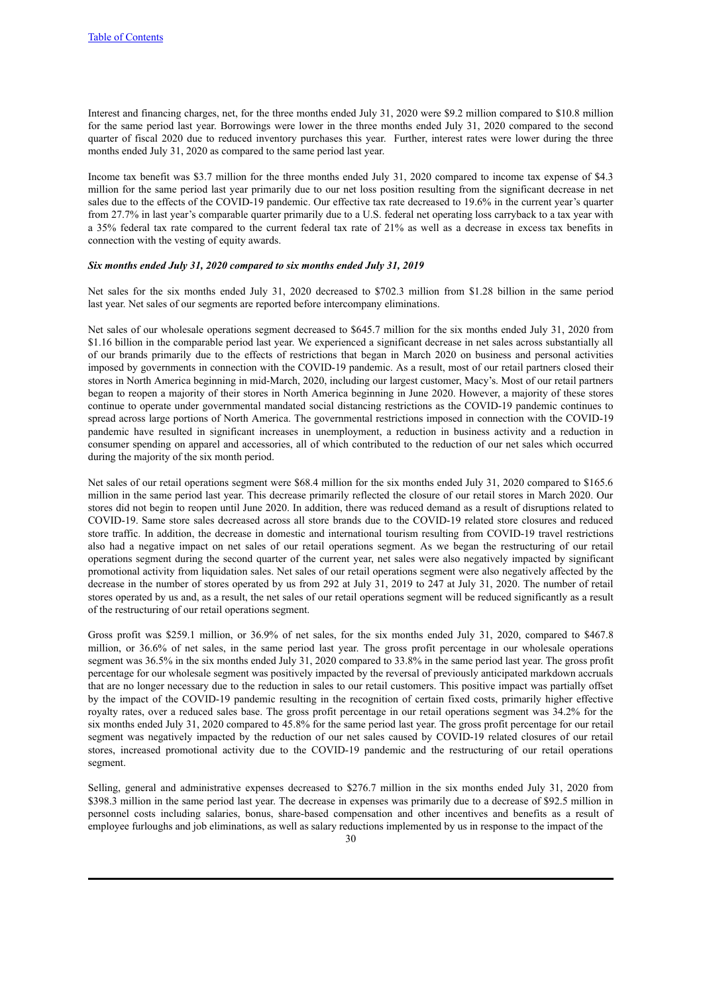Interest and financing charges, net, for the three months ended July 31, 2020 were \$9.2 million compared to \$10.8 million for the same period last year. Borrowings were lower in the three months ended July 31, 2020 compared to the second quarter of fiscal 2020 due to reduced inventory purchases this year. Further, interest rates were lower during the three months ended July 31, 2020 as compared to the same period last year.

Income tax benefit was \$3.7 million for the three months ended July 31, 2020 compared to income tax expense of \$4.3 million for the same period last year primarily due to our net loss position resulting from the significant decrease in net sales due to the effects of the COVID-19 pandemic. Our effective tax rate decreased to 19.6% in the current year's quarter from 27.7% in last year's comparable quarter primarily due to a U.S. federal net operating loss carryback to a tax year with a 35% federal tax rate compared to the current federal tax rate of 21% as well as a decrease in excess tax benefits in connection with the vesting of equity awards.

# *Six months ended July 31, 2020 compared to six months ended July 31, 2019*

Net sales for the six months ended July 31, 2020 decreased to \$702.3 million from \$1.28 billion in the same period last year. Net sales of our segments are reported before intercompany eliminations.

Net sales of our wholesale operations segment decreased to \$645.7 million for the six months ended July 31, 2020 from \$1.16 billion in the comparable period last year. We experienced a significant decrease in net sales across substantially all of our brands primarily due to the effects of restrictions that began in March 2020 on business and personal activities imposed by governments in connection with the COVID-19 pandemic. As a result, most of our retail partners closed their stores in North America beginning in mid-March, 2020, including our largest customer, Macy's. Most of our retail partners began to reopen a majority of their stores in North America beginning in June 2020. However, a majority of these stores continue to operate under governmental mandated social distancing restrictions as the COVID-19 pandemic continues to spread across large portions of North America. The governmental restrictions imposed in connection with the COVID-19 pandemic have resulted in significant increases in unemployment, a reduction in business activity and a reduction in consumer spending on apparel and accessories, all of which contributed to the reduction of our net sales which occurred during the majority of the six month period.

Net sales of our retail operations segment were \$68.4 million for the six months ended July 31, 2020 compared to \$165.6 million in the same period last year. This decrease primarily reflected the closure of our retail stores in March 2020. Our stores did not begin to reopen until June 2020. In addition, there was reduced demand as a result of disruptions related to COVID-19. Same store sales decreased across all store brands due to the COVID-19 related store closures and reduced store traffic. In addition, the decrease in domestic and international tourism resulting from COVID-19 travel restrictions also had a negative impact on net sales of our retail operations segment. As we began the restructuring of our retail operations segment during the second quarter of the current year, net sales were also negatively impacted by significant promotional activity from liquidation sales. Net sales of our retail operations segment were also negatively affected by the decrease in the number of stores operated by us from 292 at July 31, 2019 to 247 at July 31, 2020. The number of retail stores operated by us and, as a result, the net sales of our retail operations segment will be reduced significantly as a result of the restructuring of our retail operations segment.

Gross profit was \$259.1 million, or 36.9% of net sales, for the six months ended July 31, 2020, compared to \$467.8 million, or 36.6% of net sales, in the same period last year. The gross profit percentage in our wholesale operations segment was 36.5% in the six months ended July 31, 2020 compared to 33.8% in the same period last year. The gross profit percentage for our wholesale segment was positively impacted by the reversal of previously anticipated markdown accruals that are no longer necessary due to the reduction in sales to our retail customers. This positive impact was partially offset by the impact of the COVID-19 pandemic resulting in the recognition of certain fixed costs, primarily higher effective royalty rates, over a reduced sales base. The gross profit percentage in our retail operations segment was  $34.2\%$  for the six months ended July 31, 2020 compared to 45.8% for the same period last year. The gross profit percentage for our retail segment was negatively impacted by the reduction of our net sales caused by COVID-19 related closures of our retail stores, increased promotional activity due to the COVID-19 pandemic and the restructuring of our retail operations segment.

Selling, general and administrative expenses decreased to \$276.7 million in the six months ended July 31, 2020 from \$398.3 million in the same period last year. The decrease in expenses was primarily due to a decrease of \$92.5 million in personnel costs including salaries, bonus, share-based compensation and other incentives and benefits as a result of employee furloughs and job eliminations, as well as salary reductions implemented by us in response to the impact of the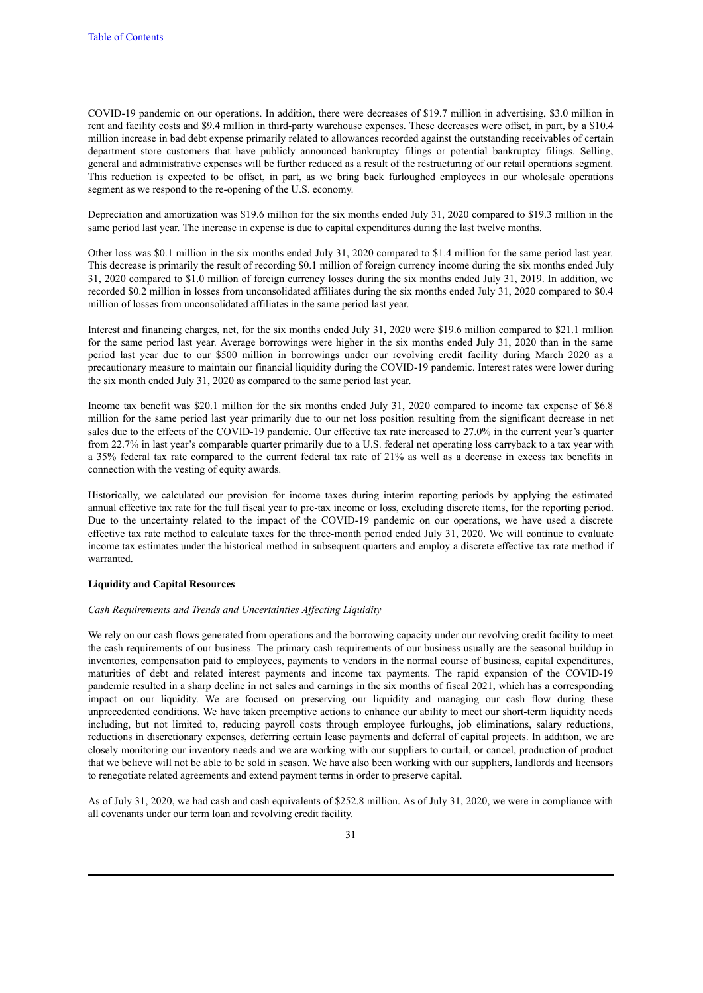COVID-19 pandemic on our operations. In addition, there were decreases of \$19.7 million in advertising, \$3.0 million in rent and facility costs and \$9.4 million in third-party warehouse expenses. These decreases were offset, in part, by a \$10.4 million increase in bad debt expense primarily related to allowances recorded against the outstanding receivables of certain department store customers that have publicly announced bankruptcy filings or potential bankruptcy filings. Selling, general and administrative expenses will be further reduced as a result of the restructuring of our retail operations segment. This reduction is expected to be offset, in part, as we bring back furloughed employees in our wholesale operations segment as we respond to the re-opening of the U.S. economy.

Depreciation and amortization was \$19.6 million for the six months ended July 31, 2020 compared to \$19.3 million in the same period last year. The increase in expense is due to capital expenditures during the last twelve months.

Other loss was \$0.1 million in the six months ended July 31, 2020 compared to \$1.4 million for the same period last year. This decrease is primarily the result of recording \$0.1 million of foreign currency income during the six months ended July 31, 2020 compared to \$1.0 million of foreign currency losses during the six months ended July 31, 2019. In addition, we recorded \$0.2 million in losses from unconsolidated affiliates during the six months ended July 31, 2020 compared to \$0.4 million of losses from unconsolidated affiliates in the same period last year.

Interest and financing charges, net, for the six months ended July 31, 2020 were \$19.6 million compared to \$21.1 million for the same period last year. Average borrowings were higher in the six months ended July 31, 2020 than in the same period last year due to our \$500 million in borrowings under our revolving credit facility during March 2020 as a precautionary measure to maintain our financial liquidity during the COVID-19 pandemic. Interest rates were lower during the six month ended July 31, 2020 as compared to the same period last year.

Income tax benefit was \$20.1 million for the six months ended July 31, 2020 compared to income tax expense of \$6.8 million for the same period last year primarily due to our net loss position resulting from the significant decrease in net sales due to the effects of the COVID-19 pandemic. Our effective tax rate increased to 27.0% in the current year's quarter from 22.7% in last year's comparable quarter primarily due to a U.S. federal net operating loss carryback to a tax year with a 35% federal tax rate compared to the current federal tax rate of 21% as well as a decrease in excess tax benefits in connection with the vesting of equity awards.

Historically, we calculated our provision for income taxes during interim reporting periods by applying the estimated annual effective tax rate for the full fiscal year to pre-tax income or loss, excluding discrete items, for the reporting period. Due to the uncertainty related to the impact of the COVID-19 pandemic on our operations, we have used a discrete effective tax rate method to calculate taxes for the three-month period ended July 31, 2020. We will continue to evaluate income tax estimates under the historical method in subsequent quarters and employ a discrete effective tax rate method if warranted.

#### **Liquidity and Capital Resources**

#### *Cash Requirements and Trends and Uncertainties Af ecting Liquidity*

We rely on our cash flows generated from operations and the borrowing capacity under our revolving credit facility to meet the cash requirements of our business. The primary cash requirements of our business usually are the seasonal buildup in inventories, compensation paid to employees, payments to vendors in the normal course of business, capital expenditures, maturities of debt and related interest payments and income tax payments. The rapid expansion of the COVID-19 pandemic resulted in a sharp decline in net sales and earnings in the six months of fiscal 2021, which has a corresponding impact on our liquidity. We are focused on preserving our liquidity and managing our cash flow during these unprecedented conditions. We have taken preemptive actions to enhance our ability to meet our short-term liquidity needs including, but not limited to, reducing payroll costs through employee furloughs, job eliminations, salary reductions, reductions in discretionary expenses, deferring certain lease payments and deferral of capital projects. In addition, we are closely monitoring our inventory needs and we are working with our suppliers to curtail, or cancel, production of product that we believe will not be able to be sold in season. We have also been working with our suppliers, landlords and licensors to renegotiate related agreements and extend payment terms in order to preserve capital.

As of July 31, 2020, we had cash and cash equivalents of \$252.8 million. As of July 31, 2020, we were in compliance with all covenants under our term loan and revolving credit facility.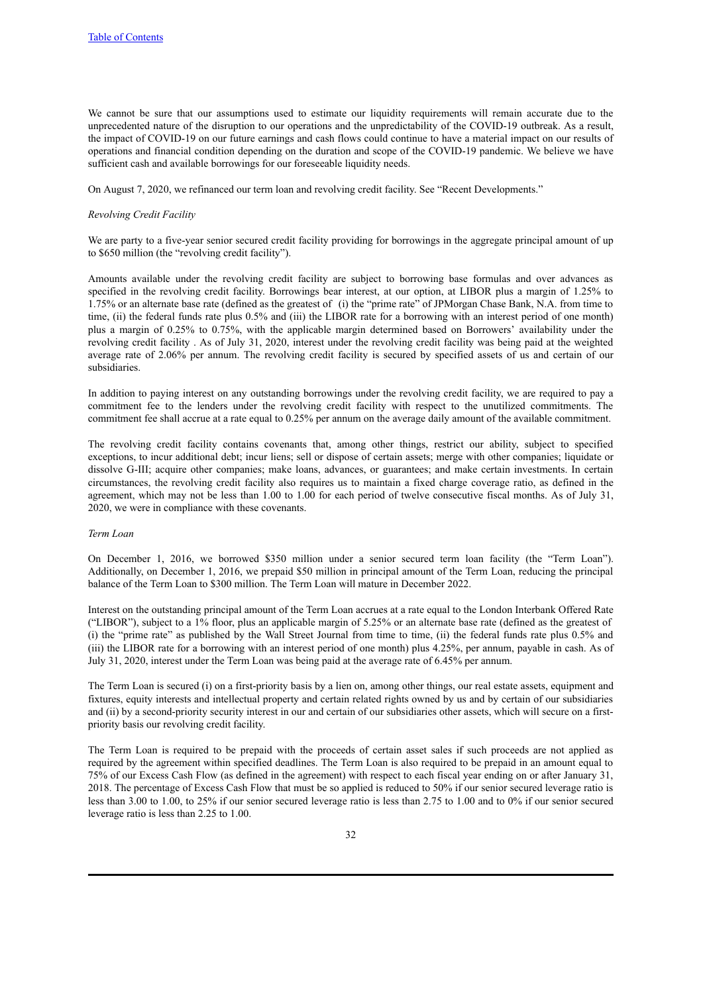We cannot be sure that our assumptions used to estimate our liquidity requirements will remain accurate due to the unprecedented nature of the disruption to our operations and the unpredictability of the COVID-19 outbreak. As a result, the impact of COVID-19 on our future earnings and cash flows could continue to have a material impact on our results of operations and financial condition depending on the duration and scope of the COVID-19 pandemic. We believe we have sufficient cash and available borrowings for our foreseeable liquidity needs.

On August 7, 2020, we refinanced our term loan and revolving credit facility. See "Recent Developments."

# *Revolving Credit Facility*

We are party to a five-year senior secured credit facility providing for borrowings in the aggregate principal amount of up to \$650 million (the "revolving credit facility").

Amounts available under the revolving credit facility are subject to borrowing base formulas and over advances as specified in the revolving credit facility. Borrowings bear interest, at our option, at LIBOR plus a margin of 1.25% to 1.75% or an alternate base rate (defined as the greatest of (i) the "prime rate" of JPMorgan Chase Bank, N.A. from time to time, (ii) the federal funds rate plus 0.5% and (iii) the LIBOR rate for a borrowing with an interest period of one month) plus a margin of 0.25% to 0.75%, with the applicable margin determined based on Borrowers' availability under the revolving credit facility . As of July 31, 2020, interest under the revolving credit facility was being paid at the weighted average rate of 2.06% per annum. The revolving credit facility is secured by specified assets of us and certain of our subsidiaries.

In addition to paying interest on any outstanding borrowings under the revolving credit facility, we are required to pay a commitment fee to the lenders under the revolving credit facility with respect to the unutilized commitments. The commitment fee shall accrue at a rate equal to 0.25% per annum on the average daily amount of the available commitment.

The revolving credit facility contains covenants that, among other things, restrict our ability, subject to specified exceptions, to incur additional debt; incur liens; sell or dispose of certain assets; merge with other companies; liquidate or dissolve G-III; acquire other companies; make loans, advances, or guarantees; and make certain investments. In certain circumstances, the revolving credit facility also requires us to maintain a fixed charge coverage ratio, as defined in the agreement, which may not be less than 1.00 to 1.00 for each period of twelve consecutive fiscal months. As of July 31, 2020, we were in compliance with these covenants.

# *Term Loan*

On December 1, 2016, we borrowed \$350 million under a senior secured term loan facility (the "Term Loan"). Additionally, on December 1, 2016, we prepaid \$50 million in principal amount of the Term Loan, reducing the principal balance of the Term Loan to \$300 million. The Term Loan will mature in December 2022.

Interest on the outstanding principal amount of the Term Loan accrues at a rate equal to the London Interbank Offered Rate ("LIBOR"), subject to a 1% floor, plus an applicable margin of 5.25% or an alternate base rate (defined as the greatest of (i) the "prime rate" as published by the Wall Street Journal from time to time, (ii) the federal funds rate plus 0.5% and (iii) the LIBOR rate for a borrowing with an interest period of one month) plus 4.25%, per annum, payable in cash. As of July 31, 2020, interest under the Term Loan was being paid at the average rate of 6.45% per annum.

The Term Loan is secured (i) on a first-priority basis by a lien on, among other things, our real estate assets, equipment and fixtures, equity interests and intellectual property and certain related rights owned by us and by certain of our subsidiaries and (ii) by a second-priority security interest in our and certain of our subsidiaries other assets, which will secure on a firstpriority basis our revolving credit facility.

The Term Loan is required to be prepaid with the proceeds of certain asset sales if such proceeds are not applied as required by the agreement within specified deadlines. The Term Loan is also required to be prepaid in an amount equal to 75% of our Excess Cash Flow (as defined in the agreement) with respect to each fiscal year ending on or after January 31, 2018. The percentage of Excess Cash Flow that must be so applied is reduced to 50% if our senior secured leverage ratio is less than 3.00 to 1.00, to 25% if our senior secured leverage ratio is less than 2.75 to 1.00 and to 0% if our senior secured leverage ratio is less than 2.25 to 1.00.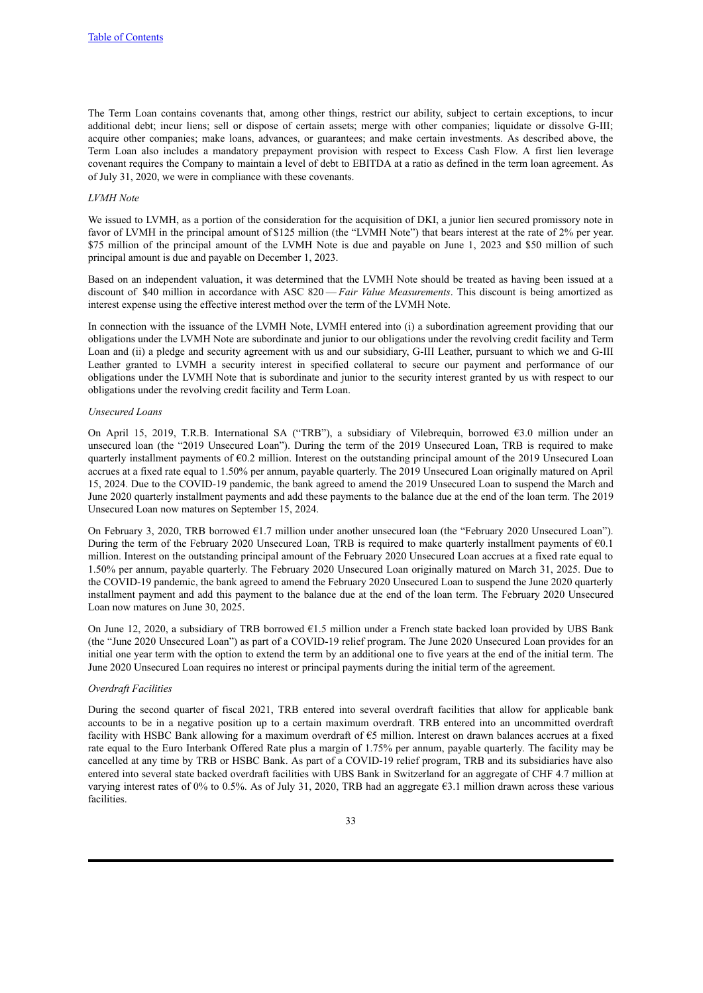The Term Loan contains covenants that, among other things, restrict our ability, subject to certain exceptions, to incur additional debt; incur liens; sell or dispose of certain assets; merge with other companies; liquidate or dissolve G-III; acquire other companies; make loans, advances, or guarantees; and make certain investments. As described above, the Term Loan also includes a mandatory prepayment provision with respect to Excess Cash Flow. A first lien leverage covenant requires the Company to maintain a level of debt to EBITDA at a ratio as defined in the term loan agreement. As of July 31, 2020, we were in compliance with these covenants.

# *LVMH Note*

We issued to LVMH, as a portion of the consideration for the acquisition of DKI, a junior lien secured promissory note in favor of LVMH in the principal amount of \$125 million (the "LVMH Note") that bears interest at the rate of 2% per year. \$75 million of the principal amount of the LVMH Note is due and payable on June 1, 2023 and \$50 million of such principal amount is due and payable on December 1, 2023.

Based on an independent valuation, it was determined that the LVMH Note should be treated as having been issued at a discount of \$40 million in accordance with ASC 820 — *Fair Value Measurements*. This discount is being amortized as interest expense using the effective interest method over the term of the LVMH Note.

In connection with the issuance of the LVMH Note, LVMH entered into (i) a subordination agreement providing that our obligations under the LVMH Note are subordinate and junior to our obligations under the revolving credit facility and Term Loan and (ii) a pledge and security agreement with us and our subsidiary, G-III Leather, pursuant to which we and G-III Leather granted to LVMH a security interest in specified collateral to secure our payment and performance of our obligations under the LVMH Note that is subordinate and junior to the security interest granted by us with respect to our obligations under the revolving credit facility and Term Loan.

# *Unsecured Loans*

On April 15, 2019, T.R.B. International SA ("TRB"), a subsidiary of Vilebrequin, borrowed €3.0 million under an unsecured loan (the "2019 Unsecured Loan"). During the term of the 2019 Unsecured Loan, TRB is required to make quarterly installment payments of  $60.2$  million. Interest on the outstanding principal amount of the 2019 Unsecured Loan accrues at a fixed rate equal to 1.50% per annum, payable quarterly. The 2019 Unsecured Loan originally matured on April 15, 2024. Due to the COVID-19 pandemic, the bank agreed to amend the 2019 Unsecured Loan to suspend the March and June 2020 quarterly installment payments and add these payments to the balance due at the end of the loan term. The 2019 Unsecured Loan now matures on September 15, 2024.

On February 3, 2020, TRB borrowed €1.7 million under another unsecured loan (the "February 2020 Unsecured Loan"). During the term of the February 2020 Unsecured Loan, TRB is required to make quarterly installment payments of  $\epsilon 0.1$ million. Interest on the outstanding principal amount of the February 2020 Unsecured Loan accrues at a fixed rate equal to 1.50% per annum, payable quarterly. The February 2020 Unsecured Loan originally matured on March 31, 2025. Due to the COVID-19 pandemic, the bank agreed to amend the February 2020 Unsecured Loan to suspend the June 2020 quarterly installment payment and add this payment to the balance due at the end of the loan term. The February 2020 Unsecured Loan now matures on June 30, 2025.

On June 12, 2020, a subsidiary of TRB borrowed €1.5 million under a French state backed loan provided by UBS Bank (the "June 2020 Unsecured Loan") as part of a COVID-19 relief program. The June 2020 Unsecured Loan provides for an initial one year term with the option to extend the term by an additional one to five years at the end of the initial term. The June 2020 Unsecured Loan requires no interest or principal payments during the initial term of the agreement.

# *Overdraft Facilities*

During the second quarter of fiscal 2021, TRB entered into several overdraft facilities that allow for applicable bank accounts to be in a negative position up to a certain maximum overdraft. TRB entered into an uncommitted overdraft facility with HSBC Bank allowing for a maximum overdraft of €5 million. Interest on drawn balances accrues at a fixed rate equal to the Euro Interbank Offered Rate plus a margin of 1.75% per annum, payable quarterly. The facility may be cancelled at any time by TRB or HSBC Bank. As part of a COVID-19 relief program, TRB and its subsidiaries have also entered into several state backed overdraft facilities with UBS Bank in Switzerland for an aggregate of CHF 4.7 million at varying interest rates of 0% to 0.5%. As of July 31, 2020, TRB had an aggregate €3.1 million drawn across these various facilities.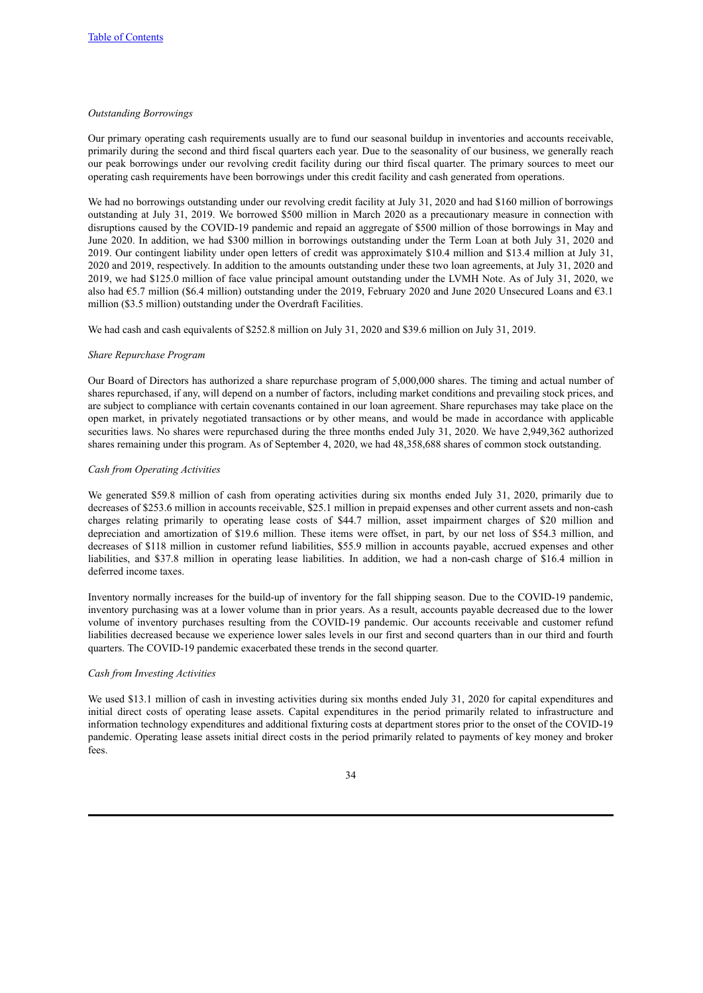# *Outstanding Borrowings*

Our primary operating cash requirements usually are to fund our seasonal buildup in inventories and accounts receivable, primarily during the second and third fiscal quarters each year. Due to the seasonality of our business, we generally reach our peak borrowings under our revolving credit facility during our third fiscal quarter. The primary sources to meet our operating cash requirements have been borrowings under this credit facility and cash generated from operations.

We had no borrowings outstanding under our revolving credit facility at July 31, 2020 and had \$160 million of borrowings outstanding at July 31, 2019. We borrowed \$500 million in March 2020 as a precautionary measure in connection with disruptions caused by the COVID-19 pandemic and repaid an aggregate of \$500 million of those borrowings in May and June 2020. In addition, we had \$300 million in borrowings outstanding under the Term Loan at both July 31, 2020 and 2019. Our contingent liability under open letters of credit was approximately \$10.4 million and \$13.4 million at July 31, 2020 and 2019, respectively. In addition to the amounts outstanding under these two loan agreements, at July 31, 2020 and 2019, we had \$125.0 million of face value principal amount outstanding under the LVMH Note. As of July 31, 2020, we also had €5.7 million (\$6.4 million) outstanding under the 2019, February 2020 and June 2020 Unsecured Loans and €3.1 million (\$3.5 million) outstanding under the Overdraft Facilities.

We had cash and cash equivalents of \$252.8 million on July 31, 2020 and \$39.6 million on July 31, 2019.

### *Share Repurchase Program*

Our Board of Directors has authorized a share repurchase program of 5,000,000 shares. The timing and actual number of shares repurchased, if any, will depend on a number of factors, including market conditions and prevailing stock prices, and are subject to compliance with certain covenants contained in our loan agreement. Share repurchases may take place on the open market, in privately negotiated transactions or by other means, and would be made in accordance with applicable securities laws. No shares were repurchased during the three months ended July 31, 2020. We have 2,949,362 authorized shares remaining under this program. As of September 4, 2020, we had 48,358,688 shares of common stock outstanding.

# *Cash from Operating Activities*

We generated \$59.8 million of cash from operating activities during six months ended July 31, 2020, primarily due to decreases of \$253.6 million in accounts receivable, \$25.1 million in prepaid expenses and other current assets and non-cash charges relating primarily to operating lease costs of \$44.7 million, asset impairment charges of \$20 million and depreciation and amortization of \$19.6 million. These items were offset, in part, by our net loss of \$54.3 million, and decreases of \$118 million in customer refund liabilities, \$55.9 million in accounts payable, accrued expenses and other liabilities, and \$37.8 million in operating lease liabilities. In addition, we had a non-cash charge of \$16.4 million in deferred income taxes.

Inventory normally increases for the build-up of inventory for the fall shipping season. Due to the COVID-19 pandemic, inventory purchasing was at a lower volume than in prior years. As a result, accounts payable decreased due to the lower volume of inventory purchases resulting from the COVID-19 pandemic. Our accounts receivable and customer refund liabilities decreased because we experience lower sales levels in our first and second quarters than in our third and fourth quarters. The COVID-19 pandemic exacerbated these trends in the second quarter.

#### *Cash from Investing Activities*

We used \$13.1 million of cash in investing activities during six months ended July 31, 2020 for capital expenditures and initial direct costs of operating lease assets. Capital expenditures in the period primarily related to infrastructure and information technology expenditures and additional fixturing costs at department stores prior to the onset of the COVID-19 pandemic. Operating lease assets initial direct costs in the period primarily related to payments of key money and broker fees.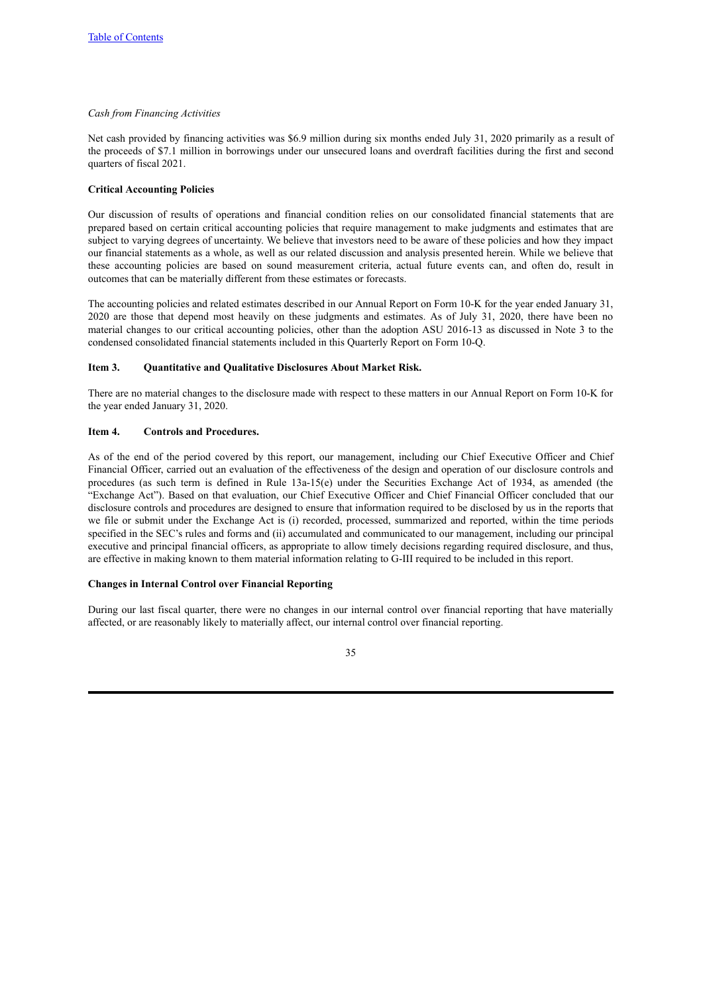# *Cash from Financing Activities*

Net cash provided by financing activities was \$6.9 million during six months ended July 31, 2020 primarily as a result of the proceeds of \$7.1 million in borrowings under our unsecured loans and overdraft facilities during the first and second quarters of fiscal 2021.

# **Critical Accounting Policies**

Our discussion of results of operations and financial condition relies on our consolidated financial statements that are prepared based on certain critical accounting policies that require management to make judgments and estimates that are subject to varying degrees of uncertainty. We believe that investors need to be aware of these policies and how they impact our financial statements as a whole, as well as our related discussion and analysis presented herein. While we believe that these accounting policies are based on sound measurement criteria, actual future events can, and often do, result in outcomes that can be materially different from these estimates or forecasts.

The accounting policies and related estimates described in our Annual Report on Form 10-K for the year ended January 31, 2020 are those that depend most heavily on these judgments and estimates. As of July 31, 2020, there have been no material changes to our critical accounting policies, other than the adoption ASU 2016-13 as discussed in Note 3 to the condensed consolidated financial statements included in this Quarterly Report on Form 10-Q.

#### <span id="page-34-0"></span>**Item 3. Quantitative and Qualitative Disclosures About Market Risk.**

There are no material changes to the disclosure made with respect to these matters in our Annual Report on Form 10-K for the year ended January 31, 2020.

# <span id="page-34-1"></span>**Item 4. Controls and Procedures.**

As of the end of the period covered by this report, our management, including our Chief Executive Officer and Chief Financial Officer, carried out an evaluation of the effectiveness of the design and operation of our disclosure controls and procedures (as such term is defined in Rule 13a-15(e) under the Securities Exchange Act of 1934, as amended (the "Exchange Act"). Based on that evaluation, our Chief Executive Officer and Chief Financial Officer concluded that our disclosure controls and procedures are designed to ensure that information required to be disclosed by us in the reports that we file or submit under the Exchange Act is (i) recorded, processed, summarized and reported, within the time periods specified in the SEC's rules and forms and (ii) accumulated and communicated to our management, including our principal executive and principal financial officers, as appropriate to allow timely decisions regarding required disclosure, and thus, are effective in making known to them material information relating to G-III required to be included in this report.

#### **Changes in Internal Control over Financial Reporting**

During our last fiscal quarter, there were no changes in our internal control over financial reporting that have materially affected, or are reasonably likely to materially affect, our internal control over financial reporting.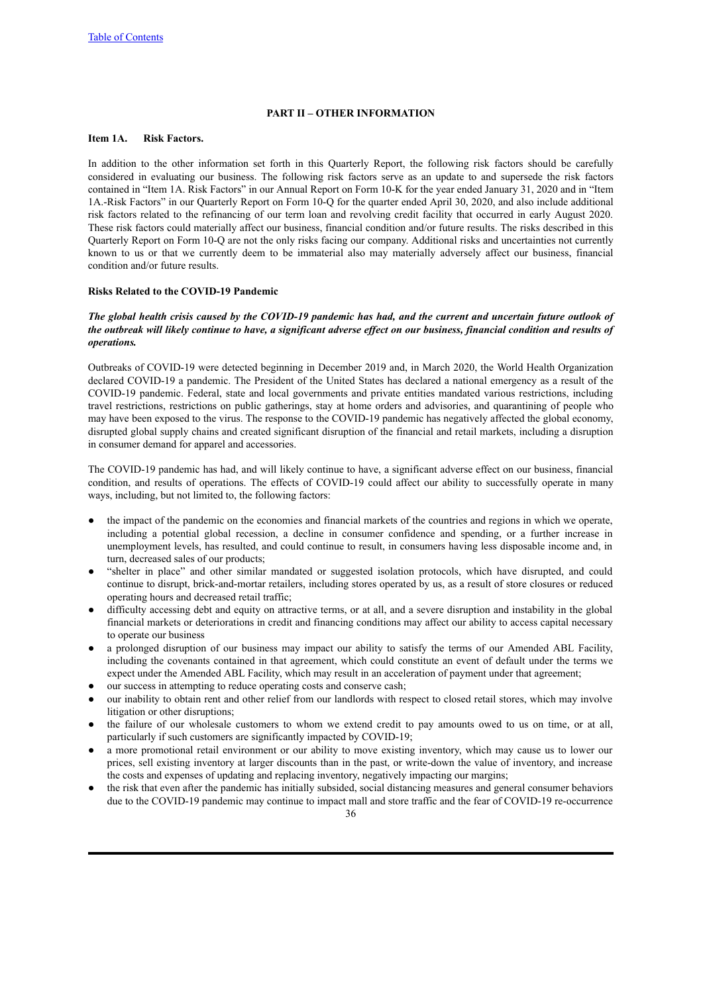# **PART II – OTHER INFORMATION**

# <span id="page-35-1"></span><span id="page-35-0"></span>**Item 1A. Risk Factors.**

In addition to the other information set forth in this Quarterly Report, the following risk factors should be carefully considered in evaluating our business. The following risk factors serve as an update to and supersede the risk factors contained in "Item 1A. Risk Factors" in our Annual Report on Form 10-K for the year ended January 31, 2020 and in "Item 1A.-Risk Factors" in our Quarterly Report on Form 10-Q for the quarter ended April 30, 2020, and also include additional risk factors related to the refinancing of our term loan and revolving credit facility that occurred in early August 2020. These risk factors could materially affect our business, financial condition and/or future results. The risks described in this Quarterly Report on Form 10-Q are not the only risks facing our company. Additional risks and uncertainties not currently known to us or that we currently deem to be immaterial also may materially adversely affect our business, financial condition and/or future results.

#### **Risks Related to the COVID-19 Pandemic**

# The global health crisis caused by the COVID-19 pandemic has had, and the current and uncertain future outlook of the outbreak will likely continue to have, a significant adverse effect on our business, financial condition and results of *operations.*

Outbreaks of COVID-19 were detected beginning in December 2019 and, in March 2020, the World Health Organization declared COVID-19 a pandemic. The President of the United States has declared a national emergency as a result of the COVID-19 pandemic. Federal, state and local governments and private entities mandated various restrictions, including travel restrictions, restrictions on public gatherings, stay at home orders and advisories, and quarantining of people who may have been exposed to the virus. The response to the COVID-19 pandemic has negatively affected the global economy, disrupted global supply chains and created significant disruption of the financial and retail markets, including a disruption in consumer demand for apparel and accessories.

The COVID-19 pandemic has had, and will likely continue to have, a significant adverse effect on our business, financial condition, and results of operations. The effects of COVID-19 could affect our ability to successfully operate in many ways, including, but not limited to, the following factors:

- the impact of the pandemic on the economies and financial markets of the countries and regions in which we operate, including a potential global recession, a decline in consumer confidence and spending, or a further increase in unemployment levels, has resulted, and could continue to result, in consumers having less disposable income and, in turn, decreased sales of our products;
- "shelter in place" and other similar mandated or suggested isolation protocols, which have disrupted, and could continue to disrupt, brick-and-mortar retailers, including stores operated by us, as a result of store closures or reduced operating hours and decreased retail traffic;
- difficulty accessing debt and equity on attractive terms, or at all, and a severe disruption and instability in the global financial markets or deteriorations in credit and financing conditions may affect our ability to access capital necessary to operate our business
- a prolonged disruption of our business may impact our ability to satisfy the terms of our Amended ABL Facility, including the covenants contained in that agreement, which could constitute an event of default under the terms we expect under the Amended ABL Facility, which may result in an acceleration of payment under that agreement;
- our success in attempting to reduce operating costs and conserve cash;
- our inability to obtain rent and other relief from our landlords with respect to closed retail stores, which may involve litigation or other disruptions;
- the failure of our wholesale customers to whom we extend credit to pay amounts owed to us on time, or at all, particularly if such customers are significantly impacted by COVID-19;
- a more promotional retail environment or our ability to move existing inventory, which may cause us to lower our prices, sell existing inventory at larger discounts than in the past, or write-down the value of inventory, and increase the costs and expenses of updating and replacing inventory, negatively impacting our margins;
- the risk that even after the pandemic has initially subsided, social distancing measures and general consumer behaviors due to the COVID-19 pandemic may continue to impact mall and store traffic and the fear of COVID-19 re-occurrence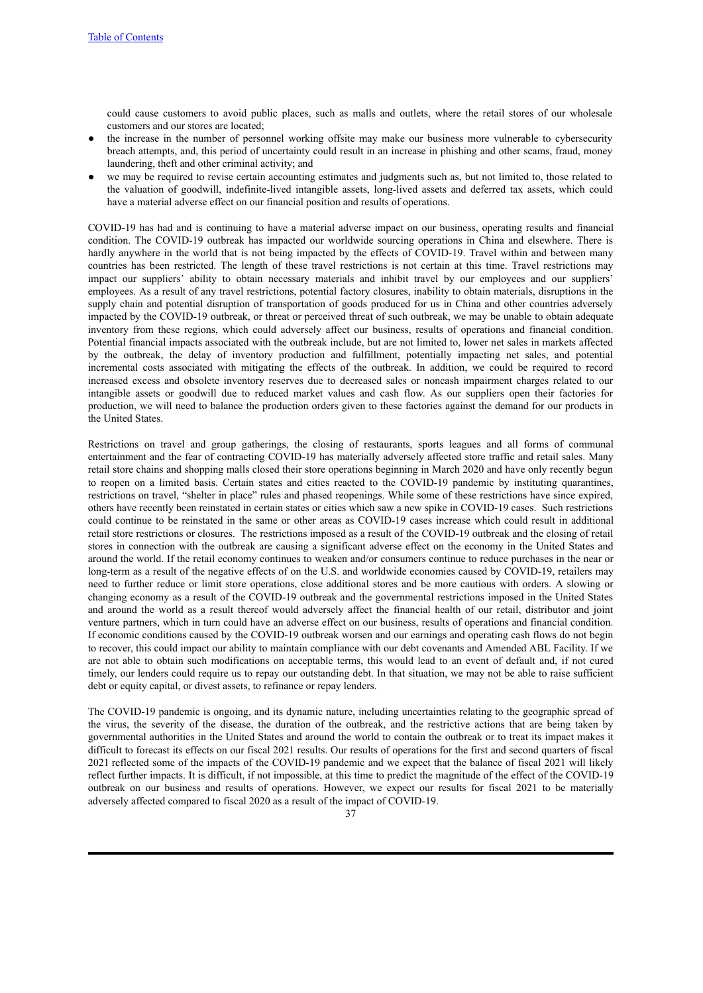could cause customers to avoid public places, such as malls and outlets, where the retail stores of our wholesale customers and our stores are located;

- the increase in the number of personnel working offsite may make our business more vulnerable to cybersecurity breach attempts, and, this period of uncertainty could result in an increase in phishing and other scams, fraud, money laundering, theft and other criminal activity; and
- we may be required to revise certain accounting estimates and judgments such as, but not limited to, those related to the valuation of goodwill, indefinite-lived intangible assets, long-lived assets and deferred tax assets, which could have a material adverse effect on our financial position and results of operations.

COVID-19 has had and is continuing to have a material adverse impact on our business, operating results and financial condition. The COVID-19 outbreak has impacted our worldwide sourcing operations in China and elsewhere. There is hardly anywhere in the world that is not being impacted by the effects of COVID-19. Travel within and between many countries has been restricted. The length of these travel restrictions is not certain at this time. Travel restrictions may impact our suppliers' ability to obtain necessary materials and inhibit travel by our employees and our suppliers' employees. As a result of any travel restrictions, potential factory closures, inability to obtain materials, disruptions in the supply chain and potential disruption of transportation of goods produced for us in China and other countries adversely impacted by the COVID-19 outbreak, or threat or perceived threat of such outbreak, we may be unable to obtain adequate inventory from these regions, which could adversely affect our business, results of operations and financial condition. Potential financial impacts associated with the outbreak include, but are not limited to, lower net sales in markets affected by the outbreak, the delay of inventory production and fulfillment, potentially impacting net sales, and potential incremental costs associated with mitigating the effects of the outbreak. In addition, we could be required to record increased excess and obsolete inventory reserves due to decreased sales or noncash impairment charges related to our intangible assets or goodwill due to reduced market values and cash flow. As our suppliers open their factories for production, we will need to balance the production orders given to these factories against the demand for our products in the United States.

Restrictions on travel and group gatherings, the closing of restaurants, sports leagues and all forms of communal entertainment and the fear of contracting COVID-19 has materially adversely affected store traffic and retail sales. Many retail store chains and shopping malls closed their store operations beginning in March 2020 and have only recently begun to reopen on a limited basis. Certain states and cities reacted to the COVID-19 pandemic by instituting quarantines, restrictions on travel, "shelter in place" rules and phased reopenings. While some of these restrictions have since expired, others have recently been reinstated in certain states or cities which saw a new spike in COVID-19 cases. Such restrictions could continue to be reinstated in the same or other areas as COVID-19 cases increase which could result in additional retail store restrictions or closures. The restrictions imposed as a result of the COVID-19 outbreak and the closing of retail stores in connection with the outbreak are causing a significant adverse effect on the economy in the United States and around the world. If the retail economy continues to weaken and/or consumers continue to reduce purchases in the near or long-term as a result of the negative effects of on the U.S. and worldwide economies caused by COVID-19, retailers may need to further reduce or limit store operations, close additional stores and be more cautious with orders. A slowing or changing economy as a result of the COVID-19 outbreak and the governmental restrictions imposed in the United States and around the world as a result thereof would adversely affect the financial health of our retail, distributor and joint venture partners, which in turn could have an adverse effect on our business, results of operations and financial condition. If economic conditions caused by the COVID-19 outbreak worsen and our earnings and operating cash flows do not begin to recover, this could impact our ability to maintain compliance with our debt covenants and Amended ABL Facility. If we are not able to obtain such modifications on acceptable terms, this would lead to an event of default and, if not cured timely, our lenders could require us to repay our outstanding debt. In that situation, we may not be able to raise sufficient debt or equity capital, or divest assets, to refinance or repay lenders.

The COVID-19 pandemic is ongoing, and its dynamic nature, including uncertainties relating to the geographic spread of the virus, the severity of the disease, the duration of the outbreak, and the restrictive actions that are being taken by governmental authorities in the United States and around the world to contain the outbreak or to treat its impact makes it difficult to forecast its effects on our fiscal 2021 results. Our results of operations for the first and second quarters of fiscal 2021 reflected some of the impacts of the COVID-19 pandemic and we expect that the balance of fiscal 2021 will likely reflect further impacts. It is difficult, if not impossible, at this time to predict the magnitude of the effect of the COVID-19 outbreak on our business and results of operations. However, we expect our results for fiscal 2021 to be materially adversely affected compared to fiscal 2020 as a result of the impact of COVID-19.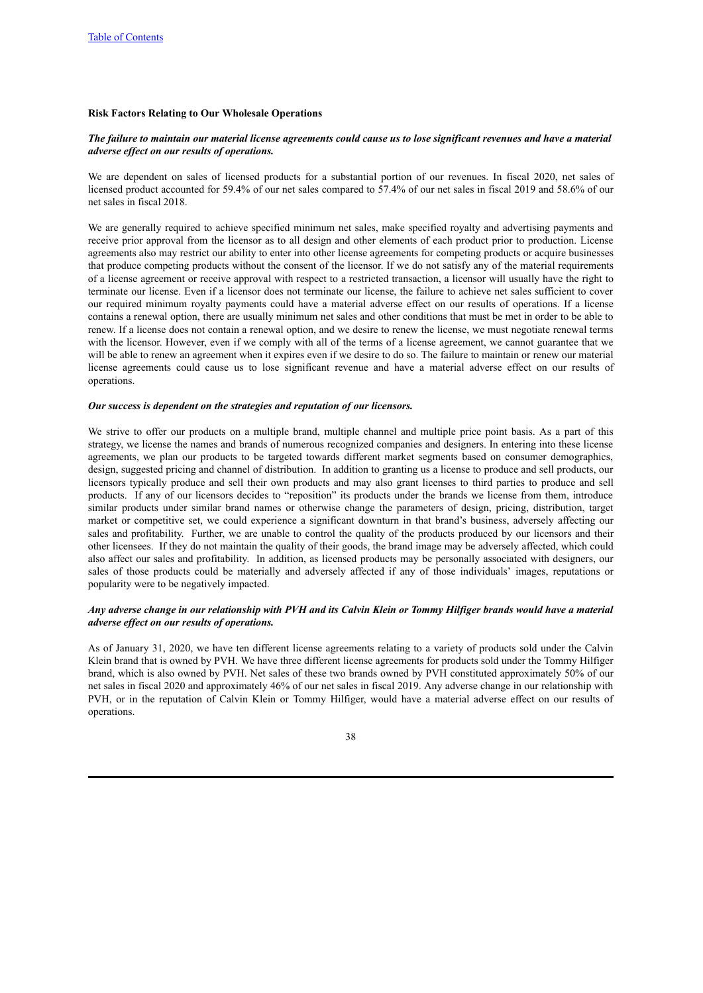# **Risk Factors Relating to Our Wholesale Operations**

### The failure to maintain our material license agreements could cause us to lose significant revenues and have a material *adverse ef ect on our results of operations.*

We are dependent on sales of licensed products for a substantial portion of our revenues. In fiscal 2020, net sales of licensed product accounted for 59.4% of our net sales compared to 57.4% of our net sales in fiscal 2019 and 58.6% of our net sales in fiscal 2018.

We are generally required to achieve specified minimum net sales, make specified royalty and advertising payments and receive prior approval from the licensor as to all design and other elements of each product prior to production. License agreements also may restrict our ability to enter into other license agreements for competing products or acquire businesses that produce competing products without the consent of the licensor. If we do not satisfy any of the material requirements of a license agreement or receive approval with respect to a restricted transaction, a licensor will usually have the right to terminate our license. Even if a licensor does not terminate our license, the failure to achieve net sales sufficient to cover our required minimum royalty payments could have a material adverse effect on our results of operations. If a license contains a renewal option, there are usually minimum net sales and other conditions that must be met in order to be able to renew. If a license does not contain a renewal option, and we desire to renew the license, we must negotiate renewal terms with the licensor. However, even if we comply with all of the terms of a license agreement, we cannot guarantee that we will be able to renew an agreement when it expires even if we desire to do so. The failure to maintain or renew our material license agreements could cause us to lose significant revenue and have a material adverse effect on our results of operations.

#### *Our success is dependent on the strategies and reputation of our licensors.*

We strive to offer our products on a multiple brand, multiple channel and multiple price point basis. As a part of this strategy, we license the names and brands of numerous recognized companies and designers. In entering into these license agreements, we plan our products to be targeted towards different market segments based on consumer demographics, design, suggested pricing and channel of distribution. In addition to granting us a license to produce and sell products, our licensors typically produce and sell their own products and may also grant licenses to third parties to produce and sell products. If any of our licensors decides to "reposition" its products under the brands we license from them, introduce similar products under similar brand names or otherwise change the parameters of design, pricing, distribution, target market or competitive set, we could experience a significant downturn in that brand's business, adversely affecting our sales and profitability. Further, we are unable to control the quality of the products produced by our licensors and their other licensees. If they do not maintain the quality of their goods, the brand image may be adversely affected, which could also affect our sales and profitability. In addition, as licensed products may be personally associated with designers, our sales of those products could be materially and adversely affected if any of those individuals' images, reputations or popularity were to be negatively impacted.

### Any adverse change in our relationship with PVH and its Calvin Klein or Tommy Hilfiger brands would have a material *adverse ef ect on our results of operations.*

As of January 31, 2020, we have ten different license agreements relating to a variety of products sold under the Calvin Klein brand that is owned by PVH. We have three different license agreements for products sold under the Tommy Hilfiger brand, which is also owned by PVH. Net sales of these two brands owned by PVH constituted approximately 50% of our net sales in fiscal 2020 and approximately 46% of our net sales in fiscal 2019. Any adverse change in our relationship with PVH, or in the reputation of Calvin Klein or Tommy Hilfiger, would have a material adverse effect on our results of operations.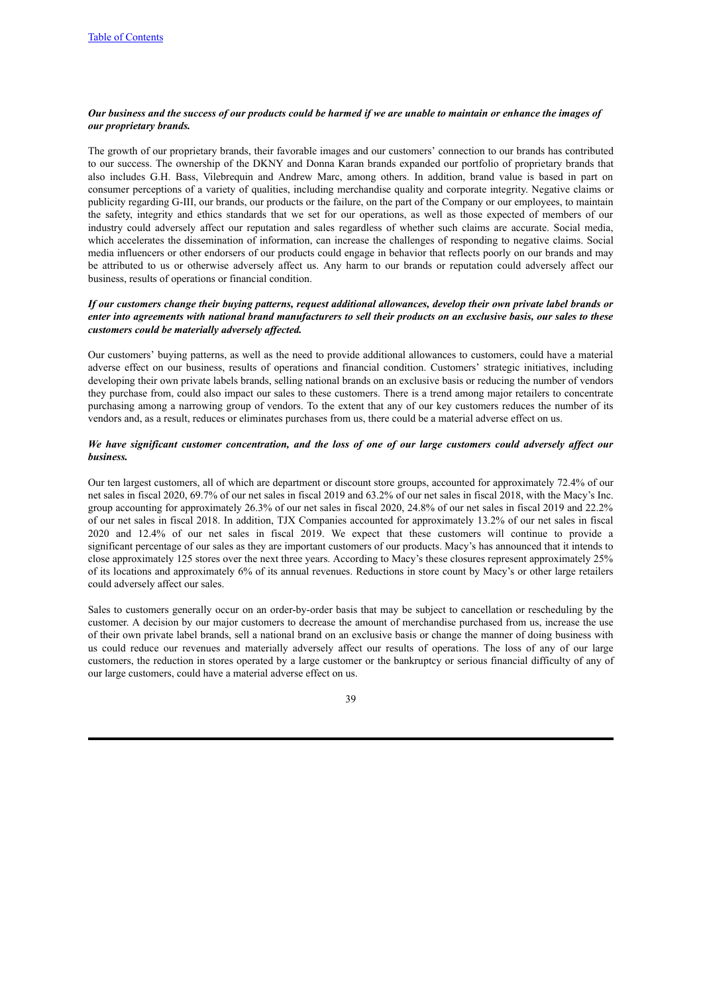# Our business and the success of our products could be harmed if we are unable to maintain or enhance the images of *our proprietary brands.*

The growth of our proprietary brands, their favorable images and our customers' connection to our brands has contributed to our success. The ownership of the DKNY and Donna Karan brands expanded our portfolio of proprietary brands that also includes G.H. Bass, Vilebrequin and Andrew Marc, among others. In addition, brand value is based in part on consumer perceptions of a variety of qualities, including merchandise quality and corporate integrity. Negative claims or publicity regarding G-III, our brands, our products or the failure, on the part of the Company or our employees, to maintain the safety, integrity and ethics standards that we set for our operations, as well as those expected of members of our industry could adversely affect our reputation and sales regardless of whether such claims are accurate. Social media, which accelerates the dissemination of information, can increase the challenges of responding to negative claims. Social media influencers or other endorsers of our products could engage in behavior that reflects poorly on our brands and may be attributed to us or otherwise adversely affect us. Any harm to our brands or reputation could adversely affect our business, results of operations or financial condition.

# If our customers change their buying patterns, request additional allowances, develop their own private label brands or enter into agreements with national brand manufacturers to sell their products on an exclusive basis, our sales to these *customers could be materially adversely af ected.*

Our customers' buying patterns, as well as the need to provide additional allowances to customers, could have a material adverse effect on our business, results of operations and financial condition. Customers' strategic initiatives, including developing their own private labels brands, selling national brands on an exclusive basis or reducing the number of vendors they purchase from, could also impact our sales to these customers. There is a trend among major retailers to concentrate purchasing among a narrowing group of vendors. To the extent that any of our key customers reduces the number of its vendors and, as a result, reduces or eliminates purchases from us, there could be a material adverse effect on us.

# We have significant customer concentration, and the loss of one of our large customers could adversely affect our *business.*

Our ten largest customers, all of which are department or discount store groups, accounted for approximately 72.4% of our net sales in fiscal 2020, 69.7% of our net sales in fiscal 2019 and 63.2% of our net sales in fiscal 2018, with the Macy's Inc. group accounting for approximately 26.3% of our net sales in fiscal 2020, 24.8% of our net sales in fiscal 2019 and 22.2% of our net sales in fiscal 2018. In addition, TJX Companies accounted for approximately 13.2% of our net sales in fiscal 2020 and 12.4% of our net sales in fiscal 2019. We expect that these customers will continue to provide a significant percentage of our sales as they are important customers of our products. Macy's has announced that it intends to close approximately 125 stores over the next three years. According to Macy's these closures represent approximately 25% of its locations and approximately 6% of its annual revenues. Reductions in store count by Macy's or other large retailers could adversely affect our sales.

Sales to customers generally occur on an order-by-order basis that may be subject to cancellation or rescheduling by the customer. A decision by our major customers to decrease the amount of merchandise purchased from us, increase the use of their own private label brands, sell a national brand on an exclusive basis or change the manner of doing business with us could reduce our revenues and materially adversely affect our results of operations. The loss of any of our large customers, the reduction in stores operated by a large customer or the bankruptcy or serious financial difficulty of any of our large customers, could have a material adverse effect on us.

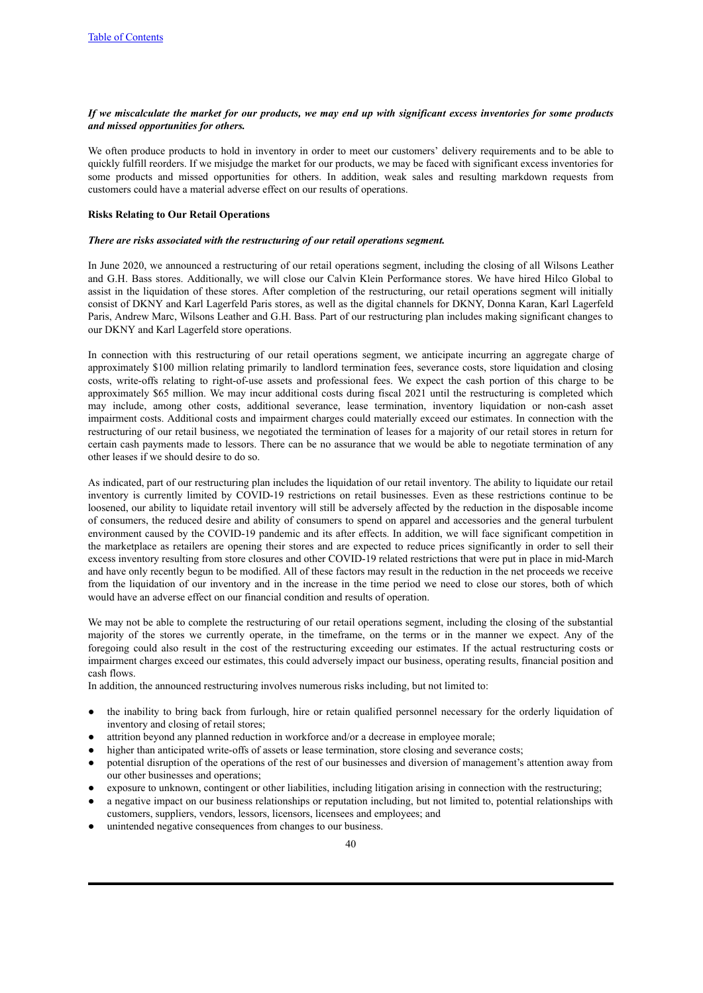# If we miscalculate the market for our products, we may end up with significant excess inventories for some products *and missed opportunities for others.*

We often produce products to hold in inventory in order to meet our customers' delivery requirements and to be able to quickly fulfill reorders. If we misjudge the market for our products, we may be faced with significant excess inventories for some products and missed opportunities for others. In addition, weak sales and resulting markdown requests from customers could have a material adverse effect on our results of operations.

# **Risks Relating to Our Retail Operations**

#### *There are risks associated with the restructuring of our retail operations segment.*

In June 2020, we announced a restructuring of our retail operations segment, including the closing of all Wilsons Leather and G.H. Bass stores. Additionally, we will close our Calvin Klein Performance stores. We have hired Hilco Global to assist in the liquidation of these stores. After completion of the restructuring, our retail operations segment will initially consist of DKNY and Karl Lagerfeld Paris stores, as well as the digital channels for DKNY, Donna Karan, Karl Lagerfeld Paris, Andrew Marc, Wilsons Leather and G.H. Bass. Part of our restructuring plan includes making significant changes to our DKNY and Karl Lagerfeld store operations.

In connection with this restructuring of our retail operations segment, we anticipate incurring an aggregate charge of approximately \$100 million relating primarily to landlord termination fees, severance costs, store liquidation and closing costs, write-offs relating to right-of-use assets and professional fees. We expect the cash portion of this charge to be approximately \$65 million. We may incur additional costs during fiscal 2021 until the restructuring is completed which may include, among other costs, additional severance, lease termination, inventory liquidation or non-cash asset impairment costs. Additional costs and impairment charges could materially exceed our estimates. In connection with the restructuring of our retail business, we negotiated the termination of leases for a majority of our retail stores in return for certain cash payments made to lessors. There can be no assurance that we would be able to negotiate termination of any other leases if we should desire to do so.

As indicated, part of our restructuring plan includes the liquidation of our retail inventory. The ability to liquidate our retail inventory is currently limited by COVID-19 restrictions on retail businesses. Even as these restrictions continue to be loosened, our ability to liquidate retail inventory will still be adversely affected by the reduction in the disposable income of consumers, the reduced desire and ability of consumers to spend on apparel and accessories and the general turbulent environment caused by the COVID-19 pandemic and its after effects. In addition, we will face significant competition in the marketplace as retailers are opening their stores and are expected to reduce prices significantly in order to sell their excess inventory resulting from store closures and other COVID-19 related restrictions that were put in place in mid-March and have only recently begun to be modified. All of these factors may result in the reduction in the net proceeds we receive from the liquidation of our inventory and in the increase in the time period we need to close our stores, both of which would have an adverse effect on our financial condition and results of operation.

We may not be able to complete the restructuring of our retail operations segment, including the closing of the substantial majority of the stores we currently operate, in the timeframe, on the terms or in the manner we expect. Any of the foregoing could also result in the cost of the restructuring exceeding our estimates. If the actual restructuring costs or impairment charges exceed our estimates, this could adversely impact our business, operating results, financial position and cash flows.

In addition, the announced restructuring involves numerous risks including, but not limited to:

- the inability to bring back from furlough, hire or retain qualified personnel necessary for the orderly liquidation of inventory and closing of retail stores;
- attrition beyond any planned reduction in workforce and/or a decrease in employee morale;
- higher than anticipated write-offs of assets or lease termination, store closing and severance costs;
- potential disruption of the operations of the rest of our businesses and diversion of management's attention away from our other businesses and operations;
- exposure to unknown, contingent or other liabilities, including litigation arising in connection with the restructuring;
- a negative impact on our business relationships or reputation including, but not limited to, potential relationships with customers, suppliers, vendors, lessors, licensors, licensees and employees; and
- unintended negative consequences from changes to our business.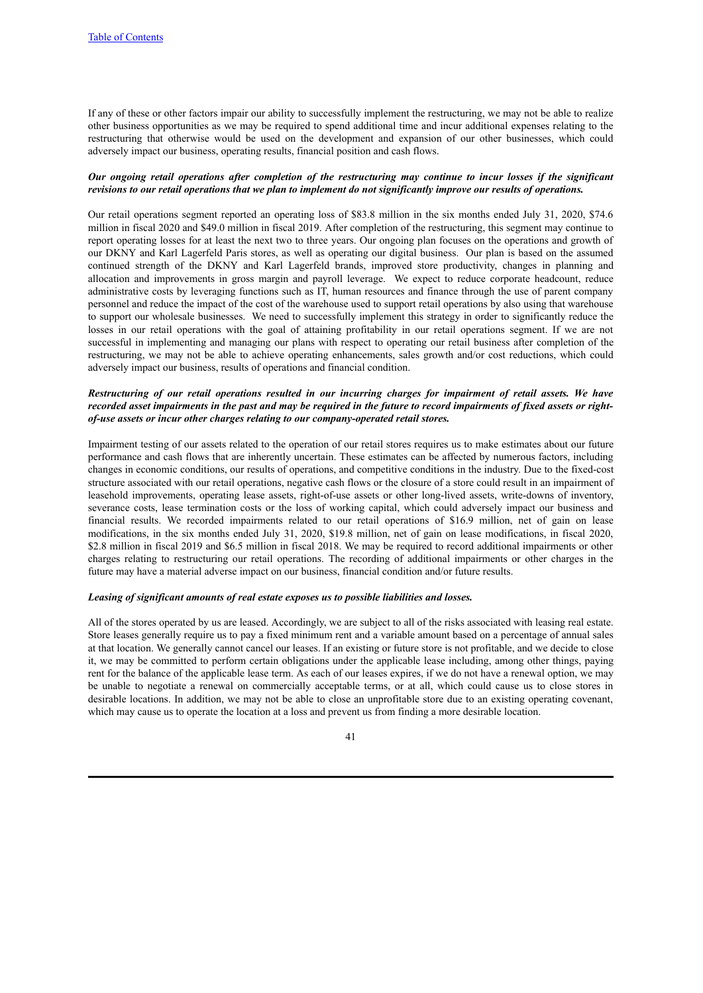If any of these or other factors impair our ability to successfully implement the restructuring, we may not be able to realize other business opportunities as we may be required to spend additional time and incur additional expenses relating to the restructuring that otherwise would be used on the development and expansion of our other businesses, which could adversely impact our business, operating results, financial position and cash flows.

### Our ongoing retail operations after completion of the restructuring may continue to incur losses if the significant revisions to our retail operations that we plan to implement do not significantly improve our results of operations.

Our retail operations segment reported an operating loss of \$83.8 million in the six months ended July 31, 2020, \$74.6 million in fiscal 2020 and \$49.0 million in fiscal 2019. After completion of the restructuring, this segment may continue to report operating losses for at least the next two to three years. Our ongoing plan focuses on the operations and growth of our DKNY and Karl Lagerfeld Paris stores, as well as operating our digital business. Our plan is based on the assumed continued strength of the DKNY and Karl Lagerfeld brands, improved store productivity, changes in planning and allocation and improvements in gross margin and payroll leverage. We expect to reduce corporate headcount, reduce administrative costs by leveraging functions such as IT, human resources and finance through the use of parent company personnel and reduce the impact of the cost of the warehouse used to support retail operations by also using that warehouse to support our wholesale businesses. We need to successfully implement this strategy in order to significantly reduce the losses in our retail operations with the goal of attaining profitability in our retail operations segment. If we are not successful in implementing and managing our plans with respect to operating our retail business after completion of the restructuring, we may not be able to achieve operating enhancements, sales growth and/or cost reductions, which could adversely impact our business, results of operations and financial condition.

# Restructuring of our retail operations resulted in our incurring charges for impairment of retail assets. We have recorded asset impairments in the past and may be required in the future to record impairments of fixed assets or right*of-use assets or incur other charges relating to our company-operated retail stores.*

Impairment testing of our assets related to the operation of our retail stores requires us to make estimates about our future performance and cash flows that are inherently uncertain. These estimates can be affected by numerous factors, including changes in economic conditions, our results of operations, and competitive conditions in the industry. Due to the fixed-cost structure associated with our retail operations, negative cash flows or the closure of a store could result in an impairment of leasehold improvements, operating lease assets, right-of-use assets or other long-lived assets, write-downs of inventory, severance costs, lease termination costs or the loss of working capital, which could adversely impact our business and financial results. We recorded impairments related to our retail operations of \$16.9 million, net of gain on lease modifications, in the six months ended July 31, 2020, \$19.8 million, net of gain on lease modifications, in fiscal 2020, \$2.8 million in fiscal 2019 and \$6.5 million in fiscal 2018. We may be required to record additional impairments or other charges relating to restructuring our retail operations. The recording of additional impairments or other charges in the future may have a material adverse impact on our business, financial condition and/or future results.

#### *Leasing of significant amounts of real estate exposes us to possible liabilities and losses.*

All of the stores operated by us are leased. Accordingly, we are subject to all of the risks associated with leasing real estate. Store leases generally require us to pay a fixed minimum rent and a variable amount based on a percentage of annual sales at that location. We generally cannot cancel our leases. If an existing or future store is not profitable, and we decide to close it, we may be committed to perform certain obligations under the applicable lease including, among other things, paying rent for the balance of the applicable lease term. As each of our leases expires, if we do not have a renewal option, we may be unable to negotiate a renewal on commercially acceptable terms, or at all, which could cause us to close stores in desirable locations. In addition, we may not be able to close an unprofitable store due to an existing operating covenant, which may cause us to operate the location at a loss and prevent us from finding a more desirable location.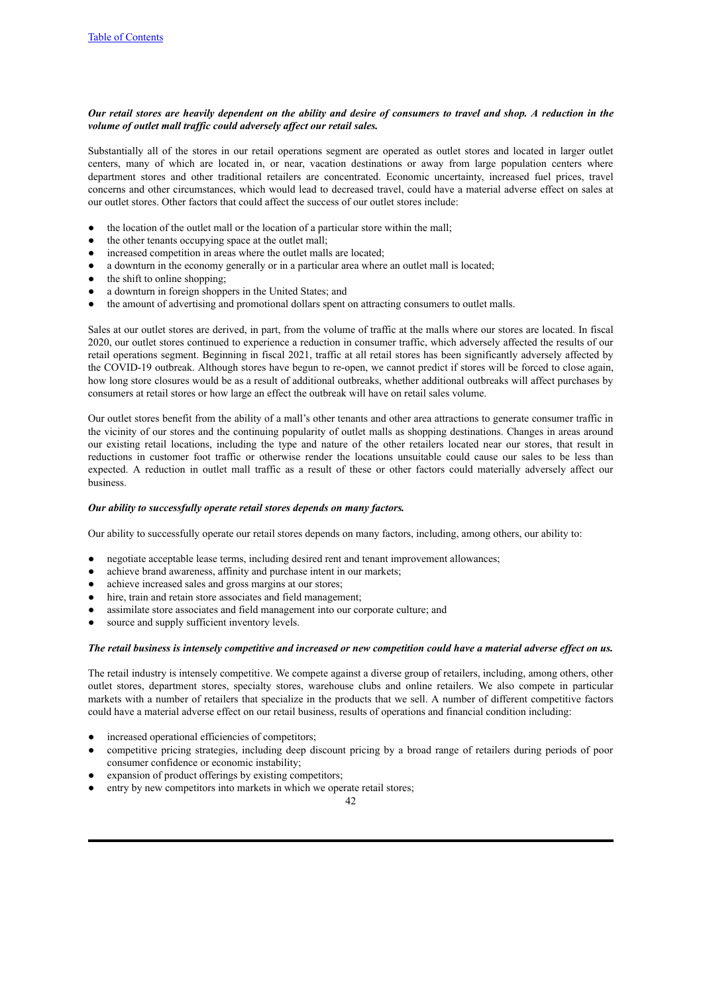# Our retail stores are heavily dependent on the ability and desire of consumers to travel and shop. A reduction in the *volume of outlet mall traf ic could adversely af ect our retail sales.*

Substantially all of the stores in our retail operations segment are operated as outlet stores and located in larger outlet centers, many of which are located in, or near, vacation destinations or away from large population centers where department stores and other traditional retailers are concentrated. Economic uncertainty, increased fuel prices, travel concerns and other circumstances, which would lead to decreased travel, could have a material adverse effect on sales at our outlet stores. Other factors that could affect the success of our outlet stores include:

- the location of the outlet mall or the location of a particular store within the mall;
- the other tenants occupying space at the outlet mall;
- increased competition in areas where the outlet malls are located;
- a downturn in the economy generally or in a particular area where an outlet mall is located;
- $\bullet$  the shift to online shopping;
- a downturn in foreign shoppers in the United States; and
- the amount of advertising and promotional dollars spent on attracting consumers to outlet malls.

Sales at our outlet stores are derived, in part, from the volume of traffic at the malls where our stores are located. In fiscal 2020, our outlet stores continued to experience a reduction in consumer traffic, which adversely affected the results of our retail operations segment. Beginning in fiscal 2021, traffic at all retail stores has been significantly adversely affected by the COVID-19 outbreak. Although stores have begun to re-open, we cannot predict if stores will be forced to close again, how long store closures would be as a result of additional outbreaks, whether additional outbreaks will affect purchases by consumers at retail stores or how large an effect the outbreak will have on retail sales volume.

Our outlet stores benefit from the ability of a mall's other tenants and other area attractions to generate consumer traffic in the vicinity of our stores and the continuing popularity of outlet malls as shopping destinations. Changes in areas around our existing retail locations, including the type and nature of the other retailers located near our stores, that result in reductions in customer foot traffic or otherwise render the locations unsuitable could cause our sales to be less than expected. A reduction in outlet mall traffic as a result of these or other factors could materially adversely affect our business.

# *Our ability to successfully operate retail stores depends on many factors.*

Our ability to successfully operate our retail stores depends on many factors, including, among others, our ability to:

- negotiate acceptable lease terms, including desired rent and tenant improvement allowances;
- achieve brand awareness, affinity and purchase intent in our markets;
- achieve increased sales and gross margins at our stores;
- hire, train and retain store associates and field management;
- assimilate store associates and field management into our corporate culture; and
- source and supply sufficient inventory levels.

#### The retail business is intensely competitive and increased or new competition could have a material adverse effect on us.

The retail industry is intensely competitive. We compete against a diverse group of retailers, including, among others, other outlet stores, department stores, specialty stores, warehouse clubs and online retailers. We also compete in particular markets with a number of retailers that specialize in the products that we sell. A number of different competitive factors could have a material adverse effect on our retail business, results of operations and financial condition including:

- increased operational efficiencies of competitors;
- competitive pricing strategies, including deep discount pricing by a broad range of retailers during periods of poor consumer confidence or economic instability;
- expansion of product offerings by existing competitors;
- entry by new competitors into markets in which we operate retail stores;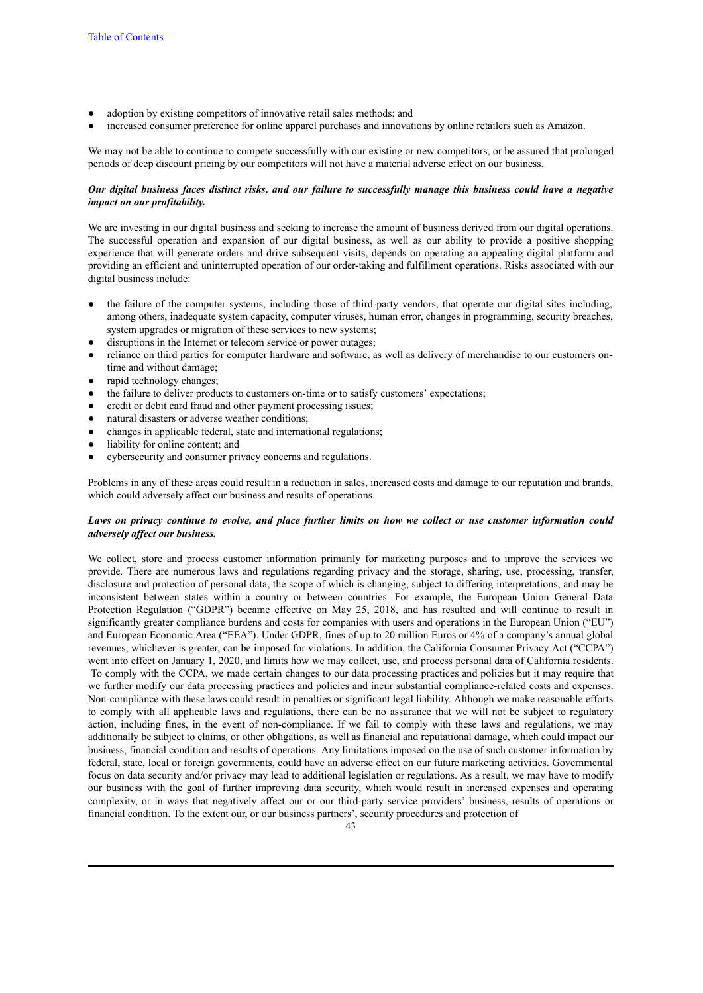- adoption by existing competitors of innovative retail sales methods; and
- increased consumer preference for online apparel purchases and innovations by online retailers such as Amazon.

We may not be able to continue to compete successfully with our existing or new competitors, or be assured that prolonged periods of deep discount pricing by our competitors will not have a material adverse effect on our business.

# Our digital business faces distinct risks, and our failure to successfully manage this business could have a negative *impact on our profitability.*

We are investing in our digital business and seeking to increase the amount of business derived from our digital operations. The successful operation and expansion of our digital business, as well as our ability to provide a positive shopping experience that will generate orders and drive subsequent visits, depends on operating an appealing digital platform and providing an efficient and uninterrupted operation of our order-taking and fulfillment operations. Risks associated with our digital business include:

- the failure of the computer systems, including those of third-party vendors, that operate our digital sites including, among others, inadequate system capacity, computer viruses, human error, changes in programming, security breaches, system upgrades or migration of these services to new systems;
- disruptions in the Internet or telecom service or power outages;
- reliance on third parties for computer hardware and software, as well as delivery of merchandise to our customers ontime and without damage;
- rapid technology changes;
- the failure to deliver products to customers on-time or to satisfy customers' expectations;
- credit or debit card fraud and other payment processing issues;
- natural disasters or adverse weather conditions;
- changes in applicable federal, state and international regulations;
- liability for online content; and
- cybersecurity and consumer privacy concerns and regulations.

Problems in any of these areas could result in a reduction in sales, increased costs and damage to our reputation and brands, which could adversely affect our business and results of operations.

# Laws on privacy continue to evolve, and place further limits on how we collect or use customer information could *adversely af ect our business.*

We collect, store and process customer information primarily for marketing purposes and to improve the services we provide. There are numerous laws and regulations regarding privacy and the storage, sharing, use, processing, transfer, disclosure and protection of personal data, the scope of which is changing, subject to differing interpretations, and may be inconsistent between states within a country or between countries. For example, the European Union General Data Protection Regulation ("GDPR") became effective on May 25, 2018, and has resulted and will continue to result in significantly greater compliance burdens and costs for companies with users and operations in the European Union ("EU") and European Economic Area ("EEA"). Under GDPR, fines of up to 20 million Euros or 4% of a company's annual global revenues, whichever is greater, can be imposed for violations. In addition, the California Consumer Privacy Act ("CCPA") went into effect on January 1, 2020, and limits how we may collect, use, and process personal data of California residents. To comply with the CCPA, we made certain changes to our data processing practices and policies but it may require that we further modify our data processing practices and policies and incur substantial compliance-related costs and expenses. Non-compliance with these laws could result in penalties or significant legal liability. Although we make reasonable efforts to comply with all applicable laws and regulations, there can be no assurance that we will not be subject to regulatory action, including fines, in the event of non-compliance. If we fail to comply with these laws and regulations, we may additionally be subject to claims, or other obligations, as well as financial and reputational damage, which could impact our business, financial condition and results of operations. Any limitations imposed on the use of such customer information by federal, state, local or foreign governments, could have an adverse effect on our future marketing activities. Governmental focus on data security and/or privacy may lead to additional legislation or regulations. As a result, we may have to modify our business with the goal of further improving data security, which would result in increased expenses and operating complexity, or in ways that negatively affect our or our third-party service providers' business, results of operations or financial condition. To the extent our, or our business partners', security procedures and protection of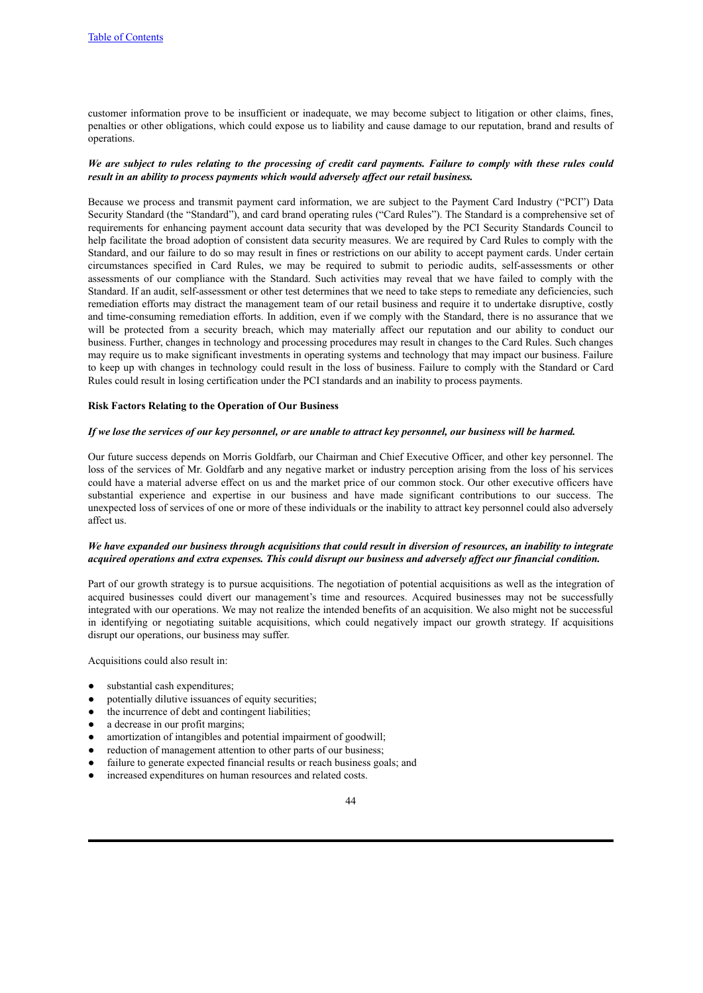customer information prove to be insufficient or inadequate, we may become subject to litigation or other claims, fines, penalties or other obligations, which could expose us to liability and cause damage to our reputation, brand and results of operations.

# We are subject to rules relating to the processing of credit card payments. Failure to comply with these rules could *result in an ability to process payments which would adversely af ect our retail business.*

Because we process and transmit payment card information, we are subject to the Payment Card Industry ("PCI") Data Security Standard (the "Standard"), and card brand operating rules ("Card Rules"). The Standard is a comprehensive set of requirements for enhancing payment account data security that was developed by the PCI Security Standards Council to help facilitate the broad adoption of consistent data security measures. We are required by Card Rules to comply with the Standard, and our failure to do so may result in fines or restrictions on our ability to accept payment cards. Under certain circumstances specified in Card Rules, we may be required to submit to periodic audits, self-assessments or other assessments of our compliance with the Standard. Such activities may reveal that we have failed to comply with the Standard. If an audit, self-assessment or other test determines that we need to take steps to remediate any deficiencies, such remediation efforts may distract the management team of our retail business and require it to undertake disruptive, costly and time-consuming remediation efforts. In addition, even if we comply with the Standard, there is no assurance that we will be protected from a security breach, which may materially affect our reputation and our ability to conduct our business. Further, changes in technology and processing procedures may result in changes to the Card Rules. Such changes may require us to make significant investments in operating systems and technology that may impact our business. Failure to keep up with changes in technology could result in the loss of business. Failure to comply with the Standard or Card Rules could result in losing certification under the PCI standards and an inability to process payments.

## **Risk Factors Relating to the Operation of Our Business**

### If we lose the services of our key personnel, or are unable to attract key personnel, our business will be harmed.

Our future success depends on Morris Goldfarb, our Chairman and Chief Executive Officer, and other key personnel. The loss of the services of Mr. Goldfarb and any negative market or industry perception arising from the loss of his services could have a material adverse effect on us and the market price of our common stock. Our other executive officers have substantial experience and expertise in our business and have made significant contributions to our success. The unexpected loss of services of one or more of these individuals or the inability to attract key personnel could also adversely affect us.

# We have expanded our business through acquisitions that could result in diversion of resources, an inability to integrate acquired operations and extra expenses. This could disrupt our business and adversely affect our financial condition.

Part of our growth strategy is to pursue acquisitions. The negotiation of potential acquisitions as well as the integration of acquired businesses could divert our management's time and resources. Acquired businesses may not be successfully integrated with our operations. We may not realize the intended benefits of an acquisition. We also might not be successful in identifying or negotiating suitable acquisitions, which could negatively impact our growth strategy. If acquisitions disrupt our operations, our business may suffer.

Acquisitions could also result in:

- substantial cash expenditures;
- potentially dilutive issuances of equity securities;
- the incurrence of debt and contingent liabilities;
- a decrease in our profit margins;
- amortization of intangibles and potential impairment of goodwill;
- reduction of management attention to other parts of our business;
- failure to generate expected financial results or reach business goals; and
- increased expenditures on human resources and related costs.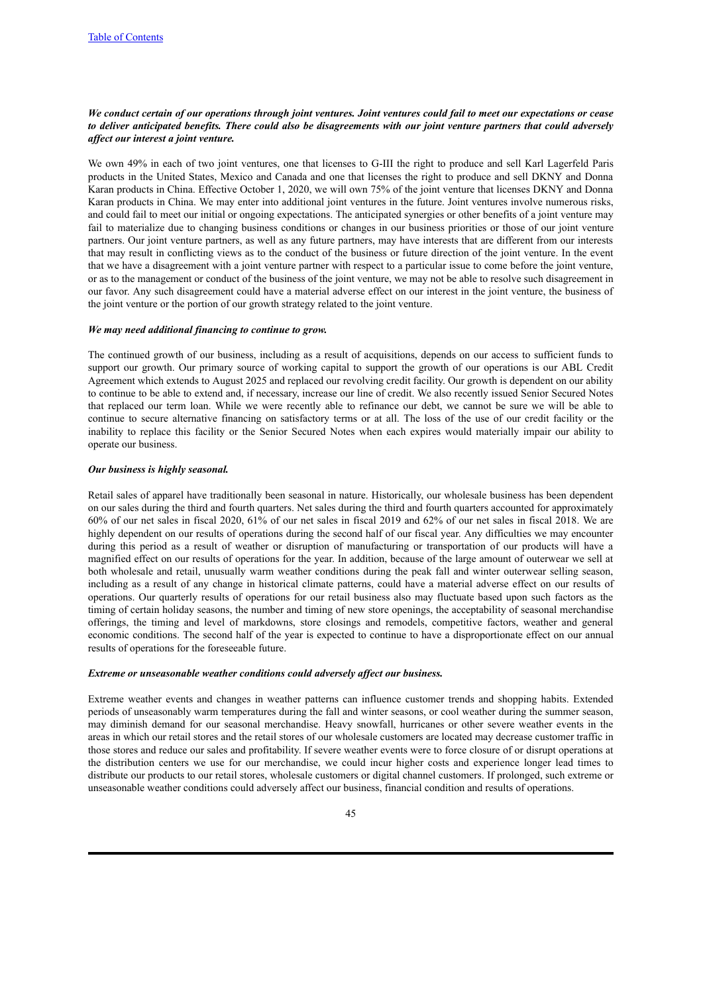# We conduct certain of our operations through joint ventures. Joint ventures could fail to meet our expectations or cease to deliver anticipated benefits. There could also be disagreements with our joint venture partners that could adversely *af ect our interest a joint venture.*

We own 49% in each of two joint ventures, one that licenses to G-III the right to produce and sell Karl Lagerfeld Paris products in the United States, Mexico and Canada and one that licenses the right to produce and sell DKNY and Donna Karan products in China. Effective October 1, 2020, we will own 75% of the joint venture that licenses DKNY and Donna Karan products in China. We may enter into additional joint ventures in the future. Joint ventures involve numerous risks, and could fail to meet our initial or ongoing expectations. The anticipated synergies or other benefits of a joint venture may fail to materialize due to changing business conditions or changes in our business priorities or those of our joint venture partners. Our joint venture partners, as well as any future partners, may have interests that are different from our interests that may result in conflicting views as to the conduct of the business or future direction of the joint venture. In the event that we have a disagreement with a joint venture partner with respect to a particular issue to come before the joint venture, or as to the management or conduct of the business of the joint venture, we may not be able to resolve such disagreement in our favor. Any such disagreement could have a material adverse effect on our interest in the joint venture, the business of the joint venture or the portion of our growth strategy related to the joint venture.

#### *We may need additional financing to continue to grow.*

The continued growth of our business, including as a result of acquisitions, depends on our access to sufficient funds to support our growth. Our primary source of working capital to support the growth of our operations is our ABL Credit Agreement which extends to August 2025 and replaced our revolving credit facility. Our growth is dependent on our ability to continue to be able to extend and, if necessary, increase our line of credit. We also recently issued Senior Secured Notes that replaced our term loan. While we were recently able to refinance our debt, we cannot be sure we will be able to continue to secure alternative financing on satisfactory terms or at all. The loss of the use of our credit facility or the inability to replace this facility or the Senior Secured Notes when each expires would materially impair our ability to operate our business.

# *Our business is highly seasonal.*

Retail sales of apparel have traditionally been seasonal in nature. Historically, our wholesale business has been dependent on our sales during the third and fourth quarters. Net sales during the third and fourth quarters accounted for approximately 60% of our net sales in fiscal 2020, 61% of our net sales in fiscal 2019 and 62% of our net sales in fiscal 2018. We are highly dependent on our results of operations during the second half of our fiscal year. Any difficulties we may encounter during this period as a result of weather or disruption of manufacturing or transportation of our products will have a magnified effect on our results of operations for the year. In addition, because of the large amount of outerwear we sell at both wholesale and retail, unusually warm weather conditions during the peak fall and winter outerwear selling season, including as a result of any change in historical climate patterns, could have a material adverse effect on our results of operations. Our quarterly results of operations for our retail business also may fluctuate based upon such factors as the timing of certain holiday seasons, the number and timing of new store openings, the acceptability of seasonal merchandise offerings, the timing and level of markdowns, store closings and remodels, competitive factors, weather and general economic conditions. The second half of the year is expected to continue to have a disproportionate effect on our annual results of operations for the foreseeable future.

#### *Extreme or unseasonable weather conditions could adversely af ect our business.*

Extreme weather events and changes in weather patterns can influence customer trends and shopping habits. Extended periods of unseasonably warm temperatures during the fall and winter seasons, or cool weather during the summer season, may diminish demand for our seasonal merchandise. Heavy snowfall, hurricanes or other severe weather events in the areas in which our retail stores and the retail stores of our wholesale customers are located may decrease customer traffic in those stores and reduce our sales and profitability. If severe weather events were to force closure of or disrupt operations at the distribution centers we use for our merchandise, we could incur higher costs and experience longer lead times to distribute our products to our retail stores, wholesale customers or digital channel customers. If prolonged, such extreme or unseasonable weather conditions could adversely affect our business, financial condition and results of operations.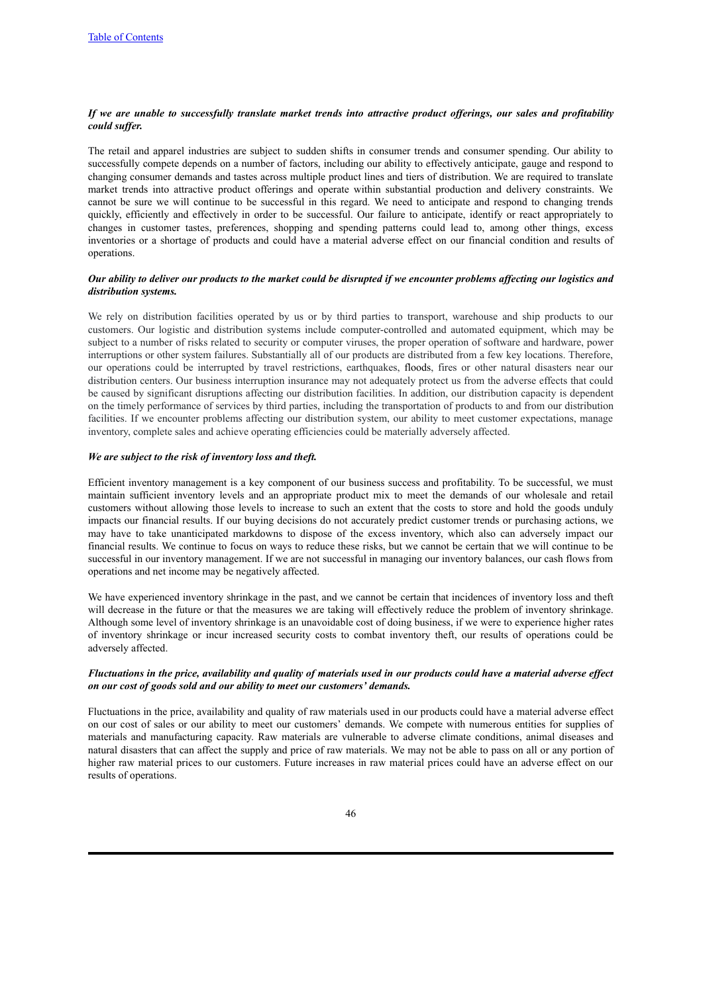# If we are unable to successfully translate market trends into attractive product offerings, our sales and profitability  $could$  *suffer.*

The retail and apparel industries are subject to sudden shifts in consumer trends and consumer spending. Our ability to successfully compete depends on a number of factors, including our ability to effectively anticipate, gauge and respond to changing consumer demands and tastes across multiple product lines and tiers of distribution. We are required to translate market trends into attractive product offerings and operate within substantial production and delivery constraints. We cannot be sure we will continue to be successful in this regard. We need to anticipate and respond to changing trends quickly, efficiently and effectively in order to be successful. Our failure to anticipate, identify or react appropriately to changes in customer tastes, preferences, shopping and spending patterns could lead to, among other things, excess inventories or a shortage of products and could have a material adverse effect on our financial condition and results of operations.

# Our ability to deliver our products to the market could be disrupted if we encounter problems affecting our logistics and *distribution systems.*

We rely on distribution facilities operated by us or by third parties to transport, warehouse and ship products to our customers. Our logistic and distribution systems include computer-controlled and automated equipment, which may be subject to a number of risks related to security or computer viruses, the proper operation of software and hardware, power interruptions or other system failures. Substantially all of our products are distributed from a few key locations. Therefore, our operations could be interrupted by travel restrictions, earthquakes, floods, fires or other natural disasters near our distribution centers. Our business interruption insurance may not adequately protect us from the adverse effects that could be caused by significant disruptions affecting our distribution facilities. In addition, our distribution capacity is dependent on the timely performance of services by third parties, including the transportation of products to and from our distribution facilities. If we encounter problems affecting our distribution system, our ability to meet customer expectations, manage inventory, complete sales and achieve operating efficiencies could be materially adversely affected.

# *We are subject to the risk of inventory loss and theft.*

Efficient inventory management is a key component of our business success and profitability. To be successful, we must maintain sufficient inventory levels and an appropriate product mix to meet the demands of our wholesale and retail customers without allowing those levels to increase to such an extent that the costs to store and hold the goods unduly impacts our financial results. If our buying decisions do not accurately predict customer trends or purchasing actions, we may have to take unanticipated markdowns to dispose of the excess inventory, which also can adversely impact our financial results. We continue to focus on ways to reduce these risks, but we cannot be certain that we will continue to be successful in our inventory management. If we are not successful in managing our inventory balances, our cash flows from operations and net income may be negatively affected.

We have experienced inventory shrinkage in the past, and we cannot be certain that incidences of inventory loss and theft will decrease in the future or that the measures we are taking will effectively reduce the problem of inventory shrinkage. Although some level of inventory shrinkage is an unavoidable cost of doing business, if we were to experience higher rates of inventory shrinkage or incur increased security costs to combat inventory theft, our results of operations could be adversely affected.

#### Fluctuations in the price, availability and quality of materials used in our products could have a material adverse effect *on our cost of goods sold and our ability to meet our customers' demands.*

Fluctuations in the price, availability and quality of raw materials used in our products could have a material adverse effect on our cost of sales or our ability to meet our customers' demands. We compete with numerous entities for supplies of materials and manufacturing capacity. Raw materials are vulnerable to adverse climate conditions, animal diseases and natural disasters that can affect the supply and price of raw materials. We may not be able to pass on all or any portion of higher raw material prices to our customers. Future increases in raw material prices could have an adverse effect on our results of operations.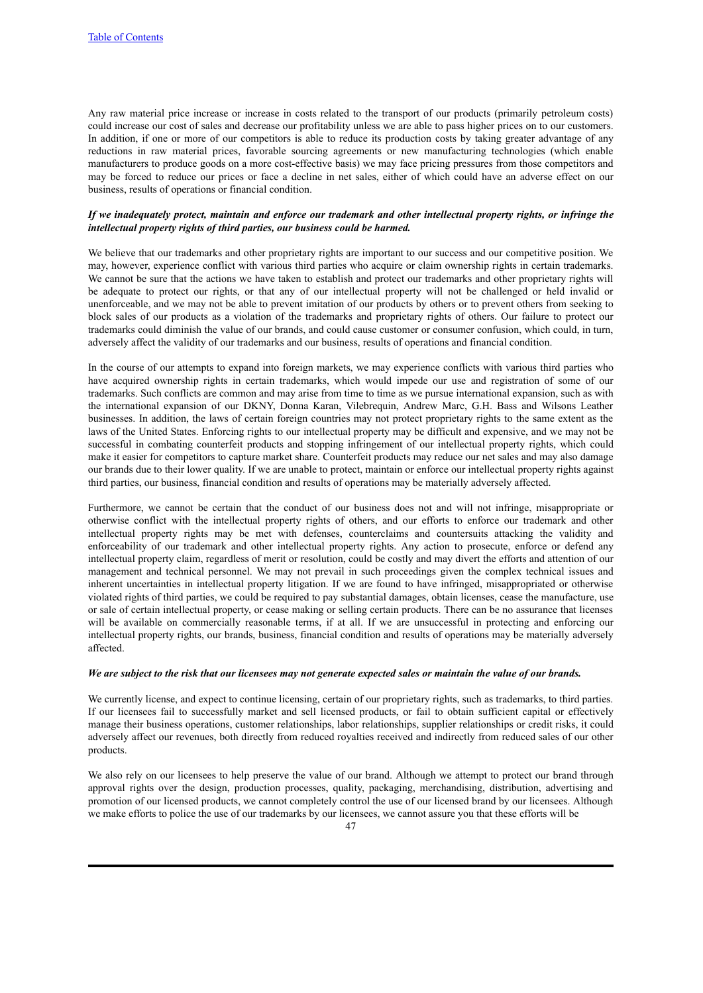Any raw material price increase or increase in costs related to the transport of our products (primarily petroleum costs) could increase our cost of sales and decrease our profitability unless we are able to pass higher prices on to our customers. In addition, if one or more of our competitors is able to reduce its production costs by taking greater advantage of any reductions in raw material prices, favorable sourcing agreements or new manufacturing technologies (which enable manufacturers to produce goods on a more cost-effective basis) we may face pricing pressures from those competitors and may be forced to reduce our prices or face a decline in net sales, either of which could have an adverse effect on our business, results of operations or financial condition.

# If we inadequately protect, maintain and enforce our trademark and other intellectual property rights, or infringe the *intellectual property rights of third parties, our business could be harmed.*

We believe that our trademarks and other proprietary rights are important to our success and our competitive position. We may, however, experience conflict with various third parties who acquire or claim ownership rights in certain trademarks. We cannot be sure that the actions we have taken to establish and protect our trademarks and other proprietary rights will be adequate to protect our rights, or that any of our intellectual property will not be challenged or held invalid or unenforceable, and we may not be able to prevent imitation of our products by others or to prevent others from seeking to block sales of our products as a violation of the trademarks and proprietary rights of others. Our failure to protect our trademarks could diminish the value of our brands, and could cause customer or consumer confusion, which could, in turn, adversely affect the validity of our trademarks and our business, results of operations and financial condition.

In the course of our attempts to expand into foreign markets, we may experience conflicts with various third parties who have acquired ownership rights in certain trademarks, which would impede our use and registration of some of our trademarks. Such conflicts are common and may arise from time to time as we pursue international expansion, such as with the international expansion of our DKNY, Donna Karan, Vilebrequin, Andrew Marc, G.H. Bass and Wilsons Leather businesses. In addition, the laws of certain foreign countries may not protect proprietary rights to the same extent as the laws of the United States. Enforcing rights to our intellectual property may be difficult and expensive, and we may not be successful in combating counterfeit products and stopping infringement of our intellectual property rights, which could make it easier for competitors to capture market share. Counterfeit products may reduce our net sales and may also damage our brands due to their lower quality. If we are unable to protect, maintain or enforce our intellectual property rights against third parties, our business, financial condition and results of operations may be materially adversely affected.

Furthermore, we cannot be certain that the conduct of our business does not and will not infringe, misappropriate or otherwise conflict with the intellectual property rights of others, and our efforts to enforce our trademark and other intellectual property rights may be met with defenses, counterclaims and countersuits attacking the validity and enforceability of our trademark and other intellectual property rights. Any action to prosecute, enforce or defend any intellectual property claim, regardless of merit or resolution, could be costly and may divert the efforts and attention of our management and technical personnel. We may not prevail in such proceedings given the complex technical issues and inherent uncertainties in intellectual property litigation. If we are found to have infringed, misappropriated or otherwise violated rights of third parties, we could be required to pay substantial damages, obtain licenses, cease the manufacture, use or sale of certain intellectual property, or cease making or selling certain products. There can be no assurance that licenses will be available on commercially reasonable terms, if at all. If we are unsuccessful in protecting and enforcing our intellectual property rights, our brands, business, financial condition and results of operations may be materially adversely affected.

#### We are subject to the risk that our licensees may not generate expected sales or maintain the value of our brands.

We currently license, and expect to continue licensing, certain of our proprietary rights, such as trademarks, to third parties. If our licensees fail to successfully market and sell licensed products, or fail to obtain sufficient capital or effectively manage their business operations, customer relationships, labor relationships, supplier relationships or credit risks, it could adversely affect our revenues, both directly from reduced royalties received and indirectly from reduced sales of our other products.

We also rely on our licensees to help preserve the value of our brand. Although we attempt to protect our brand through approval rights over the design, production processes, quality, packaging, merchandising, distribution, advertising and promotion of our licensed products, we cannot completely control the use of our licensed brand by our licensees. Although we make efforts to police the use of our trademarks by our licensees, we cannot assure you that these efforts will be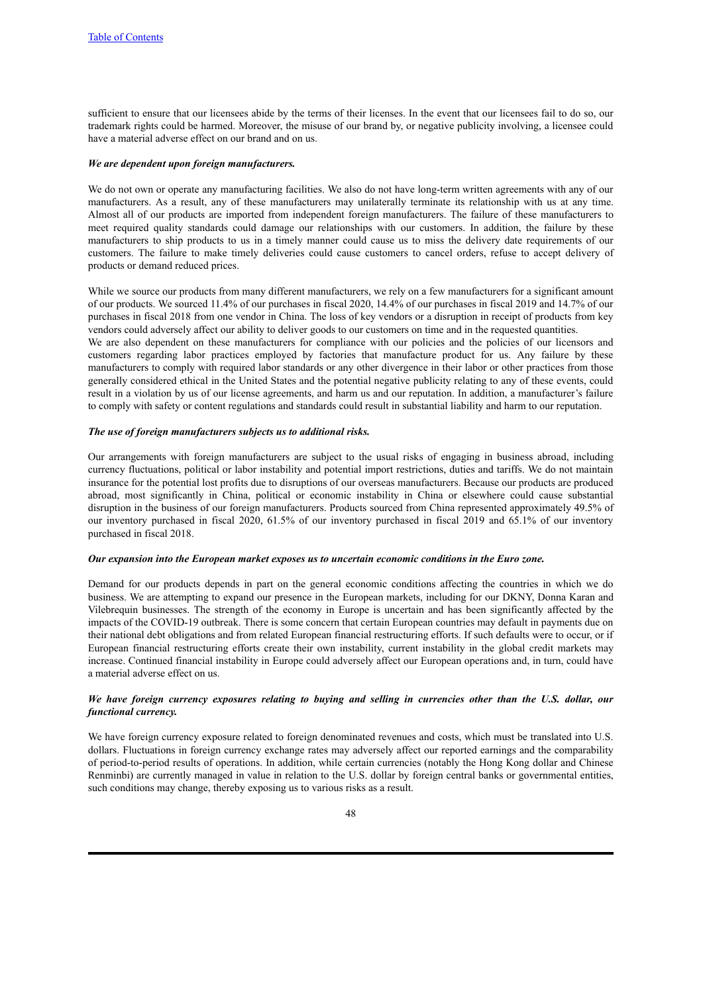sufficient to ensure that our licensees abide by the terms of their licenses. In the event that our licensees fail to do so, our trademark rights could be harmed. Moreover, the misuse of our brand by, or negative publicity involving, a licensee could have a material adverse effect on our brand and on us.

#### *We are dependent upon foreign manufacturers.*

We do not own or operate any manufacturing facilities. We also do not have long-term written agreements with any of our manufacturers. As a result, any of these manufacturers may unilaterally terminate its relationship with us at any time. Almost all of our products are imported from independent foreign manufacturers. The failure of these manufacturers to meet required quality standards could damage our relationships with our customers. In addition, the failure by these manufacturers to ship products to us in a timely manner could cause us to miss the delivery date requirements of our customers. The failure to make timely deliveries could cause customers to cancel orders, refuse to accept delivery of products or demand reduced prices.

While we source our products from many different manufacturers, we rely on a few manufacturers for a significant amount of our products. We sourced 11.4% of our purchases in fiscal 2020, 14.4% of our purchases in fiscal 2019 and 14.7% of our purchases in fiscal 2018 from one vendor in China. The loss of key vendors or a disruption in receipt of products from key vendors could adversely affect our ability to deliver goods to our customers on time and in the requested quantities. We are also dependent on these manufacturers for compliance with our policies and the policies of our licensors and customers regarding labor practices employed by factories that manufacture product for us. Any failure by these manufacturers to comply with required labor standards or any other divergence in their labor or other practices from those generally considered ethical in the United States and the potential negative publicity relating to any of these events, could result in a violation by us of our license agreements, and harm us and our reputation. In addition, a manufacturer's failure to comply with safety or content regulations and standards could result in substantial liability and harm to our reputation.

# *The use of foreign manufacturers subjects us to additional risks.*

Our arrangements with foreign manufacturers are subject to the usual risks of engaging in business abroad, including currency fluctuations, political or labor instability and potential import restrictions, duties and tariffs. We do not maintain insurance for the potential lost profits due to disruptions of our overseas manufacturers. Because our products are produced abroad, most significantly in China, political or economic instability in China or elsewhere could cause substantial disruption in the business of our foreign manufacturers. Products sourced from China represented approximately 49.5% of our inventory purchased in fiscal 2020, 61.5% of our inventory purchased in fiscal 2019 and 65.1% of our inventory purchased in fiscal 2018.

### *Our expansion into the European market exposes us to uncertain economic conditions in the Euro zone.*

Demand for our products depends in part on the general economic conditions affecting the countries in which we do business. We are attempting to expand our presence in the European markets, including for our DKNY, Donna Karan and Vilebrequin businesses. The strength of the economy in Europe is uncertain and has been significantly affected by the impacts of the COVID-19 outbreak. There is some concern that certain European countries may default in payments due on their national debt obligations and from related European financial restructuring efforts. If such defaults were to occur, or if European financial restructuring efforts create their own instability, current instability in the global credit markets may increase. Continued financial instability in Europe could adversely affect our European operations and, in turn, could have a material adverse effect on us.

# We have foreign currency exposures relating to buying and selling in currencies other than the U.S. dollar, our *functional currency.*

We have foreign currency exposure related to foreign denominated revenues and costs, which must be translated into U.S. dollars. Fluctuations in foreign currency exchange rates may adversely affect our reported earnings and the comparability of period-to-period results of operations. In addition, while certain currencies (notably the Hong Kong dollar and Chinese Renminbi) are currently managed in value in relation to the U.S. dollar by foreign central banks or governmental entities, such conditions may change, thereby exposing us to various risks as a result.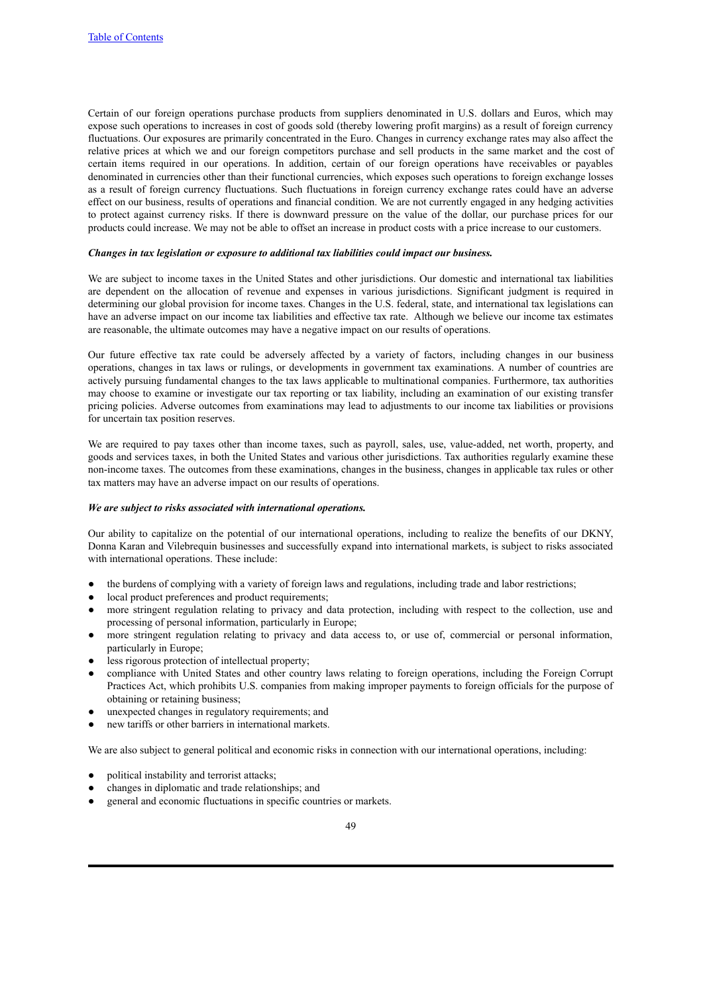Certain of our foreign operations purchase products from suppliers denominated in U.S. dollars and Euros, which may expose such operations to increases in cost of goods sold (thereby lowering profit margins) as a result of foreign currency fluctuations. Our exposures are primarily concentrated in the Euro. Changes in currency exchange rates may also affect the relative prices at which we and our foreign competitors purchase and sell products in the same market and the cost of certain items required in our operations. In addition, certain of our foreign operations have receivables or payables denominated in currencies other than their functional currencies, which exposes such operations to foreign exchange losses as a result of foreign currency fluctuations. Such fluctuations in foreign currency exchange rates could have an adverse effect on our business, results of operations and financial condition. We are not currently engaged in any hedging activities to protect against currency risks. If there is downward pressure on the value of the dollar, our purchase prices for our products could increase. We may not be able to offset an increase in product costs with a price increase to our customers.

#### *Changes in tax legislation or exposure to additional tax liabilities could impact our business.*

We are subject to income taxes in the United States and other jurisdictions. Our domestic and international tax liabilities are dependent on the allocation of revenue and expenses in various jurisdictions. Significant judgment is required in determining our global provision for income taxes. Changes in the U.S. federal, state, and international tax legislations can have an adverse impact on our income tax liabilities and effective tax rate. Although we believe our income tax estimates are reasonable, the ultimate outcomes may have a negative impact on our results of operations.

Our future effective tax rate could be adversely affected by a variety of factors, including changes in our business operations, changes in tax laws or rulings, or developments in government tax examinations. A number of countries are actively pursuing fundamental changes to the tax laws applicable to multinational companies. Furthermore, tax authorities may choose to examine or investigate our tax reporting or tax liability, including an examination of our existing transfer pricing policies. Adverse outcomes from examinations may lead to adjustments to our income tax liabilities or provisions for uncertain tax position reserves.

We are required to pay taxes other than income taxes, such as payroll, sales, use, value-added, net worth, property, and goods and services taxes, in both the United States and various other jurisdictions. Tax authorities regularly examine these non-income taxes. The outcomes from these examinations, changes in the business, changes in applicable tax rules or other tax matters may have an adverse impact on our results of operations.

#### *We are subject to risks associated with international operations.*

Our ability to capitalize on the potential of our international operations, including to realize the benefits of our DKNY, Donna Karan and Vilebrequin businesses and successfully expand into international markets, is subject to risks associated with international operations. These include:

- the burdens of complying with a variety of foreign laws and regulations, including trade and labor restrictions;
- local product preferences and product requirements;
- more stringent regulation relating to privacy and data protection, including with respect to the collection, use and processing of personal information, particularly in Europe;
- more stringent regulation relating to privacy and data access to, or use of, commercial or personal information, particularly in Europe;
- less rigorous protection of intellectual property;
- compliance with United States and other country laws relating to foreign operations, including the Foreign Corrupt Practices Act, which prohibits U.S. companies from making improper payments to foreign officials for the purpose of obtaining or retaining business;
- unexpected changes in regulatory requirements; and
- new tariffs or other barriers in international markets.

We are also subject to general political and economic risks in connection with our international operations, including:

- political instability and terrorist attacks;
- changes in diplomatic and trade relationships; and
- general and economic fluctuations in specific countries or markets.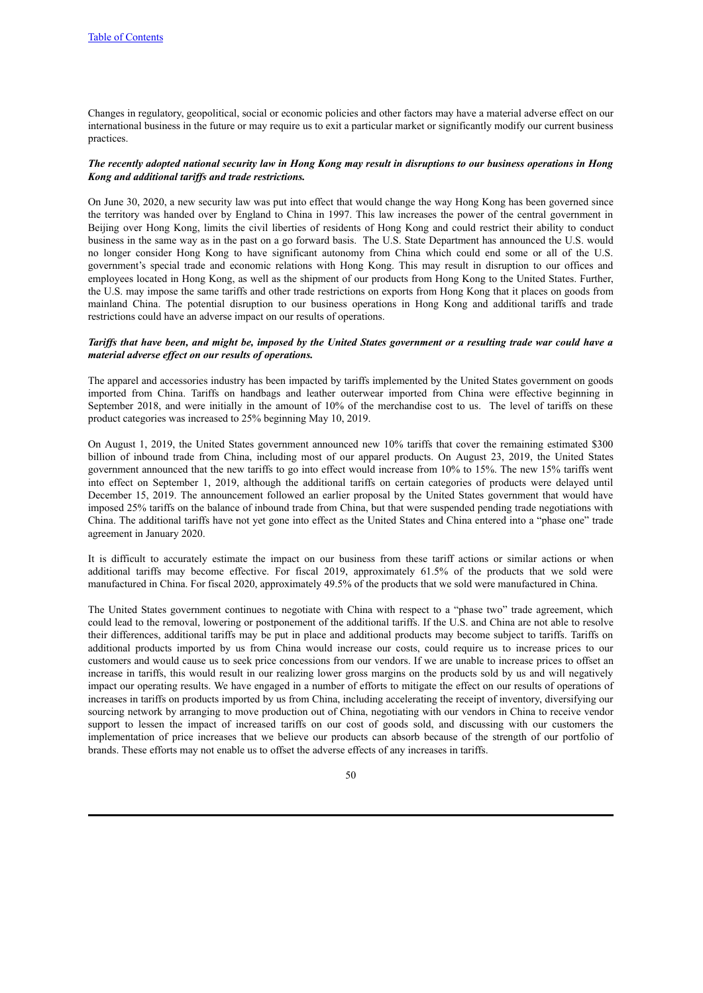Changes in regulatory, geopolitical, social or economic policies and other factors may have a material adverse effect on our international business in the future or may require us to exit a particular market or significantly modify our current business practices.

# The recently adopted national security law in Hong Kong may result in disruptions to our business operations in Hong *Kong and additional tarif s and trade restrictions.*

On June 30, 2020, a new security law was put into effect that would change the way Hong Kong has been governed since the territory was handed over by England to China in 1997. This law increases the power of the central government in Beijing over Hong Kong, limits the civil liberties of residents of Hong Kong and could restrict their ability to conduct business in the same way as in the past on a go forward basis. The U.S. State Department has announced the U.S. would no longer consider Hong Kong to have significant autonomy from China which could end some or all of the U.S. government's special trade and economic relations with Hong Kong. This may result in disruption to our offices and employees located in Hong Kong, as well as the shipment of our products from Hong Kong to the United States. Further, the U.S. may impose the same tariffs and other trade restrictions on exports from Hong Kong that it places on goods from mainland China. The potential disruption to our business operations in Hong Kong and additional tariffs and trade restrictions could have an adverse impact on our results of operations.

# Tariffs that have been, and might be, imposed by the United States government or a resulting trade war could have a *material adverse ef ect on our results of operations.*

The apparel and accessories industry has been impacted by tariffs implemented by the United States government on goods imported from China. Tariffs on handbags and leather outerwear imported from China were effective beginning in September 2018, and were initially in the amount of 10% of the merchandise cost to us. The level of tariffs on these product categories was increased to 25% beginning May 10, 2019.

On August 1, 2019, the United States government announced new 10% tariffs that cover the remaining estimated \$300 billion of inbound trade from China, including most of our apparel products. On August 23, 2019, the United States government announced that the new tariffs to go into effect would increase from 10% to 15%. The new 15% tariffs went into effect on September 1, 2019, although the additional tariffs on certain categories of products were delayed until December 15, 2019. The announcement followed an earlier proposal by the United States government that would have imposed 25% tariffs on the balance of inbound trade from China, but that were suspended pending trade negotiations with China. The additional tariffs have not yet gone into effect as the United States and China entered into a "phase one" trade agreement in January 2020.

It is difficult to accurately estimate the impact on our business from these tariff actions or similar actions or when additional tariffs may become effective. For fiscal 2019, approximately 61.5% of the products that we sold were manufactured in China. For fiscal 2020, approximately 49.5% of the products that we sold were manufactured in China.

The United States government continues to negotiate with China with respect to a "phase two" trade agreement, which could lead to the removal, lowering or postponement of the additional tariffs. If the U.S. and China are not able to resolve their differences, additional tariffs may be put in place and additional products may become subject to tariffs. Tariffs on additional products imported by us from China would increase our costs, could require us to increase prices to our customers and would cause us to seek price concessions from our vendors. If we are unable to increase prices to offset an increase in tariffs, this would result in our realizing lower gross margins on the products sold by us and will negatively impact our operating results. We have engaged in a number of efforts to mitigate the effect on our results of operations of increases in tariffs on products imported by us from China, including accelerating the receipt of inventory, diversifying our sourcing network by arranging to move production out of China, negotiating with our vendors in China to receive vendor support to lessen the impact of increased tariffs on our cost of goods sold, and discussing with our customers the implementation of price increases that we believe our products can absorb because of the strength of our portfolio of brands. These efforts may not enable us to offset the adverse effects of any increases in tariffs.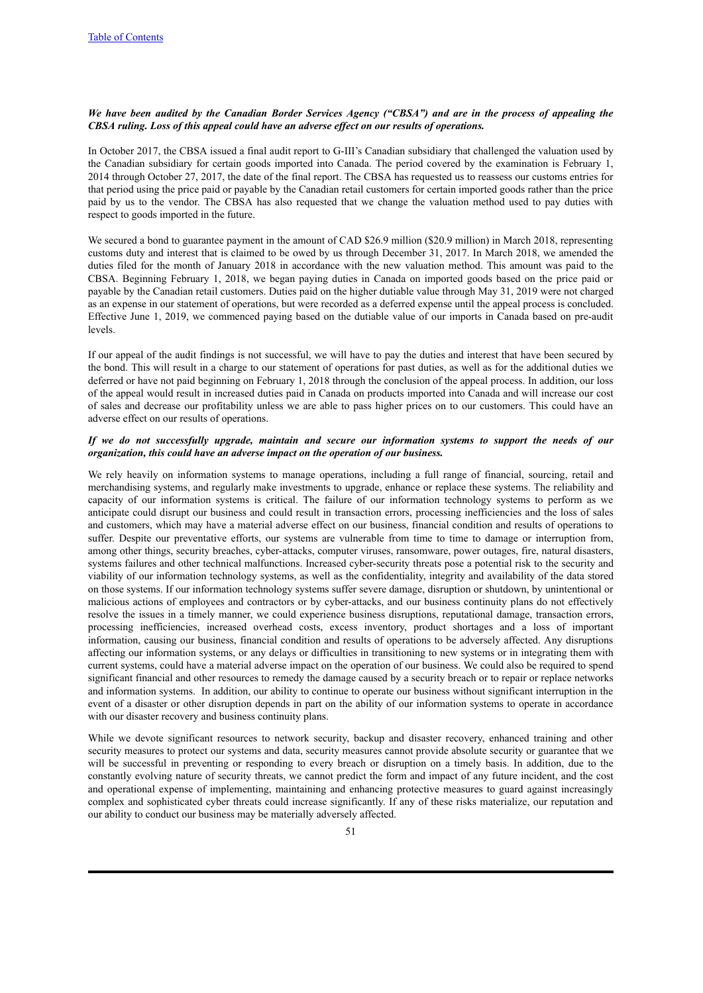# We have been audited by the Canadian Border Services Agency ("CBSA") and are in the process of appealing the *CBSA ruling. Loss of this appeal could have an adverse ef ect on our results of operations.*

In October 2017, the CBSA issued a final audit report to G-III's Canadian subsidiary that challenged the valuation used by the Canadian subsidiary for certain goods imported into Canada. The period covered by the examination is February 1, 2014 through October 27, 2017, the date of the final report. The CBSA has requested us to reassess our customs entries for that period using the price paid or payable by the Canadian retail customers for certain imported goods rather than the price paid by us to the vendor. The CBSA has also requested that we change the valuation method used to pay duties with respect to goods imported in the future.

We secured a bond to guarantee payment in the amount of CAD \$26.9 million (\$20.9 million) in March 2018, representing customs duty and interest that is claimed to be owed by us through December 31, 2017. In March 2018, we amended the duties filed for the month of January 2018 in accordance with the new valuation method. This amount was paid to the CBSA. Beginning February 1, 2018, we began paying duties in Canada on imported goods based on the price paid or payable by the Canadian retail customers. Duties paid on the higher dutiable value through May 31, 2019 were not charged as an expense in our statement of operations, but were recorded as a deferred expense until the appeal process is concluded. Effective June 1, 2019, we commenced paying based on the dutiable value of our imports in Canada based on pre-audit levels.

If our appeal of the audit findings is not successful, we will have to pay the duties and interest that have been secured by the bond. This will result in a charge to our statement of operations for past duties, as well as for the additional duties we deferred or have not paid beginning on February 1, 2018 through the conclusion of the appeal process. In addition, our loss of the appeal would result in increased duties paid in Canada on products imported into Canada and will increase our cost of sales and decrease our profitability unless we are able to pass higher prices on to our customers. This could have an adverse effect on our results of operations.

### If we do not successfully upgrade, maintain and secure our information systems to support the needs of our *organization, this could have an adverse impact on the operation of our business.*

We rely heavily on information systems to manage operations, including a full range of financial, sourcing, retail and merchandising systems, and regularly make investments to upgrade, enhance or replace these systems. The reliability and capacity of our information systems is critical. The failure of our information technology systems to perform as we anticipate could disrupt our business and could result in transaction errors, processing inefficiencies and the loss of sales and customers, which may have a material adverse effect on our business, financial condition and results of operations to suffer. Despite our preventative efforts, our systems are vulnerable from time to time to damage or interruption from, among other things, security breaches, cyber-attacks, computer viruses, ransomware, power outages, fire, natural disasters, systems failures and other technical malfunctions. Increased cyber-security threats pose a potential risk to the security and viability of our information technology systems, as well as the confidentiality, integrity and availability of the data stored on those systems. If our information technology systems suffer severe damage, disruption or shutdown, by unintentional or malicious actions of employees and contractors or by cyber-attacks, and our business continuity plans do not effectively resolve the issues in a timely manner, we could experience business disruptions, reputational damage, transaction errors, processing inefficiencies, increased overhead costs, excess inventory, product shortages and a loss of important information, causing our business, financial condition and results of operations to be adversely affected. Any disruptions affecting our information systems, or any delays or difficulties in transitioning to new systems or in integrating them with current systems, could have a material adverse impact on the operation of our business. We could also be required to spend significant financial and other resources to remedy the damage caused by a security breach or to repair or replace networks and information systems. In addition, our ability to continue to operate our business without significant interruption in the event of a disaster or other disruption depends in part on the ability of our information systems to operate in accordance with our disaster recovery and business continuity plans.

While we devote significant resources to network security, backup and disaster recovery, enhanced training and other security measures to protect our systems and data, security measures cannot provide absolute security or guarantee that we will be successful in preventing or responding to every breach or disruption on a timely basis. In addition, due to the constantly evolving nature of security threats, we cannot predict the form and impact of any future incident, and the cost and operational expense of implementing, maintaining and enhancing protective measures to guard against increasingly complex and sophisticated cyber threats could increase significantly. If any of these risks materialize, our reputation and our ability to conduct our business may be materially adversely affected.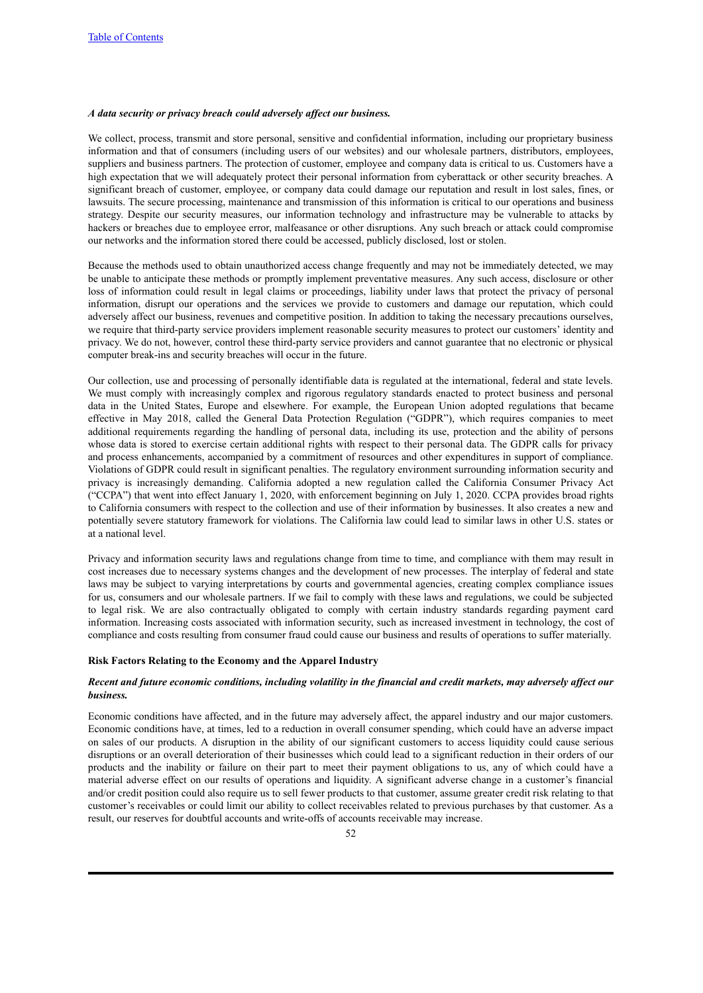# *A data security or privacy breach could adversely af ect our business.*

We collect, process, transmit and store personal, sensitive and confidential information, including our proprietary business information and that of consumers (including users of our websites) and our wholesale partners, distributors, employees, suppliers and business partners. The protection of customer, employee and company data is critical to us. Customers have a high expectation that we will adequately protect their personal information from cyberattack or other security breaches. A significant breach of customer, employee, or company data could damage our reputation and result in lost sales, fines, or lawsuits. The secure processing, maintenance and transmission of this information is critical to our operations and business strategy. Despite our security measures, our information technology and infrastructure may be vulnerable to attacks by hackers or breaches due to employee error, malfeasance or other disruptions. Any such breach or attack could compromise our networks and the information stored there could be accessed, publicly disclosed, lost or stolen.

Because the methods used to obtain unauthorized access change frequently and may not be immediately detected, we may be unable to anticipate these methods or promptly implement preventative measures. Any such access, disclosure or other loss of information could result in legal claims or proceedings, liability under laws that protect the privacy of personal information, disrupt our operations and the services we provide to customers and damage our reputation, which could adversely affect our business, revenues and competitive position. In addition to taking the necessary precautions ourselves, we require that third-party service providers implement reasonable security measures to protect our customers' identity and privacy. We do not, however, control these third-party service providers and cannot guarantee that no electronic or physical computer break-ins and security breaches will occur in the future.

Our collection, use and processing of personally identifiable data is regulated at the international, federal and state levels. We must comply with increasingly complex and rigorous regulatory standards enacted to protect business and personal data in the United States, Europe and elsewhere. For example, the European Union adopted regulations that became effective in May 2018, called the General Data Protection Regulation ("GDPR"), which requires companies to meet additional requirements regarding the handling of personal data, including its use, protection and the ability of persons whose data is stored to exercise certain additional rights with respect to their personal data. The GDPR calls for privacy and process enhancements, accompanied by a commitment of resources and other expenditures in support of compliance. Violations of GDPR could result in significant penalties. The regulatory environment surrounding information security and privacy is increasingly demanding. California adopted a new regulation called the California Consumer Privacy Act ("CCPA") that went into effect January 1, 2020, with enforcement beginning on July 1, 2020. CCPA provides broad rights to California consumers with respect to the collection and use of their information by businesses. It also creates a new and potentially severe statutory framework for violations. The California law could lead to similar laws in other U.S. states or at a national level.

Privacy and information security laws and regulations change from time to time, and compliance with them may result in cost increases due to necessary systems changes and the development of new processes. The interplay of federal and state laws may be subject to varying interpretations by courts and governmental agencies, creating complex compliance issues for us, consumers and our wholesale partners. If we fail to comply with these laws and regulations, we could be subjected to legal risk. We are also contractually obligated to comply with certain industry standards regarding payment card information. Increasing costs associated with information security, such as increased investment in technology, the cost of compliance and costs resulting from consumer fraud could cause our business and results of operations to suffer materially.

#### **Risk Factors Relating to the Economy and the Apparel Industry**

# Recent and future economic conditions, including volatility in the financial and credit markets, may adversely affect our *business.*

Economic conditions have affected, and in the future may adversely affect, the apparel industry and our major customers. Economic conditions have, at times, led to a reduction in overall consumer spending, which could have an adverse impact on sales of our products. A disruption in the ability of our significant customers to access liquidity could cause serious disruptions or an overall deterioration of their businesses which could lead to a significant reduction in their orders of our products and the inability or failure on their part to meet their payment obligations to us, any of which could have a material adverse effect on our results of operations and liquidity. A significant adverse change in a customer's financial and/or credit position could also require us to sell fewer products to that customer, assume greater credit risk relating to that customer's receivables or could limit our ability to collect receivables related to previous purchases by that customer. As a result, our reserves for doubtful accounts and write-offs of accounts receivable may increase.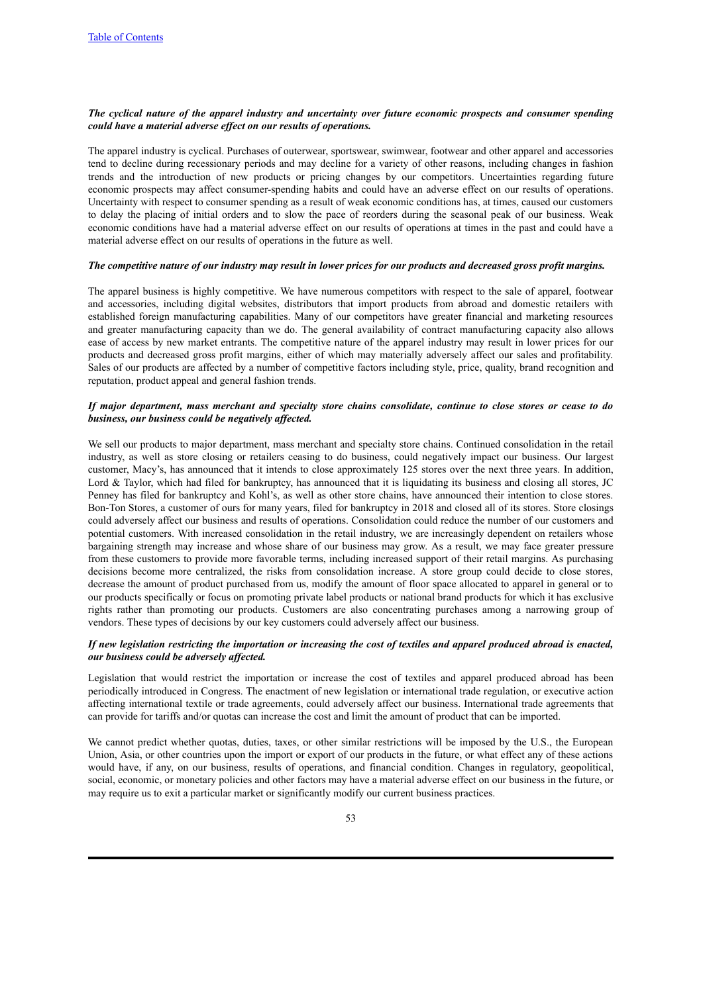# *The cyclical nature of the apparel industry and uncertainty over future economic prospects and consumer spending could have a material adverse ef ect on our results of operations.*

The apparel industry is cyclical. Purchases of outerwear, sportswear, swimwear, footwear and other apparel and accessories tend to decline during recessionary periods and may decline for a variety of other reasons, including changes in fashion trends and the introduction of new products or pricing changes by our competitors. Uncertainties regarding future economic prospects may affect consumer-spending habits and could have an adverse effect on our results of operations. Uncertainty with respect to consumer spending as a result of weak economic conditions has, at times, caused our customers to delay the placing of initial orders and to slow the pace of reorders during the seasonal peak of our business. Weak economic conditions have had a material adverse effect on our results of operations at times in the past and could have a material adverse effect on our results of operations in the future as well.

#### The competitive nature of our industry may result in lower prices for our products and decreased gross profit margins.

The apparel business is highly competitive. We have numerous competitors with respect to the sale of apparel, footwear and accessories, including digital websites, distributors that import products from abroad and domestic retailers with established foreign manufacturing capabilities. Many of our competitors have greater financial and marketing resources and greater manufacturing capacity than we do. The general availability of contract manufacturing capacity also allows ease of access by new market entrants. The competitive nature of the apparel industry may result in lower prices for our products and decreased gross profit margins, either of which may materially adversely affect our sales and profitability. Sales of our products are affected by a number of competitive factors including style, price, quality, brand recognition and reputation, product appeal and general fashion trends.

# If major department, mass merchant and specialty store chains consolidate, continue to close stores or cease to do *business, our business could be negatively af ected.*

We sell our products to major department, mass merchant and specialty store chains. Continued consolidation in the retail industry, as well as store closing or retailers ceasing to do business, could negatively impact our business. Our largest customer, Macy's, has announced that it intends to close approximately 125 stores over the next three years. In addition, Lord & Taylor, which had filed for bankruptcy, has announced that it is liquidating its business and closing all stores, JC Penney has filed for bankruptcy and Kohl's, as well as other store chains, have announced their intention to close stores. Bon-Ton Stores, a customer of ours for many years, filed for bankruptcy in 2018 and closed all of its stores. Store closings could adversely affect our business and results of operations. Consolidation could reduce the number of our customers and potential customers. With increased consolidation in the retail industry, we are increasingly dependent on retailers whose bargaining strength may increase and whose share of our business may grow. As a result, we may face greater pressure from these customers to provide more favorable terms, including increased support of their retail margins. As purchasing decisions become more centralized, the risks from consolidation increase. A store group could decide to close stores, decrease the amount of product purchased from us, modify the amount of floor space allocated to apparel in general or to our products specifically or focus on promoting private label products or national brand products for which it has exclusive rights rather than promoting our products. Customers are also concentrating purchases among a narrowing group of vendors. These types of decisions by our key customers could adversely affect our business.

# If new legislation restricting the importation or increasing the cost of textiles and apparel produced abroad is enacted, *our business could be adversely af ected.*

Legislation that would restrict the importation or increase the cost of textiles and apparel produced abroad has been periodically introduced in Congress. The enactment of new legislation or international trade regulation, or executive action affecting international textile or trade agreements, could adversely affect our business. International trade agreements that can provide for tariffs and/or quotas can increase the cost and limit the amount of product that can be imported.

We cannot predict whether quotas, duties, taxes, or other similar restrictions will be imposed by the U.S., the European Union, Asia, or other countries upon the import or export of our products in the future, or what effect any of these actions would have, if any, on our business, results of operations, and financial condition. Changes in regulatory, geopolitical, social, economic, or monetary policies and other factors may have a material adverse effect on our business in the future, or may require us to exit a particular market or significantly modify our current business practices.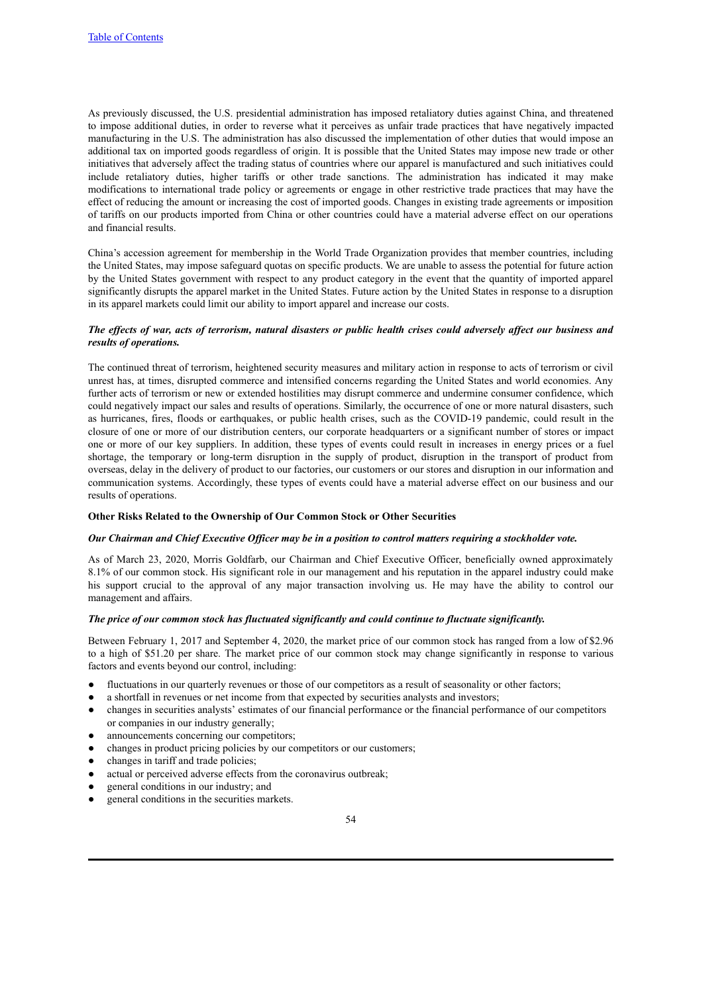As previously discussed, the U.S. presidential administration has imposed retaliatory duties against China, and threatened to impose additional duties, in order to reverse what it perceives as unfair trade practices that have negatively impacted manufacturing in the U.S. The administration has also discussed the implementation of other duties that would impose an additional tax on imported goods regardless of origin. It is possible that the United States may impose new trade or other initiatives that adversely affect the trading status of countries where our apparel is manufactured and such initiatives could include retaliatory duties, higher tariffs or other trade sanctions. The administration has indicated it may make modifications to international trade policy or agreements or engage in other restrictive trade practices that may have the effect of reducing the amount or increasing the cost of imported goods. Changes in existing trade agreements or imposition of tariffs on our products imported from China or other countries could have a material adverse effect on our operations and financial results.

China's accession agreement for membership in the World Trade Organization provides that member countries, including the United States, may impose safeguard quotas on specific products. We are unable to assess the potential for future action by the United States government with respect to any product category in the event that the quantity of imported apparel significantly disrupts the apparel market in the United States. Future action by the United States in response to a disruption in its apparel markets could limit our ability to import apparel and increase our costs.

# The effects of war, acts of terrorism, natural disasters or public health crises could adversely affect our business and *results of operations.*

The continued threat of terrorism, heightened security measures and military action in response to acts of terrorism or civil unrest has, at times, disrupted commerce and intensified concerns regarding the United States and world economies. Any further acts of terrorism or new or extended hostilities may disrupt commerce and undermine consumer confidence, which could negatively impact our sales and results of operations. Similarly, the occurrence of one or more natural disasters, such as hurricanes, fires, floods or earthquakes, or public health crises, such as the COVID-19 pandemic, could result in the closure of one or more of our distribution centers, our corporate headquarters or a significant number of stores or impact one or more of our key suppliers. In addition, these types of events could result in increases in energy prices or a fuel shortage, the temporary or long-term disruption in the supply of product, disruption in the transport of product from overseas, delay in the delivery of product to our factories, our customers or our stores and disruption in our information and communication systems. Accordingly, these types of events could have a material adverse effect on our business and our results of operations.

#### **Other Risks Related to the Ownership of Our Common Stock or Other Securities**

#### Our Chairman and Chief Executive Officer may be in a position to control matters requiring a stockholder vote.

As of March 23, 2020, Morris Goldfarb, our Chairman and Chief Executive Officer, beneficially owned approximately 8.1% of our common stock. His significant role in our management and his reputation in the apparel industry could make his support crucial to the approval of any major transaction involving us. He may have the ability to control our management and affairs.

# *The price of our common stock has fluctuated significantly and could continue to fluctuate significantly.*

Between February 1, 2017 and September 4, 2020, the market price of our common stock has ranged from a low of \$2.96 to a high of \$51.20 per share. The market price of our common stock may change significantly in response to various factors and events beyond our control, including:

- fluctuations in our quarterly revenues or those of our competitors as a result of seasonality or other factors;
- a shortfall in revenues or net income from that expected by securities analysts and investors;
- changes in securities analysts' estimates of our financial performance or the financial performance of our competitors or companies in our industry generally;
- announcements concerning our competitors;
- changes in product pricing policies by our competitors or our customers;
- changes in tariff and trade policies;
- actual or perceived adverse effects from the coronavirus outbreak;
- general conditions in our industry; and
- general conditions in the securities markets.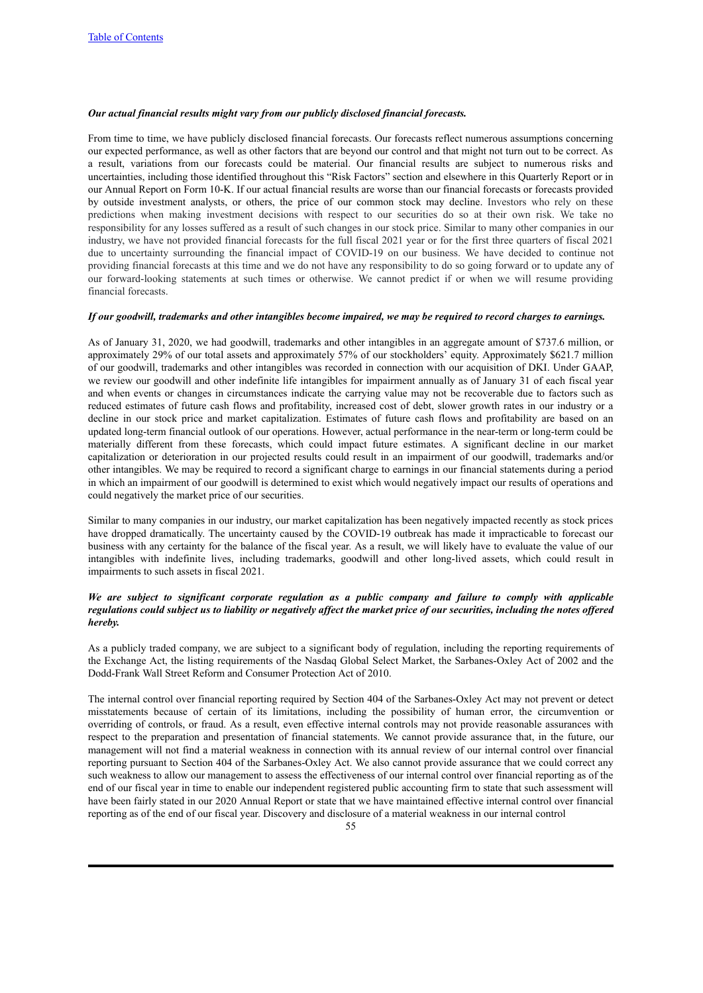## *Our actual financial results might vary from our publicly disclosed financial forecasts.*

From time to time, we have publicly disclosed financial forecasts. Our forecasts reflect numerous assumptions concerning our expected performance, as well as other factors that are beyond our control and that might not turn out to be correct. As a result, variations from our forecasts could be material. Our financial results are subject to numerous risks and uncertainties, including those identified throughout this "Risk Factors" section and elsewhere in this Quarterly Report or in our Annual Report on Form 10-K. If our actual financial results are worse than our financial forecasts or forecasts provided by outside investment analysts, or others, the price of our common stock may decline. Investors who rely on these predictions when making investment decisions with respect to our securities do so at their own risk. We take no responsibility for any losses suffered as a result of such changes in our stock price. Similar to many other companies in our industry, we have not provided financial forecasts for the full fiscal 2021 year or for the first three quarters of fiscal 2021 due to uncertainty surrounding the financial impact of COVID-19 on our business. We have decided to continue not providing financial forecasts at this time and we do not have any responsibility to do so going forward or to update any of our forward-looking statements at such times or otherwise. We cannot predict if or when we will resume providing financial forecasts.

#### If our goodwill, trademarks and other intangibles become impaired, we may be required to record charges to earnings.

As of January 31, 2020, we had goodwill, trademarks and other intangibles in an aggregate amount of \$737.6 million, or approximately 29% of our total assets and approximately 57% of our stockholders' equity. Approximately \$621.7 million of our goodwill, trademarks and other intangibles was recorded in connection with our acquisition of DKI. Under GAAP, we review our goodwill and other indefinite life intangibles for impairment annually as of January 31 of each fiscal year and when events or changes in circumstances indicate the carrying value may not be recoverable due to factors such as reduced estimates of future cash flows and profitability, increased cost of debt, slower growth rates in our industry or a decline in our stock price and market capitalization. Estimates of future cash flows and profitability are based on an updated long-term financial outlook of our operations. However, actual performance in the near-term or long-term could be materially different from these forecasts, which could impact future estimates. A significant decline in our market capitalization or deterioration in our projected results could result in an impairment of our goodwill, trademarks and/or other intangibles. We may be required to record a significant charge to earnings in our financial statements during a period in which an impairment of our goodwill is determined to exist which would negatively impact our results of operations and could negatively the market price of our securities.

Similar to many companies in our industry, our market capitalization has been negatively impacted recently as stock prices have dropped dramatically. The uncertainty caused by the COVID-19 outbreak has made it impracticable to forecast our business with any certainty for the balance of the fiscal year. As a result, we will likely have to evaluate the value of our intangibles with indefinite lives, including trademarks, goodwill and other long-lived assets, which could result in impairments to such assets in fiscal 2021.

# We are subject to significant corporate regulation as a public company and failure to comply with applicable regulations could subject us to liability or negatively affect the market price of our securities, including the notes offered *hereby.*

As a publicly traded company, we are subject to a significant body of regulation, including the reporting requirements of the Exchange Act, the listing requirements of the Nasdaq Global Select Market, the Sarbanes-Oxley Act of 2002 and the Dodd-Frank Wall Street Reform and Consumer Protection Act of 2010.

The internal control over financial reporting required by Section 404 of the Sarbanes-Oxley Act may not prevent or detect misstatements because of certain of its limitations, including the possibility of human error, the circumvention or overriding of controls, or fraud. As a result, even effective internal controls may not provide reasonable assurances with respect to the preparation and presentation of financial statements. We cannot provide assurance that, in the future, our management will not find a material weakness in connection with its annual review of our internal control over financial reporting pursuant to Section 404 of the Sarbanes-Oxley Act. We also cannot provide assurance that we could correct any such weakness to allow our management to assess the effectiveness of our internal control over financial reporting as of the end of our fiscal year in time to enable our independent registered public accounting firm to state that such assessment will have been fairly stated in our 2020 Annual Report or state that we have maintained effective internal control over financial reporting as of the end of our fiscal year. Discovery and disclosure of a material weakness in our internal control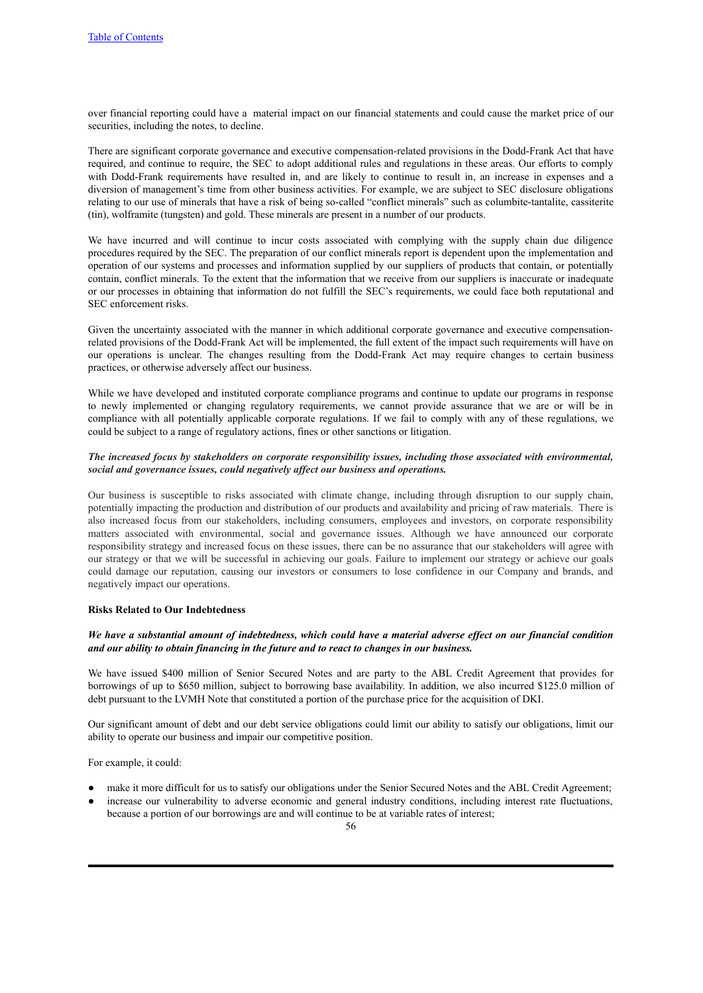over financial reporting could have a material impact on our financial statements and could cause the market price of our securities, including the notes, to decline.

There are significant corporate governance and executive compensation-related provisions in the Dodd-Frank Act that have required, and continue to require, the SEC to adopt additional rules and regulations in these areas. Our efforts to comply with Dodd-Frank requirements have resulted in, and are likely to continue to result in, an increase in expenses and a diversion of management's time from other business activities. For example, we are subject to SEC disclosure obligations relating to our use of minerals that have a risk of being so-called "conflict minerals" such as columbite-tantalite, cassiterite (tin), wolframite (tungsten) and gold. These minerals are present in a number of our products.

We have incurred and will continue to incur costs associated with complying with the supply chain due diligence procedures required by the SEC. The preparation of our conflict minerals report is dependent upon the implementation and operation of our systems and processes and information supplied by our suppliers of products that contain, or potentially contain, conflict minerals. To the extent that the information that we receive from our suppliers is inaccurate or inadequate or our processes in obtaining that information do not fulfill the SEC's requirements, we could face both reputational and SEC enforcement risks.

Given the uncertainty associated with the manner in which additional corporate governance and executive compensationrelated provisions of the Dodd-Frank Act will be implemented, the full extent of the impact such requirements will have on our operations is unclear. The changes resulting from the Dodd-Frank Act may require changes to certain business practices, or otherwise adversely affect our business.

While we have developed and instituted corporate compliance programs and continue to update our programs in response to newly implemented or changing regulatory requirements, we cannot provide assurance that we are or will be in compliance with all potentially applicable corporate regulations. If we fail to comply with any of these regulations, we could be subject to a range of regulatory actions, fines or other sanctions or litigation.

# *The increased focus by stakeholders on corporate responsibility issues, including those associated with environmental, social and governance issues, could negatively af ect our business and operations.*

Our business is susceptible to risks associated with climate change, including through disruption to our supply chain, potentially impacting the production and distribution of our products and availability and pricing of raw materials. There is also increased focus from our stakeholders, including consumers, employees and investors, on corporate responsibility matters associated with environmental, social and governance issues. Although we have announced our corporate responsibility strategy and increased focus on these issues, there can be no assurance that our stakeholders will agree with our strategy or that we will be successful in achieving our goals. Failure to implement our strategy or achieve our goals could damage our reputation, causing our investors or consumers to lose confidence in our Company and brands, and negatively impact our operations.

#### **Risks Related to Our Indebtedness**

# We have a substantial amount of indebtedness, which could have a material adverse effect on our financial condition *and our ability to obtain financing in the future and to react to changes in our business.*

We have issued \$400 million of Senior Secured Notes and are party to the ABL Credit Agreement that provides for borrowings of up to \$650 million, subject to borrowing base availability. In addition, we also incurred \$125.0 million of debt pursuant to the LVMH Note that constituted a portion of the purchase price for the acquisition of DKI.

Our significant amount of debt and our debt service obligations could limit our ability to satisfy our obligations, limit our ability to operate our business and impair our competitive position.

For example, it could:

- make it more difficult for us to satisfy our obligations under the Senior Secured Notes and the ABL Credit Agreement;
- increase our vulnerability to adverse economic and general industry conditions, including interest rate fluctuations, because a portion of our borrowings are and will continue to be at variable rates of interest;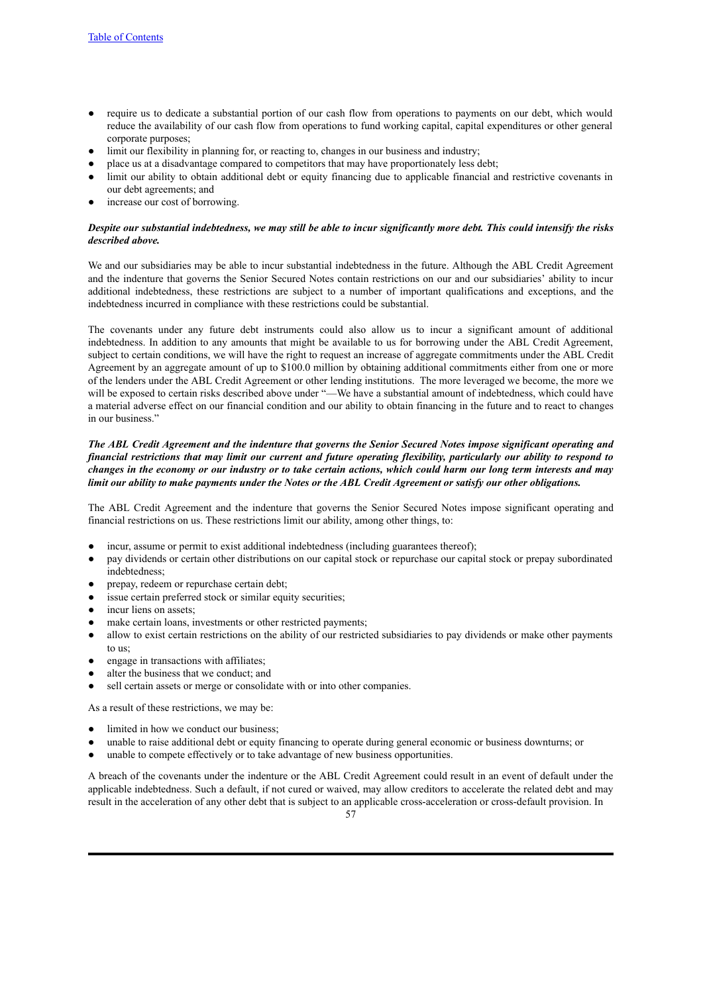- require us to dedicate a substantial portion of our cash flow from operations to payments on our debt, which would reduce the availability of our cash flow from operations to fund working capital, capital expenditures or other general corporate purposes;
- limit our flexibility in planning for, or reacting to, changes in our business and industry;
- place us at a disadvantage compared to competitors that may have proportionately less debt;
- limit our ability to obtain additional debt or equity financing due to applicable financial and restrictive covenants in our debt agreements; and
- increase our cost of borrowing.

# Despite our substantial indebtedness, we may still be able to incur significantly more debt. This could intensify the risks *described above.*

We and our subsidiaries may be able to incur substantial indebtedness in the future. Although the ABL Credit Agreement and the indenture that governs the Senior Secured Notes contain restrictions on our and our subsidiaries' ability to incur additional indebtedness, these restrictions are subject to a number of important qualifications and exceptions, and the indebtedness incurred in compliance with these restrictions could be substantial.

The covenants under any future debt instruments could also allow us to incur a significant amount of additional indebtedness. In addition to any amounts that might be available to us for borrowing under the ABL Credit Agreement, subject to certain conditions, we will have the right to request an increase of aggregate commitments under the ABL Credit Agreement by an aggregate amount of up to \$100.0 million by obtaining additional commitments either from one or more of the lenders under the ABL Credit Agreement or other lending institutions. The more leveraged we become, the more we will be exposed to certain risks described above under "—We have a substantial amount of indebtedness, which could have a material adverse effect on our financial condition and our ability to obtain financing in the future and to react to changes in our business."

# The ABL Credit Agreement and the indenture that governs the Senior Secured Notes impose significant operating and financial restrictions that may limit our current and future operating flexibility, particularly our ability to respond to changes in the economy or our industry or to take certain actions, which could harm our long term interests and may limit our ability to make payments under the Notes or the ABL Credit Agreement or satisfy our other obligations.

The ABL Credit Agreement and the indenture that governs the Senior Secured Notes impose significant operating and financial restrictions on us. These restrictions limit our ability, among other things, to:

- incur, assume or permit to exist additional indebtedness (including guarantees thereof);
- pay dividends or certain other distributions on our capital stock or repurchase our capital stock or prepay subordinated indebtedness;
- prepay, redeem or repurchase certain debt;
- issue certain preferred stock or similar equity securities;
- incur liens on assets;
- make certain loans, investments or other restricted payments;
- allow to exist certain restrictions on the ability of our restricted subsidiaries to pay dividends or make other payments to us;
- engage in transactions with affiliates;
- alter the business that we conduct; and
- sell certain assets or merge or consolidate with or into other companies.

As a result of these restrictions, we may be:

- limited in how we conduct our business;
- unable to raise additional debt or equity financing to operate during general economic or business downturns; or
- unable to compete effectively or to take advantage of new business opportunities.

A breach of the covenants under the indenture or the ABL Credit Agreement could result in an event of default under the applicable indebtedness. Such a default, if not cured or waived, may allow creditors to accelerate the related debt and may result in the acceleration of any other debt that is subject to an applicable cross-acceleration or cross-default provision. In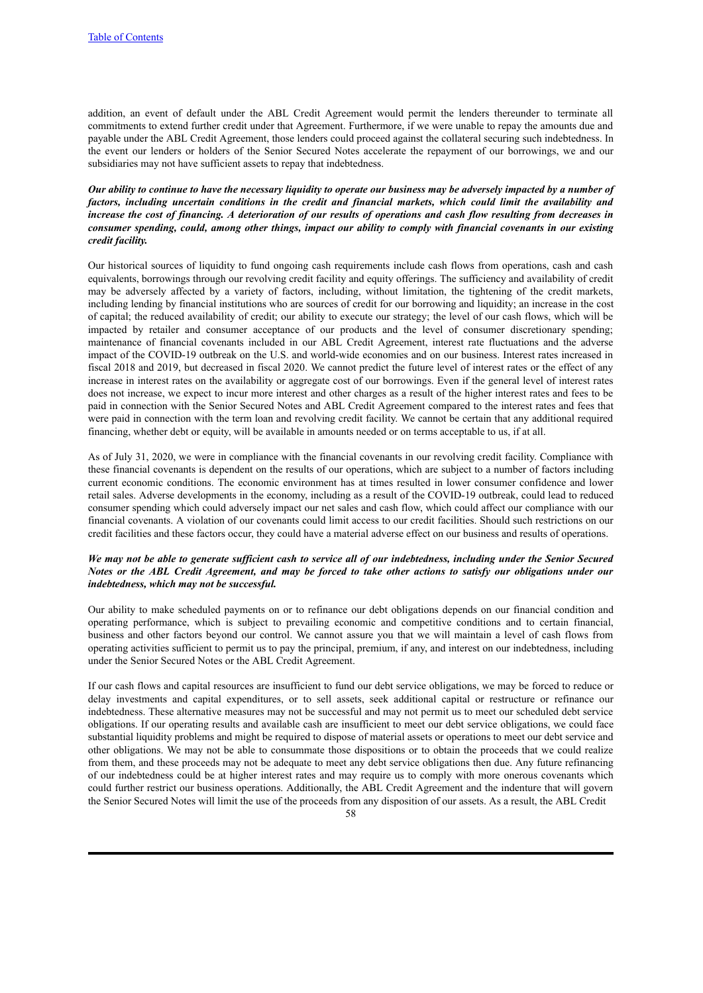addition, an event of default under the ABL Credit Agreement would permit the lenders thereunder to terminate all commitments to extend further credit under that Agreement. Furthermore, if we were unable to repay the amounts due and payable under the ABL Credit Agreement, those lenders could proceed against the collateral securing such indebtedness. In the event our lenders or holders of the Senior Secured Notes accelerate the repayment of our borrowings, we and our subsidiaries may not have sufficient assets to repay that indebtedness.

Our ability to continue to have the necessary liquidity to operate our business may be adversely impacted by a number of factors, including uncertain conditions in the credit and financial markets, which could limit the availability and increase the cost of financing. A deterioration of our results of operations and cash flow resulting from decreases in consumer spending, could, among other things, impact our ability to comply with financial covenants in our existing *credit facility.*

Our historical sources of liquidity to fund ongoing cash requirements include cash flows from operations, cash and cash equivalents, borrowings through our revolving credit facility and equity offerings. The sufficiency and availability of credit may be adversely affected by a variety of factors, including, without limitation, the tightening of the credit markets, including lending by financial institutions who are sources of credit for our borrowing and liquidity; an increase in the cost of capital; the reduced availability of credit; our ability to execute our strategy; the level of our cash flows, which will be impacted by retailer and consumer acceptance of our products and the level of consumer discretionary spending; maintenance of financial covenants included in our ABL Credit Agreement, interest rate fluctuations and the adverse impact of the COVID-19 outbreak on the U.S. and world-wide economies and on our business. Interest rates increased in fiscal 2018 and 2019, but decreased in fiscal 2020. We cannot predict the future level of interest rates or the effect of any increase in interest rates on the availability or aggregate cost of our borrowings. Even if the general level of interest rates does not increase, we expect to incur more interest and other charges as a result of the higher interest rates and fees to be paid in connection with the Senior Secured Notes and ABL Credit Agreement compared to the interest rates and fees that were paid in connection with the term loan and revolving credit facility. We cannot be certain that any additional required financing, whether debt or equity, will be available in amounts needed or on terms acceptable to us, if at all.

As of July 31, 2020, we were in compliance with the financial covenants in our revolving credit facility. Compliance with these financial covenants is dependent on the results of our operations, which are subject to a number of factors including current economic conditions. The economic environment has at times resulted in lower consumer confidence and lower retail sales. Adverse developments in the economy, including as a result of the COVID-19 outbreak, could lead to reduced consumer spending which could adversely impact our net sales and cash flow, which could affect our compliance with our financial covenants. A violation of our covenants could limit access to our credit facilities. Should such restrictions on our credit facilities and these factors occur, they could have a material adverse effect on our business and results of operations.

# We may not be able to generate sufficient cash to service all of our indebtedness, including under the Senior Secured Notes or the ABL Credit Agreement, and may be forced to take other actions to satisfy our obligations under our *indebtedness, which may not be successful.*

Our ability to make scheduled payments on or to refinance our debt obligations depends on our financial condition and operating performance, which is subject to prevailing economic and competitive conditions and to certain financial, business and other factors beyond our control. We cannot assure you that we will maintain a level of cash flows from operating activities sufficient to permit us to pay the principal, premium, if any, and interest on our indebtedness, including under the Senior Secured Notes or the ABL Credit Agreement.

If our cash flows and capital resources are insufficient to fund our debt service obligations, we may be forced to reduce or delay investments and capital expenditures, or to sell assets, seek additional capital or restructure or refinance our indebtedness. These alternative measures may not be successful and may not permit us to meet our scheduled debt service obligations. If our operating results and available cash are insufficient to meet our debt service obligations, we could face substantial liquidity problems and might be required to dispose of material assets or operations to meet our debt service and other obligations. We may not be able to consummate those dispositions or to obtain the proceeds that we could realize from them, and these proceeds may not be adequate to meet any debt service obligations then due. Any future refinancing of our indebtedness could be at higher interest rates and may require us to comply with more onerous covenants which could further restrict our business operations. Additionally, the ABL Credit Agreement and the indenture that will govern the Senior Secured Notes will limit the use of the proceeds from any disposition of our assets. As a result, the ABL Credit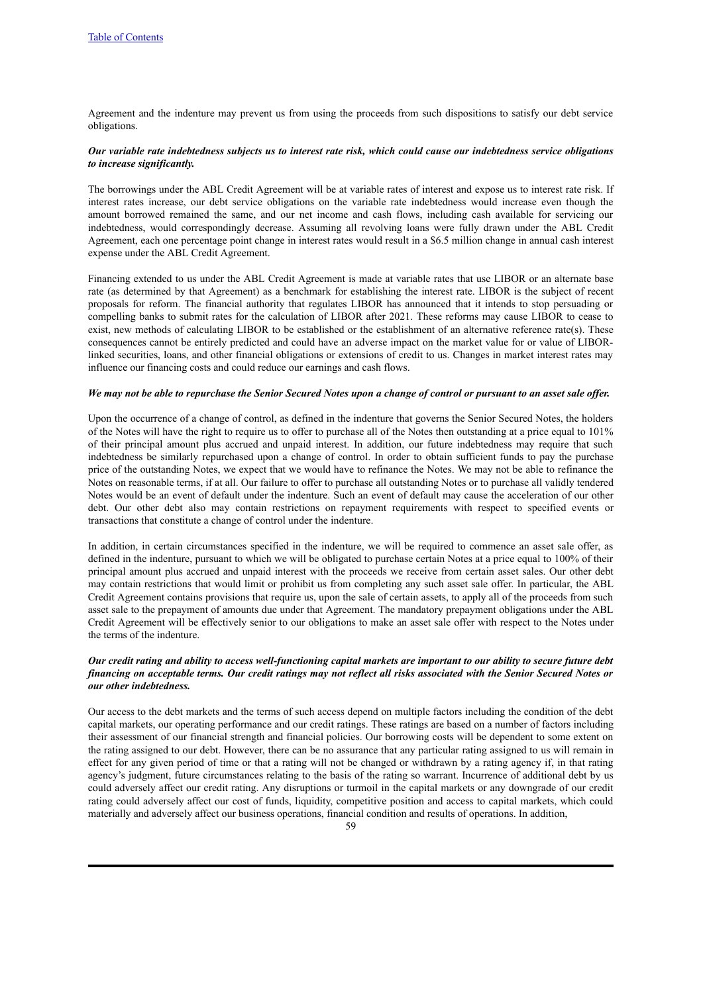Agreement and the indenture may prevent us from using the proceeds from such dispositions to satisfy our debt service obligations.

### Our variable rate indebtedness subjects us to interest rate risk, which could cause our indebtedness service obligations *to increase significantly.*

The borrowings under the ABL Credit Agreement will be at variable rates of interest and expose us to interest rate risk. If interest rates increase, our debt service obligations on the variable rate indebtedness would increase even though the amount borrowed remained the same, and our net income and cash flows, including cash available for servicing our indebtedness, would correspondingly decrease. Assuming all revolving loans were fully drawn under the ABL Credit Agreement, each one percentage point change in interest rates would result in a \$6.5 million change in annual cash interest expense under the ABL Credit Agreement.

Financing extended to us under the ABL Credit Agreement is made at variable rates that use LIBOR or an alternate base rate (as determined by that Agreement) as a benchmark for establishing the interest rate. LIBOR is the subject of recent proposals for reform. The financial authority that regulates LIBOR has announced that it intends to stop persuading or compelling banks to submit rates for the calculation of LIBOR after 2021. These reforms may cause LIBOR to cease to exist, new methods of calculating LIBOR to be established or the establishment of an alternative reference rate(s). These consequences cannot be entirely predicted and could have an adverse impact on the market value for or value of LIBORlinked securities, loans, and other financial obligations or extensions of credit to us. Changes in market interest rates may influence our financing costs and could reduce our earnings and cash flows.

# We may not be able to repurchase the Senior Secured Notes upon a change of control or pursuant to an asset sale offer.

Upon the occurrence of a change of control, as defined in the indenture that governs the Senior Secured Notes, the holders of the Notes will have the right to require us to offer to purchase all of the Notes then outstanding at a price equal to 101% of their principal amount plus accrued and unpaid interest. In addition, our future indebtedness may require that such indebtedness be similarly repurchased upon a change of control. In order to obtain sufficient funds to pay the purchase price of the outstanding Notes, we expect that we would have to refinance the Notes. We may not be able to refinance the Notes on reasonable terms, if at all. Our failure to offer to purchase all outstanding Notes or to purchase all validly tendered Notes would be an event of default under the indenture. Such an event of default may cause the acceleration of our other debt. Our other debt also may contain restrictions on repayment requirements with respect to specified events or transactions that constitute a change of control under the indenture.

In addition, in certain circumstances specified in the indenture, we will be required to commence an asset sale offer, as defined in the indenture, pursuant to which we will be obligated to purchase certain Notes at a price equal to 100% of their principal amount plus accrued and unpaid interest with the proceeds we receive from certain asset sales. Our other debt may contain restrictions that would limit or prohibit us from completing any such asset sale offer. In particular, the ABL Credit Agreement contains provisions that require us, upon the sale of certain assets, to apply all of the proceeds from such asset sale to the prepayment of amounts due under that Agreement. The mandatory prepayment obligations under the ABL Credit Agreement will be effectively senior to our obligations to make an asset sale offer with respect to the Notes under the terms of the indenture.

# Our credit rating and ability to access well-functioning capital markets are important to our ability to secure future debt financing on acceptable terms. Our credit ratings may not reflect all risks associated with the Senior Secured Notes or *our other indebtedness.*

Our access to the debt markets and the terms of such access depend on multiple factors including the condition of the debt capital markets, our operating performance and our credit ratings. These ratings are based on a number of factors including their assessment of our financial strength and financial policies. Our borrowing costs will be dependent to some extent on the rating assigned to our debt. However, there can be no assurance that any particular rating assigned to us will remain in effect for any given period of time or that a rating will not be changed or withdrawn by a rating agency if, in that rating agency's judgment, future circumstances relating to the basis of the rating so warrant. Incurrence of additional debt by us could adversely affect our credit rating. Any disruptions or turmoil in the capital markets or any downgrade of our credit rating could adversely affect our cost of funds, liquidity, competitive position and access to capital markets, which could materially and adversely affect our business operations, financial condition and results of operations. In addition,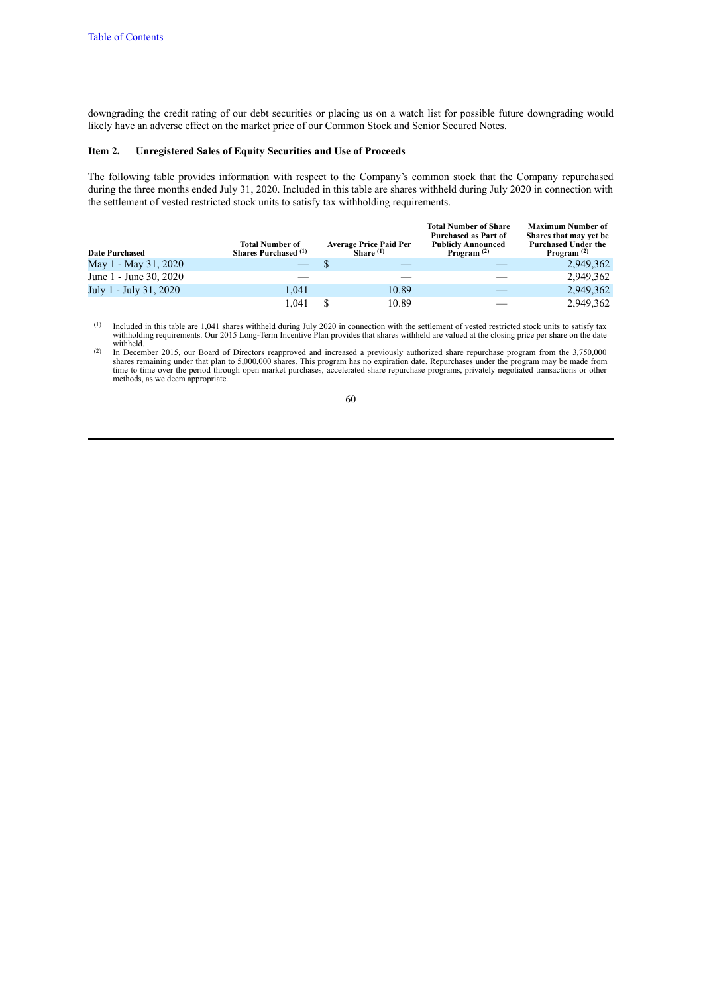downgrading the credit rating of our debt securities or placing us on a watch list for possible future downgrading would likely have an adverse effect on the market price of our Common Stock and Senior Secured Notes.

# <span id="page-59-0"></span>**Item 2. Unregistered Sales of Equity Securities and Use of Proceeds**

The following table provides information with respect to the Company's common stock that the Company repurchased during the three months ended July 31, 2020. Included in this table are shares withheld during July 2020 in connection with the settlement of vested restricted stock units to satisfy tax withholding requirements.

| <b>Date Purchased</b>  | <b>Total Number of</b><br>Shares Purchased (1) | <b>Average Price Paid Per</b><br>Share $(1)$ | <b>Total Number of Share</b><br>Purchased as Part of<br><b>Publicly Announced</b><br>Program $(2)$ | <b>Maximum Number of</b><br>Shares that may vet be<br><b>Purchased Under the</b><br>Program $(2)$ |
|------------------------|------------------------------------------------|----------------------------------------------|----------------------------------------------------------------------------------------------------|---------------------------------------------------------------------------------------------------|
| May 1 - May 31, 2020   |                                                |                                              |                                                                                                    | 2,949,362                                                                                         |
| June 1 - June 30, 2020 |                                                |                                              |                                                                                                    | 2,949,362                                                                                         |
| July 1 - July 31, 2020 | 1.041                                          | 10.89                                        |                                                                                                    | 2,949,362                                                                                         |
|                        | l.041                                          | 10.89                                        |                                                                                                    | 2,949,362                                                                                         |

 $^{(1)}$  Included in this table are 1,041 shares withheld during July 2020 in connection with the settlement of vested restricted stock units to satisfy tax withholding requirements. Our 2015 Long-Term Incentive Plan provid withheld.

(2) In December 2015, our Board of Directors reapproved and increased a previously authorized share repurchase program from the  $3,750,000$  shares remaining under that plan to 5,000,000 shares. This program has no expirat methods, as we deem appropriate.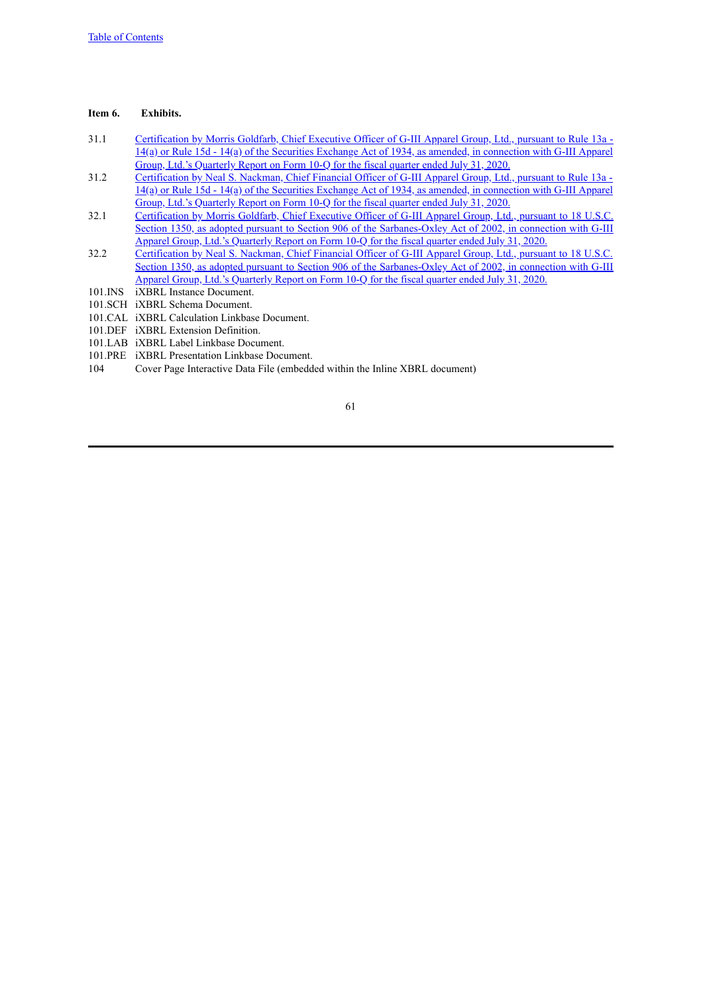# <span id="page-60-0"></span>**Item 6. Exhibits.**

- 31.1 [Certification](#page-62-0) by Morris Goldfarb, Chief Executive Officer of G-III Apparel Group, Ltd., pursuant to Rule 13a 14(a) or Rule 15d - 14(a) of the Securities Exchange Act of 1934, as amended, in connection with G-III Apparel Group, Ltd.'s Quarterly Report on Form 10-Q for the fiscal quarter ended July 31, 2020.
- 31.2 [Certification](#page-63-0) by Neal S. Nackman, Chief Financial Officer of G-III Apparel Group, Ltd., pursuant to Rule 13a 14(a) or Rule 15d - 14(a) of the Securities Exchange Act of 1934, as amended, in connection with G-III Apparel Group, Ltd.'s Quarterly Report on Form 10-Q for the fiscal quarter ended July 31, 2020.
- 32.1 Certification by Morris Goldfarb, Chief Executive Officer of G-III Apparel Group, Ltd., pursuant to 18 U.S.C. Section 1350, as adopted pursuant to Section 906 of the [Sarbanes-Oxley](#page-64-0) Act of 2002, in connection with G-III Apparel Group, Ltd.'s Quarterly Report on Form 10-Q for the fiscal quarter ended July 31, 2020.
- 32.2 Certification by Neal S. Nackman, Chief Financial Officer of G-III Apparel Group, Ltd., pursuant to 18 U.S.C. Section 1350, as adopted pursuant to Section 906 of the [Sarbanes-Oxley](#page-65-0) Act of 2002, in connection with G-III Apparel Group, Ltd.'s Quarterly Report on Form 10-Q for the fiscal quarter ended July 31, 2020.
- 101.INS *iXBRL* Instance Document.
- 101.SCH iXBRL Schema Document.
- 101.CAL iXBRL Calculation Linkbase Document.
- 101.DEF iXBRL Extension Definition.
- 101.LAB iXBRL Label Linkbase Document.
- 101.PRE iXBRL Presentation Linkbase Document. 104 Cover Page Interactive Data File (embedded within the Inline XBRL document)
	- 61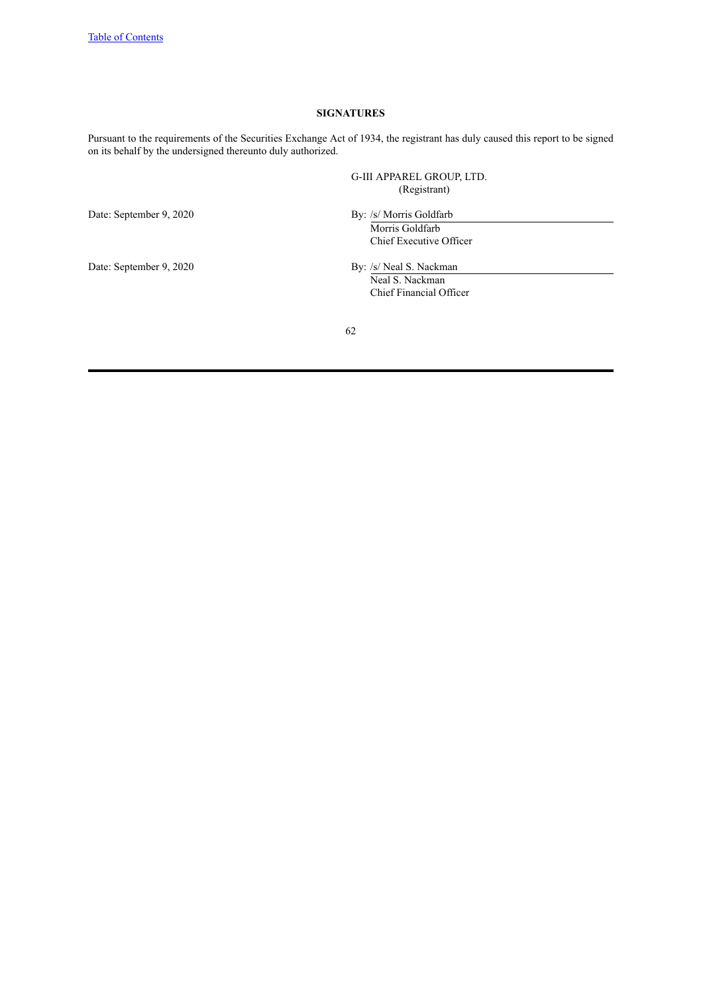# **SIGNATURES**

Pursuant to the requirements of the Securities Exchange Act of 1934, the registrant has duly caused this report to be signed on its behalf by the undersigned thereunto duly authorized.

> G-III APPAREL GROUP, LTD. (Registrant)

Date: September 9, 2020 By: /s/ Morris Goldfarb

Date: September 9, 2020 By: /s/ Neal S. Nackman

Morris Goldfarb Chief Executive Officer

Neal S. Nackman Chief Financial Officer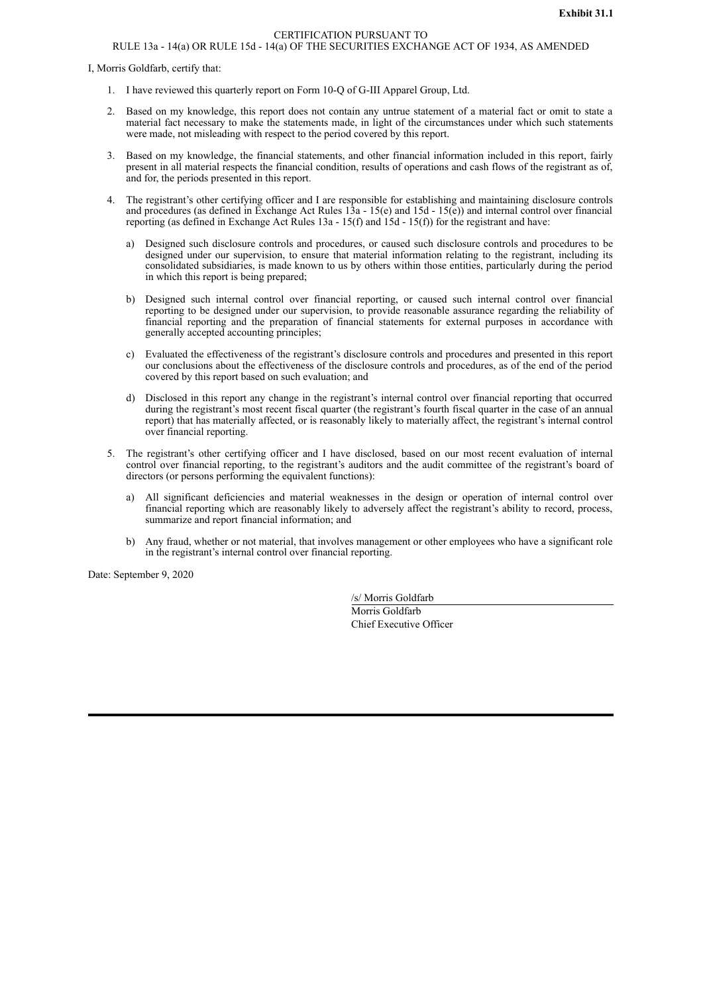# CERTIFICATION PURSUANT TO

# RULE 13a - 14(a) OR RULE 15d - 14(a) OF THE SECURITIES EXCHANGE ACT OF 1934, AS AMENDED

<span id="page-62-0"></span>I, Morris Goldfarb, certify that:

- 1. I have reviewed this quarterly report on Form 10-Q of G-III Apparel Group, Ltd.
- 2. Based on my knowledge, this report does not contain any untrue statement of a material fact or omit to state a material fact necessary to make the statements made, in light of the circumstances under which such statements were made, not misleading with respect to the period covered by this report.
- 3. Based on my knowledge, the financial statements, and other financial information included in this report, fairly present in all material respects the financial condition, results of operations and cash flows of the registrant as of, and for, the periods presented in this report.
- 4. The registrant's other certifying officer and I are responsible for establishing and maintaining disclosure controls and procedures (as defined in Exchange Act Rules 13a - 15(e) and 15d - 15(e)) and internal control over financial reporting (as defined in Exchange Act Rules 13a - 15(f) and 15d - 15(f)) for the registrant and have:
	- a) Designed such disclosure controls and procedures, or caused such disclosure controls and procedures to be designed under our supervision, to ensure that material information relating to the registrant, including its consolidated subsidiaries, is made known to us by others within those entities, particularly during the period in which this report is being prepared;
	- b) Designed such internal control over financial reporting, or caused such internal control over financial reporting to be designed under our supervision, to provide reasonable assurance regarding the reliability of financial reporting and the preparation of financial statements for external purposes in accordance with generally accepted accounting principles;
	- c) Evaluated the effectiveness of the registrant's disclosure controls and procedures and presented in this report our conclusions about the effectiveness of the disclosure controls and procedures, as of the end of the period covered by this report based on such evaluation; and
	- d) Disclosed in this report any change in the registrant's internal control over financial reporting that occurred during the registrant's most recent fiscal quarter (the registrant's fourth fiscal quarter in the case of an annual report) that has materially affected, or is reasonably likely to materially affect, the registrant's internal control over financial reporting.
- 5. The registrant's other certifying officer and I have disclosed, based on our most recent evaluation of internal control over financial reporting, to the registrant's auditors and the audit committee of the registrant's board of directors (or persons performing the equivalent functions):
	- a) All significant deficiencies and material weaknesses in the design or operation of internal control over financial reporting which are reasonably likely to adversely affect the registrant's ability to record, process, summarize and report financial information; and
	- b) Any fraud, whether or not material, that involves management or other employees who have a significant role in the registrant's internal control over financial reporting.

Date: September 9, 2020

/s/ Morris Goldfarb Morris Goldfarb Chief Executive Officer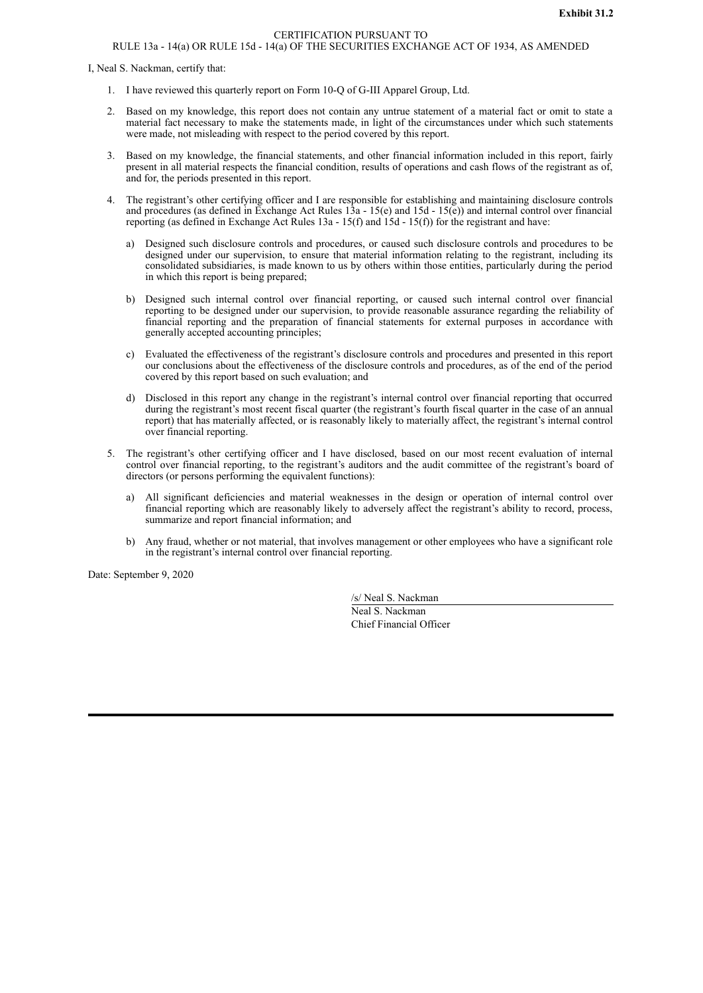# CERTIFICATION PURSUANT TO

# RULE 13a - 14(a) OR RULE 15d - 14(a) OF THE SECURITIES EXCHANGE ACT OF 1934, AS AMENDED

<span id="page-63-0"></span>I, Neal S. Nackman, certify that:

- 1. I have reviewed this quarterly report on Form 10-Q of G-III Apparel Group, Ltd.
- 2. Based on my knowledge, this report does not contain any untrue statement of a material fact or omit to state a material fact necessary to make the statements made, in light of the circumstances under which such statements were made, not misleading with respect to the period covered by this report.
- 3. Based on my knowledge, the financial statements, and other financial information included in this report, fairly present in all material respects the financial condition, results of operations and cash flows of the registrant as of, and for, the periods presented in this report.
- 4. The registrant's other certifying officer and I are responsible for establishing and maintaining disclosure controls and procedures (as defined in Exchange Act Rules 13a - 15(e) and 15d - 15(e)) and internal control over financial reporting (as defined in Exchange Act Rules 13a - 15(f) and 15d - 15(f)) for the registrant and have:
	- a) Designed such disclosure controls and procedures, or caused such disclosure controls and procedures to be designed under our supervision, to ensure that material information relating to the registrant, including its consolidated subsidiaries, is made known to us by others within those entities, particularly during the period in which this report is being prepared;
	- b) Designed such internal control over financial reporting, or caused such internal control over financial reporting to be designed under our supervision, to provide reasonable assurance regarding the reliability of financial reporting and the preparation of financial statements for external purposes in accordance with generally accepted accounting principles;
	- c) Evaluated the effectiveness of the registrant's disclosure controls and procedures and presented in this report our conclusions about the effectiveness of the disclosure controls and procedures, as of the end of the period covered by this report based on such evaluation; and
	- d) Disclosed in this report any change in the registrant's internal control over financial reporting that occurred during the registrant's most recent fiscal quarter (the registrant's fourth fiscal quarter in the case of an annual report) that has materially affected, or is reasonably likely to materially affect, the registrant's internal control over financial reporting.
- 5. The registrant's other certifying officer and I have disclosed, based on our most recent evaluation of internal control over financial reporting, to the registrant's auditors and the audit committee of the registrant's board of directors (or persons performing the equivalent functions):
	- a) All significant deficiencies and material weaknesses in the design or operation of internal control over financial reporting which are reasonably likely to adversely affect the registrant's ability to record, process, summarize and report financial information; and
	- b) Any fraud, whether or not material, that involves management or other employees who have a significant role in the registrant's internal control over financial reporting.

Date: September 9, 2020

/s/ Neal S. Nackman Neal S. Nackman Chief Financial Officer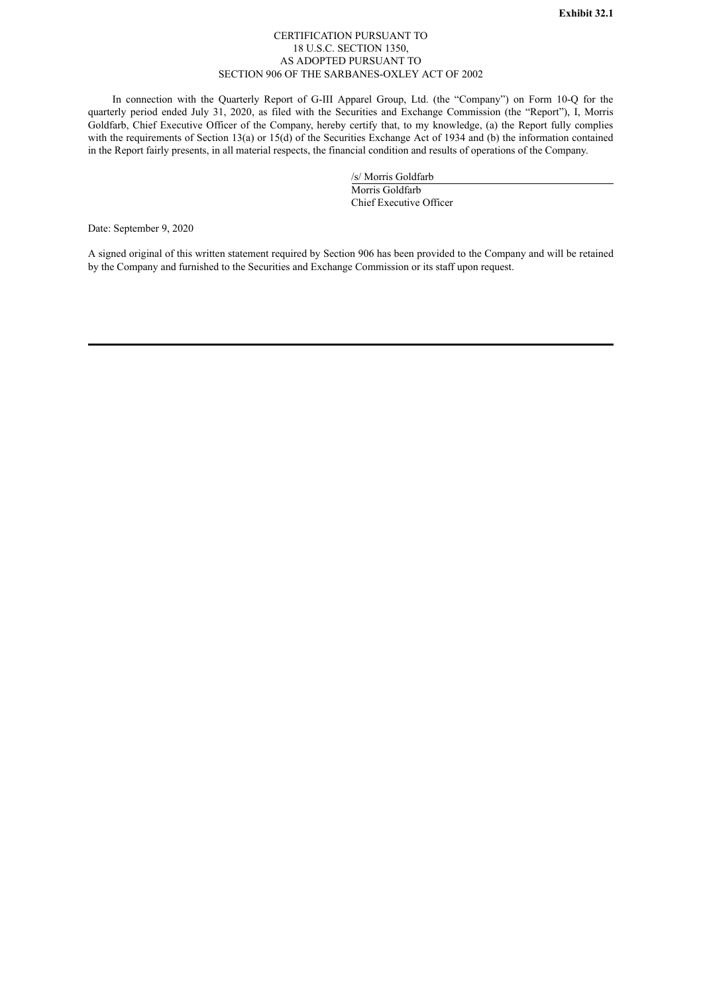# CERTIFICATION PURSUANT TO 18 U.S.C. SECTION 1350, AS ADOPTED PURSUANT TO SECTION 906 OF THE SARBANES-OXLEY ACT OF 2002

<span id="page-64-0"></span>In connection with the Quarterly Report of G-III Apparel Group, Ltd. (the "Company") on Form 10-Q for the quarterly period ended July 31, 2020, as filed with the Securities and Exchange Commission (the "Report"), I, Morris Goldfarb, Chief Executive Officer of the Company, hereby certify that, to my knowledge, (a) the Report fully complies with the requirements of Section 13(a) or 15(d) of the Securities Exchange Act of 1934 and (b) the information contained in the Report fairly presents, in all material respects, the financial condition and results of operations of the Company.

> /s/ Morris Goldfarb Morris Goldfarb Chief Executive Officer

Date: September 9, 2020

A signed original of this written statement required by Section 906 has been provided to the Company and will be retained by the Company and furnished to the Securities and Exchange Commission or its staff upon request.